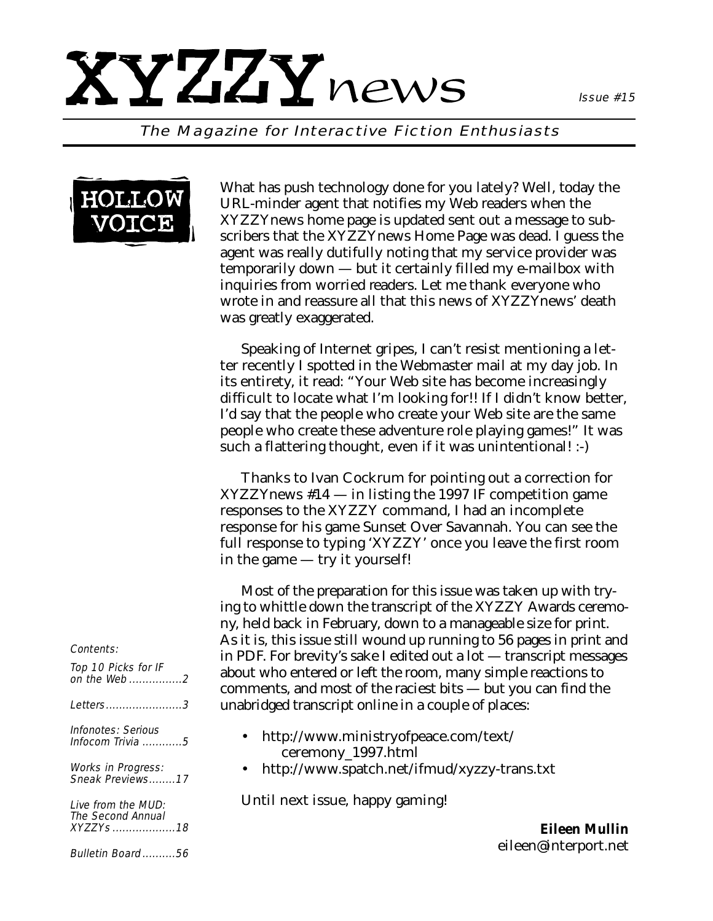## XYZZYnews

The Magazine for Interactive Fiction Enthusiasts



What has push technology done for you lately? Well, today the URL-minder agent that notifies my Web readers when the XYZZYnews home page is updated sent out a message to subscribers that the XYZZYnews Home Page was dead. I guess the agent was really dutifully noting that my service provider was temporarily down — but it certainly filled my e-mailbox with inquiries from worried readers. Let me thank everyone who wrote in and reassure all that this news of *XYZZYnews'* death was greatly exaggerated.

Speaking of Internet gripes, I can't resist mentioning a letter recently I spotted in the Webmaster mail at my day job. In its entirety, it read: "Your Web site has become increasingly difficult to locate what I'm looking for!! If I didn't know better, I'd say that the people who create your Web site are the same people who create these adventure role playing games!" It was such a flattering thought, even if it was unintentional! :-)

Thanks to Ivan Cockrum for pointing out a correction for *XYZZYnews* #14 — in listing the 1997 IF competition game responses to the XYZZY command, I had an incomplete response for his game Sunset Over Savannah. You can see the full response to typing 'XYZZY' once you leave the first room in the game — try it yourself!

Most of the preparation for this issue was taken up with trying to whittle down the transcript of the XYZZY Awards ceremony, held back in February, down to a manageable size for print. As it is, this issue still wound up running to 56 pages in print and in PDF. For brevity's sake I edited out a lot — transcript messages about who entered or left the room, many simple reactions to comments, and most of the raciest bits — but you can find the unabridged transcript online in a couple of places:

- http://www.ministryofpeace.com/text/ ceremony\_1997.html
- http://www.spatch.net/ifmud/xyzzy-trans.txt

Until next issue, happy gaming!

*Eileen Mullin eileen@interport.net*

#### Contents:

| Top 10 Picks for IF<br>on the Web2                            |
|---------------------------------------------------------------|
| Letters3                                                      |
| Infonotes: Serious<br>Infocom Trivia $\ldots \ldots \ldots 5$ |
| Works in Progress:<br>Sneak Previews17                        |
| Live from the MUD:<br>The Second Annual<br>XYZZYs18           |
| Bulletin Board56                                              |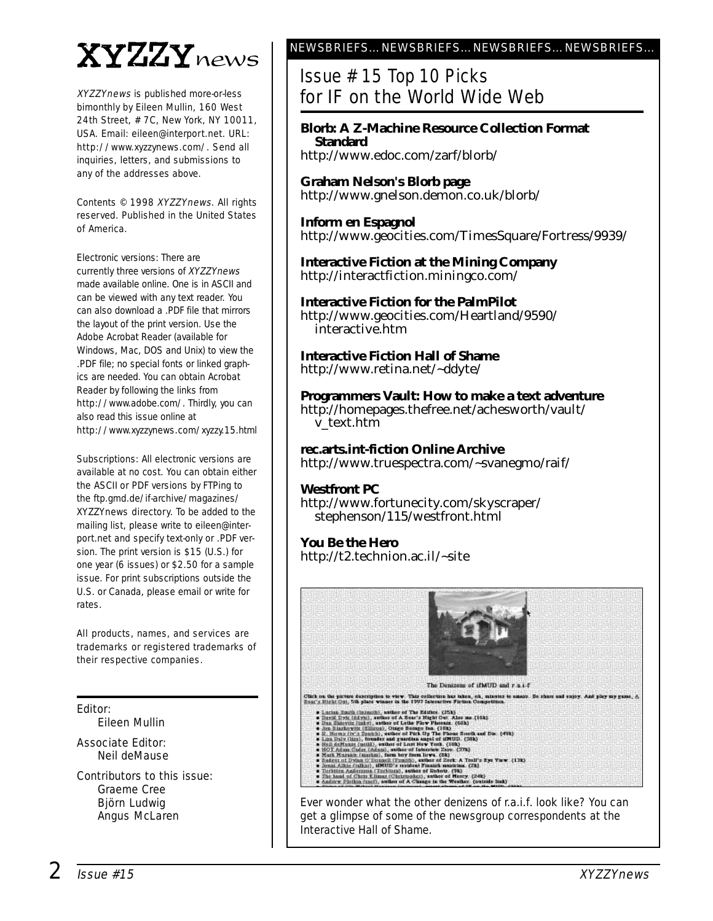## XYZZYnews

XYZZYnews is published more-or-less bimonthly by Eileen Mullin, 160 West 24th Street, # 7C, New York, NY 10011, USA. Email: eileen@interport.net. URL: http://www.xyzzynews.com/. Send all inquiries, letters, and submissions to any of the addresses above.

Contents © 1998 XYZZYnews. All rights reserved. Published in the United States of America.

Electronic versions: There are currently three versions of XYZZYnews made available online. One is in ASCII and can be viewed with any text reader. You can also download a .PDF file that mirrors the layout of the print version. Use the Adobe Acrobat Reader (available for Windows, Mac, DOS and Unix) to view the .PDF file; no special fonts or linked graphics are needed. You can obtain Acrobat Reader by following the links from http://www.adobe.com/. Thirdly, you can also read this issue online at http://www.xyzzynews.com/xyzzy.15.html

Subscriptions: All electronic versions are available at no cost. You can obtain either the ASCII or PDF versions by FTPing to the ftp.gmd.de/if-archive/magazines/ XYZZYnews directory. To be added to the mailing list, please write to eileen@interport.net and specify text-only or .PDF version. The print version is \$15 (U.S.) for one year (6 issues) or \$2.50 for a sample issue. For print subscriptions outside the U.S. or Canada, please email or write for rates.

All products, names, and services are trademarks or registered trademarks of their respective companies.

Editor: Eileen Mullin

Associate Editor: Neil deMause

Contributors to this issue: Graeme Cree Björn Ludwig Angus McLaren

### NEWSBRIEFS…NEWSBRIEFS…NEWSBRIEFS…NEWSBRIEFS…

Issue # 15 Top 10 Picks for IF on the World Wide Web

**Blorb: A Z-Machine Resource Collection Format Standard** http://www.edoc.com/zarf/blorb/

**Graham Nelson's Blorb page** http://www.gnelson.demon.co.uk/blorb/

**Inform en Espagnol** http://www.geocities.com/TimesSquare/Fortress/9939/

**Interactive Fiction at the Mining Company** http://interactfiction.miningco.com/

**Interactive Fiction for the PalmPilot** http://www.geocities.com/Heartland/9590/ interactive.htm

**Interactive Fiction Hall of Shame** http://www.retina.net/~ddyte/

**Programmers Vault: How to make a text adventure** http://homepages.thefree.net/achesworth/vault/ v\_text.htm

**rec.arts.int-fiction Online Archive** http://www.truespectra.com/~svanegmo/raif/

**Westfront PC** http://www.fortunecity.com/skyscraper/ stephenson/115/westfront.html

**You Be the Hero**  http://t2.technion.ac.il/~site

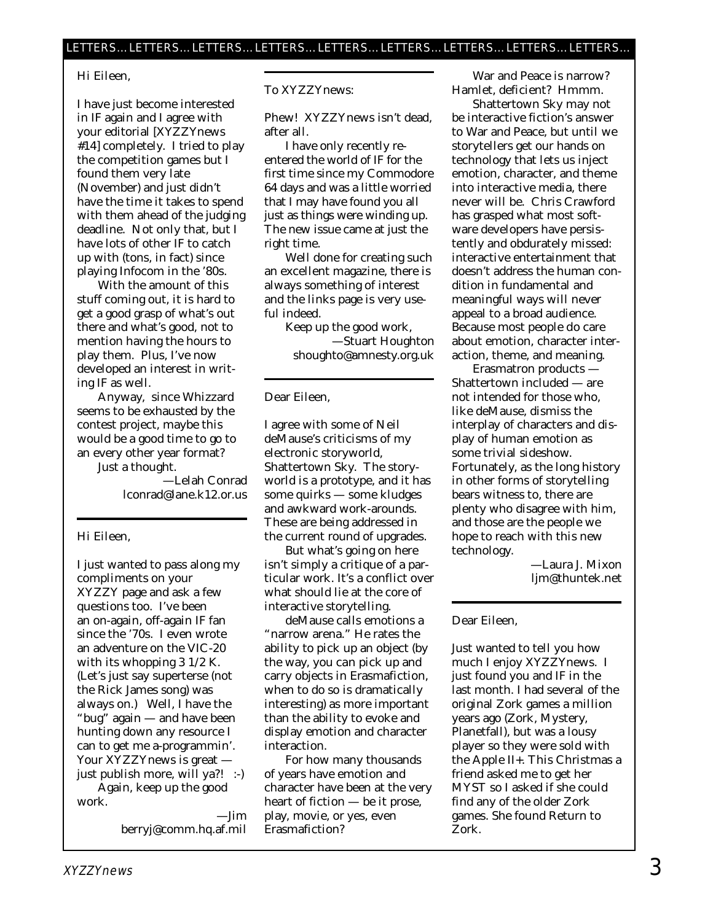#### Hi Eileen,

I have just become interested in IF again and I agree with your editorial [*XYZZYnews* #14] completely. I tried to play the competition games but I found them very late (November) and just didn't have the time it takes to spend with them ahead of the judging deadline. Not only that, but I have lots of other IF to catch up with (tons, in fact) since playing Infocom in the '80s.

With the amount of this stuff coming out, it is hard to get a good grasp of what's out there and what's good, not to mention having the hours to play them. Plus, I've now developed an interest in writing IF as well.

Anyway, since Whizzard seems to be exhausted by the contest project, maybe this would be a good time to go to an every other year format? Just a thought.

—Lelah Conrad lconrad@lane.k12.or.us

#### Hi Eileen,

I just wanted to pass along my compliments on your XYZZY page and ask a few questions too. I've been an on-again, off-again IF fan since the '70s. I even wrote an adventure on the VIC-20 with its whopping 3 1/2 K. (Let's just say superterse (not the Rick James song) was always on.) Well, I have the "bug" again — and have been hunting down any resource I can to get me a-programmin'. Your XYZZYnews is great just publish more, will ya?! :-) Again, keep up the good work.

> —Jim berryj@comm.hq.af.mil

To XYZZYnews:

Phew! XYZZYnews isn't dead, after all.

I have only recently reentered the world of IF for the first time since my Commodore 64 days and was a little worried that I may have found you all just as things were winding up. The new issue came at just the right time.

Well done for creating such an excellent magazine, there is always something of interest and the links page is very useful indeed.

> Keep up the good work, —Stuart Houghton shoughto@amnesty.org.uk

Dear Eileen,

I agree with some of Neil deMause's criticisms of my electronic storyworld, Shattertown Sky. The storyworld is a prototype, and it has some quirks — some kludges and awkward work-arounds. These are being addressed in the current round of upgrades.

But what's going on here isn't simply a critique of a particular work. It's a conflict over what should lie at the core of interactive storytelling.

deMause calls emotions a "narrow arena." He rates the ability to pick up an object (by the way, you *can* pick up and carry objects in Erasmafiction, when to do so is dramatically interesting) as more important than the ability to evoke and display emotion and character interaction.

For how many thousands of years have emotion and character have been at the very heart of fiction — be it prose, play, movie, or yes, even Erasmafiction?

War and Peace is narrow? Hamlet, deficient? Hmmm.

Shattertown Sky may not be interactive fiction's answer to War and Peace, but until we storytellers get our hands on technology that lets us inject emotion, character, and theme into interactive media, there never will be. Chris Crawford has grasped what most software developers have persistently and obdurately missed: interactive entertainment that doesn't address the human condition in fundamental and meaningful ways will never appeal to a broad audience. Because most people *do* care about emotion, character interaction, theme, and meaning.

Erasmatron products — Shattertown included — are not intended for those who, like deMause, dismiss the interplay of characters and display of human emotion as some trivial sideshow. Fortunately, as the long history in other forms of storytelling bears witness to, there are plenty who disagree with him, and those are the people we hope to reach with this new technology.

> —Laura J. Mixon ljm@thuntek.net

#### Dear Eileen,

Just wanted to tell you how much I enjoy *XYZZYnews*. I just found you and IF in the last month. I had several of the original Zork games a million years ago (Zork, Mystery, Planetfall), but was a lousy player so they were sold with the Apple II+. This Christmas a friend asked me to get her MYST so I asked if she could find any of the older Zork games. She found Return to Zork.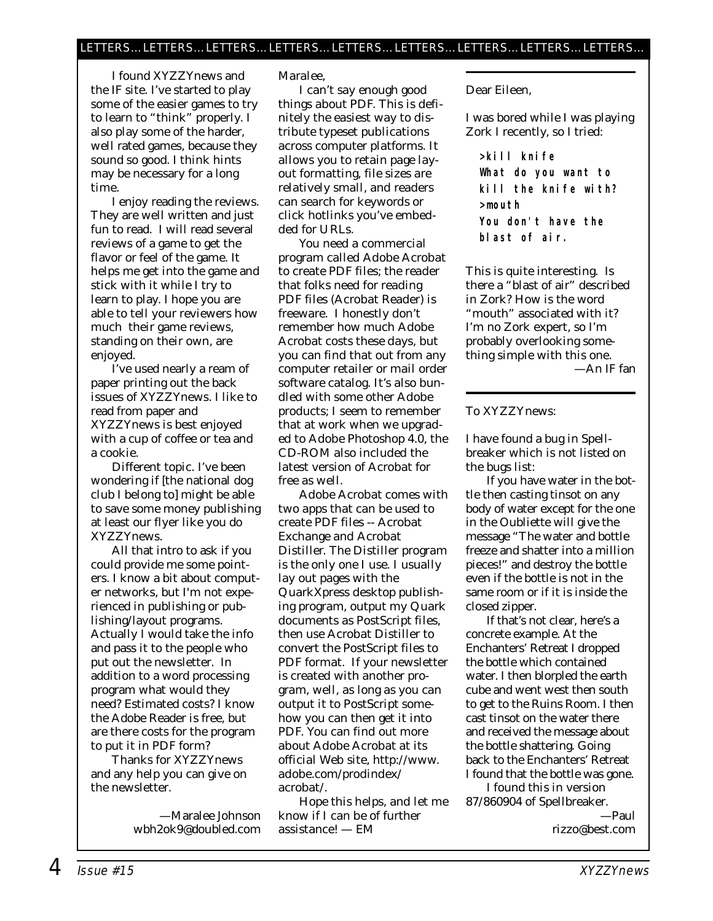I found *XYZZYnews* and the IF site. I've started to play some of the easier games to try to learn to "think" properly. I also play some of the harder, well rated games, because they sound so good. I think hints may be necessary for a long time.

I enjoy reading the reviews. They are well written and just fun to read. I will read several reviews of a game to get the flavor or feel of the game. It helps me get into the game and stick with it while I try to learn to play. I hope you are able to tell your reviewers how much their game reviews, standing on their own, are enjoyed.

I've used nearly a ream of paper printing out the back issues of *XYZZYnews.* I like to read from paper and *XYZZYnews* is best enjoyed with a cup of coffee or tea and a cookie.

Different topic. I've been wondering if [the national dog club I belong to] might be able to save some money publishing at least our flyer like you do *XYZZYnews.* 

All that intro to ask if you could provide me some pointers. I know a bit about computer networks, but I'm not experienced in publishing or publishing/layout programs. Actually I would take the info and pass it to the people who put out the newsletter. In addition to a word processing program what would they need? Estimated costs? I know the Adobe Reader is free, but are there costs for the program to put it in PDF form?

Thanks for *XYZZYnews* and any help you can give on the newsletter.

> —Maralee Johnson wbh2ok9@doubled.com

*Maralee,*

*I can't say enough good things about PDF. This is definitely the easiest way to distribute typeset publications across computer platforms. It allows you to retain page layout formatting, file sizes are relatively small, and readers can search for keywords or click hotlinks you've embedded for URLs.* 

*You need a commercial program called Adobe Acrobat to create PDF files; the reader that folks need for reading PDF files (Acrobat Reader) is freeware. I honestly don't remember how much Adobe Acrobat costs these days, but you can find that out from any computer retailer or mail order software catalog. It's also bundled with some other Adobe products; I seem to remember that at work when we upgraded to Adobe Photoshop 4.0, the CD-ROM also included the latest version of Acrobat for free as well.*

*Adobe Acrobat comes with two apps that can be used to create PDF files -- Acrobat Exchange and Acrobat Distiller. The Distiller program is the only one I use. I usually lay out pages with the QuarkXpress desktop publishing program, output my Quark documents as PostScript files, then use Acrobat Distiller to convert the PostScript files to PDF format. If your newsletter is created with another program, well, as long as you can output it to PostScript somehow you can then get it into PDF. You can find out more about Adobe Acrobat at its official Web site, http://www. adobe.com/prodindex/ acrobat/.* 

*Hope this helps, and let me know if I can be of further assistance! — EM*

Dear Eileen,

I was bored while I was playing Zork I recently, so I tried:

**>kill knife What do you want to kill the knife with? >mouth You don't have the blast of air.**

This is quite interesting. Is there a "blast of air" described in Zork? How is the word "mouth" associated with it? I'm no Zork expert, so I'm probably overlooking something simple with this one.

—An IF fan

#### To XYZZYnews:

I have found a bug in Spellbreaker which is not listed on the bugs list:

If you have water in the bottle then casting tinsot on any body of water except for the one in the Oubliette will give the message "The water and bottle freeze and shatter into a million pieces!" and destroy the bottle even if the bottle is not in the same room or if it is inside the closed zipper.

If that's not clear, here's a concrete example. At the Enchanters' Retreat I dropped the bottle which contained water. I then blorpled the earth cube and went west then south to get to the Ruins Room. I then cast tinsot on the water there and received the message about the bottle shattering. Going back to the Enchanters' Retreat I found that the bottle was gone.

I found this in version 87/860904 of Spellbreaker. —Paul

rizzo@best.com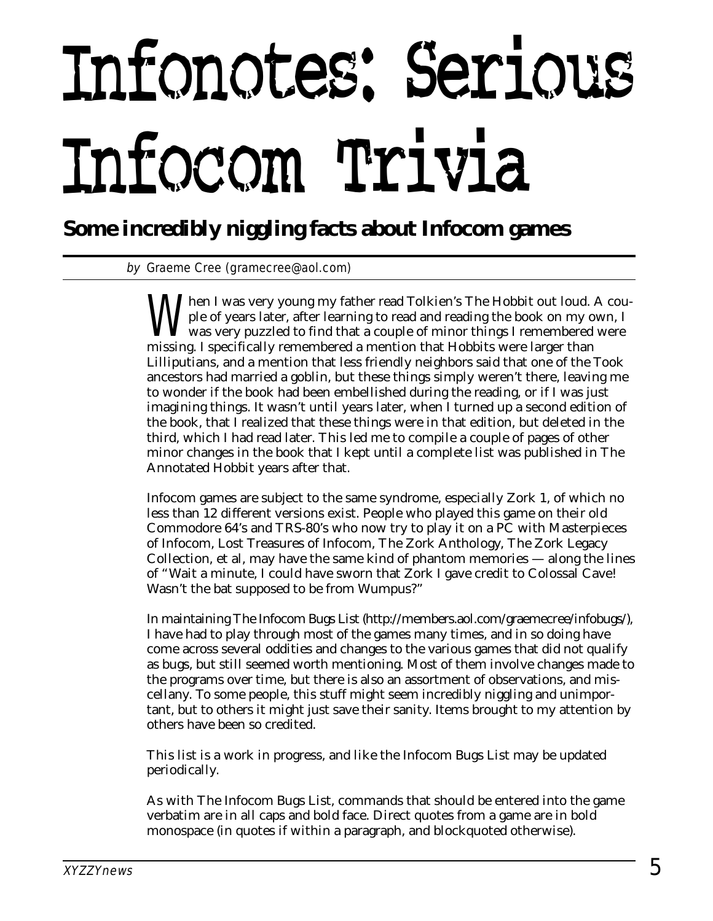# Infonotes: Serious Infocom Trivia

**Some incredibly niggling facts about Infocom games**

by Graeme Cree (gramecree@aol.com)

When I was very young my father read Tolkien's The Hobbit out loud. A couple of years later, after learning to read and reading the book on my own, I was very puzzled to find that a couple of minor things I remembered were ple of years later, after learning to read and reading the book on my own, I missing. I specifically remembered a mention that Hobbits were larger than Lilliputians, and a mention that less friendly neighbors said that one of the Took ancestors had married a goblin, but these things simply weren't there, leaving me to wonder if the book had been embellished during the reading, or if I was just imagining things. It wasn't until years later, when I turned up a second edition of the book, that I realized that these things were in that edition, but deleted in the third, which I had read later. This led me to compile a couple of pages of other minor changes in the book that I kept until a complete list was published in The Annotated Hobbit years after that.

Infocom games are subject to the same syndrome, especially Zork 1, of which no less than 12 different versions exist. People who played this game on their old Commodore 64's and TRS-80's who now try to play it on a PC with Masterpieces of Infocom, Lost Treasures of Infocom, The Zork Anthology, The Zork Legacy Collection, et al, may have the same kind of phantom memories — along the lines of "Wait a minute, I could have sworn that Zork I gave credit to Colossal Cave! Wasn't the bat supposed to be from Wumpus?"

In maintaining The Infocom Bugs List (http://members.aol.com/graemecree/infobugs/), I have had to play through most of the games many times, and in so doing have come across several oddities and changes to the various games that did not qualify as bugs, but still seemed worth mentioning. Most of them involve changes made to the programs over time, but there is also an assortment of observations, and miscellany. To some people, this stuff might seem incredibly niggling and unimportant, but to others it might just save their sanity. Items brought to my attention by others have been so credited.

This list is a work in progress, and like the Infocom Bugs List may be updated periodically.

As with The Infocom Bugs List, commands that should be entered into the game verbatim are in all caps and bold face. Direct quotes from a game are in bold monospace (in quotes if within a paragraph, and blockquoted otherwise).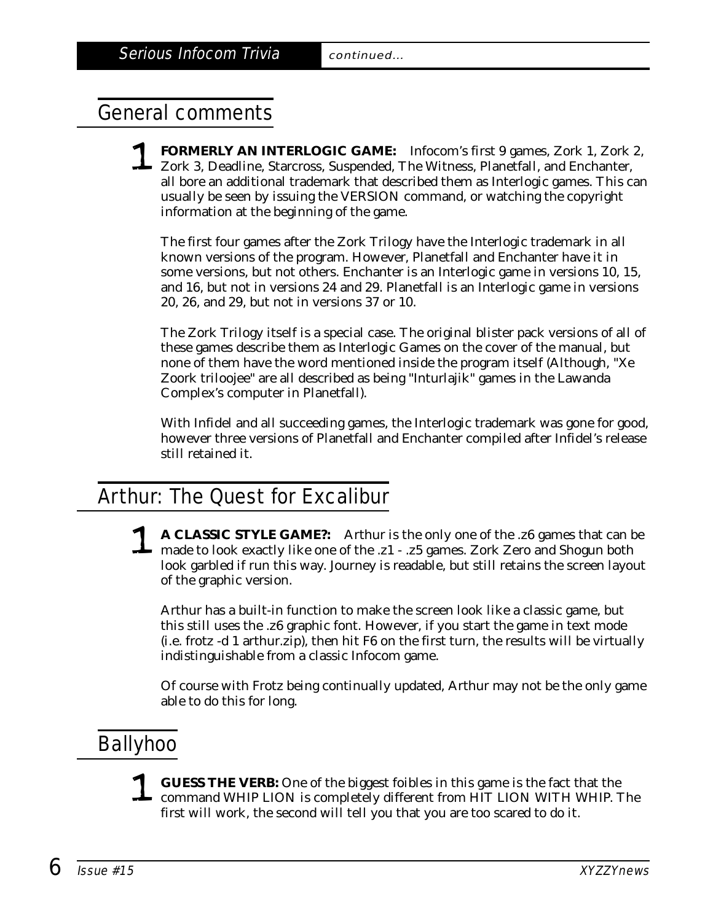## General comments

1 **FORMERLY AN INTERLOGIC GAME:** Infocom's first 9 games, Zork 1, Zork 2, Zork 3, Deadline, Starcross, Suspended, The Witness, Planetfall, and Enchanter, all bore an additional trademark that described them as Interlogic games. This can usually be seen by issuing the VERSION command, or watching the copyright information at the beginning of the game.

The first four games after the Zork Trilogy have the Interlogic trademark in all known versions of the program. However, Planetfall and Enchanter have it in some versions, but not others. Enchanter is an Interlogic game in versions 10, 15, and 16, but not in versions 24 and 29. Planetfall is an Interlogic game in versions 20, 26, and 29, but not in versions 37 or 10.

The Zork Trilogy itself is a special case. The original blister pack versions of all of these games describe them as Interlogic Games on the cover of the manual, but none of them have the word mentioned inside the program itself (Although, "Xe Zoork triloojee" are all described as being "Inturlajik" games in the Lawanda Complex's computer in Planetfall).

With Infidel and all succeeding games, the Interlogic trademark was gone for good, however three versions of Planetfall and Enchanter compiled after Infidel's release still retained it.

## Arthur: The Quest for Excalibur

A CLASSIC STYLE GAME?: Arthur is the only one of the .z6 games that can be<br>made to look exactly like one of the .z1 - .z5 games. Zork Zero and Shogun both<br>leak gamebled if we this way, Jayway is readeble, but still natsing look garbled if run this way. Journey is readable, but still retains the screen layout of the graphic version.

Arthur has a built-in function to make the screen look like a classic game, but this still uses the .z6 graphic font. However, if you start the game in text mode (i.e. frotz -d 1 arthur.zip), then hit F6 on the first turn, the results will be virtually indistinguishable from a classic Infocom game.

Of course with Frotz being continually updated, Arthur may not be the only game able to do this for long.

## Ballyhoo

1 **GUESS THE VERB:** One of the biggest foibles in this game is the fact that the command WHIP LION is completely different from HIT LION WITH WHIP. The first will work, the second will tell you that you are too scared to do it.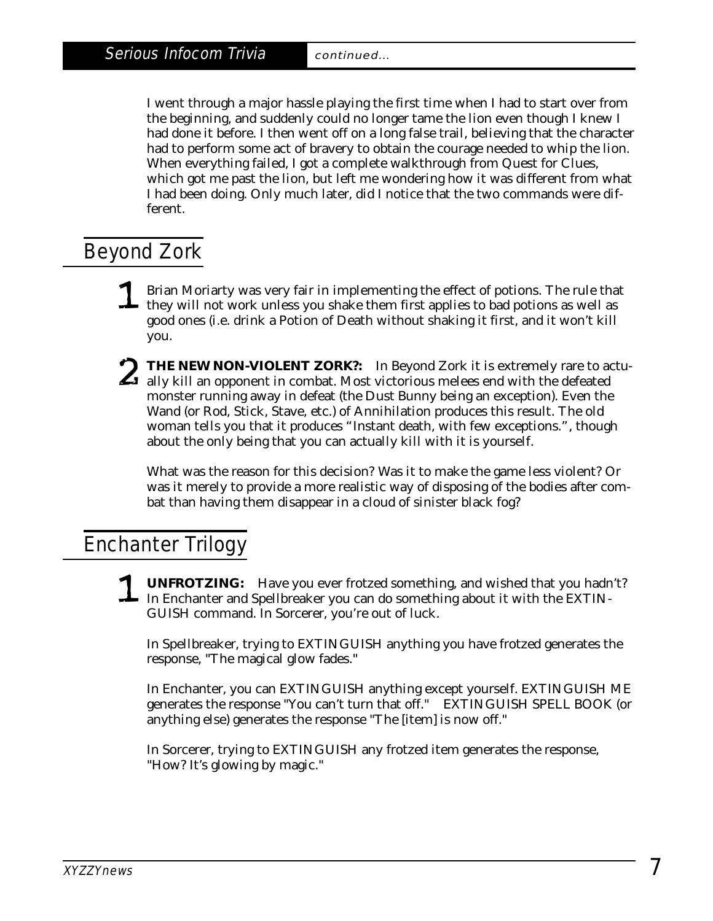I went through a major hassle playing the first time when I had to start over from the beginning, and suddenly could no longer tame the lion even though I knew I had done it before. I then went off on a long false trail, believing that the character had to perform some act of bravery to obtain the courage needed to whip the lion. When everything failed, I got a complete walkthrough from Quest for Clues, which got me past the lion, but left me wondering how it was different from what I had been doing. Only much later, did I notice that the two commands were different.

## Beyond Zork

- **1** Brian Moriarty was very fair in implementing the effect of potions. The rule that they will not work unless you shake them first applies to bad potions as well as good ones (i.e. drink a Potion of Death without shaking it first, and it won't kill you.
- THE NEW NON-VIOLENT ZORK?: In Beyond Zork it is extremely rare to actually kill an opponent in combat. Most victorious melees end with the defeated meanster numing even in defect (the Dust Bunny being an exception). Even t monster running away in defeat (the Dust Bunny being an exception). Even the Wand (or Rod, Stick, Stave, etc.) of Annihilation produces this result. The old woman tells you that it produces "Instant death, with few exceptions.", though about the only being that you can actually kill with it is yourself.

What was the reason for this decision? Was it to make the game less violent? Or was it merely to provide a more realistic way of disposing of the bodies after combat than having them disappear in a cloud of sinister black fog?

## Enchanter Trilogy

1 **UNFROTZING:** Have you ever frotzed something, and wished that you hadn't? In Enchanter and Spellbreaker you can do something about it with the EXTIN-GUISH command. In Sorcerer, you're out of luck.

In Spellbreaker, trying to EXTINGUISH anything you have frotzed generates the response, "The magical glow fades."

In Enchanter, you can EXTINGUISH anything except yourself. EXTINGUISH ME generates the response "You can't turn that off." EXTINGUISH SPELL BOOK (or anything else) generates the response "The [item] is now off."

In Sorcerer, trying to EXTINGUISH any frotzed item generates the response, "How? It's glowing by magic."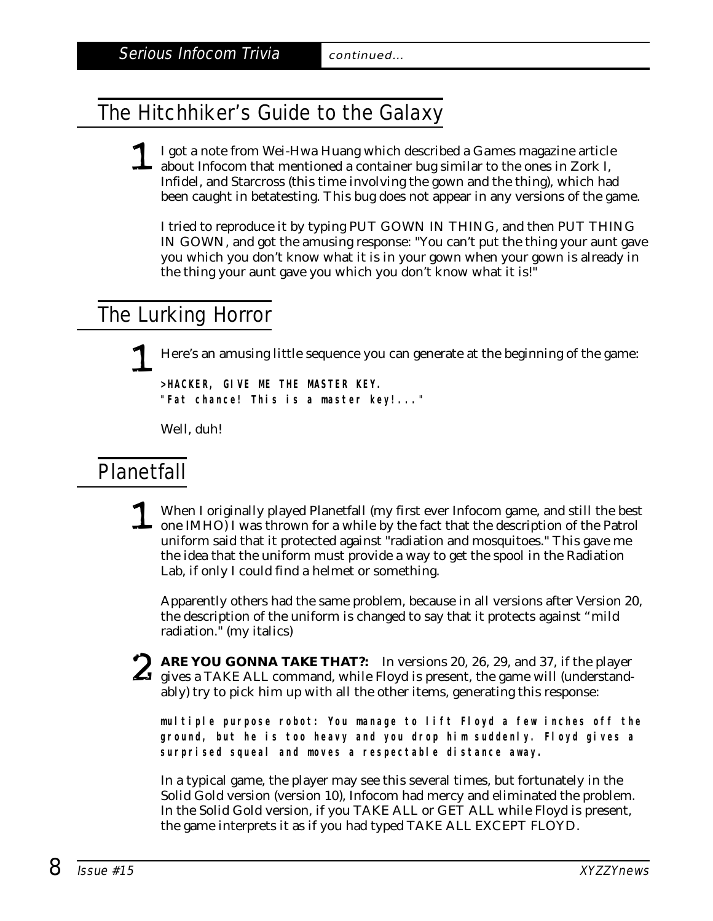## The Hitchhiker's Guide to the Galaxy

#### 1 I got a note from Wei-Hwa Huang which described a *Games* magazine article about Infocom that mentioned a container bug similar to the ones in Zork I, Infidel, and Starcross (this time involving the gown and the thing), which had been caught in betatesting. This bug does not appear in any versions of the game.

I tried to reproduce it by typing PUT GOWN IN THING, and then PUT THING IN GOWN, and got the amusing response: "You can't put the thing your aunt gave you which you don't know what it is in your gown when your gown is already in the thing your aunt gave you which you don't know what it is!"

## The Lurking Horror

1 Here's an amusing little sequence you can generate at the beginning of the game:

**>HACKER, GIVE ME THE MASTER KEY. "Fat chance! This is a master key!..."**

Well, duh!

### Planetfall

1 When I originally played Planetfall (my first ever Infocom game, and still the best one IMHO) I was thrown for a while by the fact that the description of the Patrol uniform said that it protected against "radiation and mosquitoes." This gave me the idea that the uniform must provide a way to get the spool in the Radiation Lab, if only I could find a helmet or something.

Apparently others had the same problem, because in all versions after Version 20, the description of the uniform is changed to say that it protects against *"mild* radiation." (my italics)

ARE YOU GONNA TAKE THAT?: In versions 20, 26, 29, and 37, if the player<br>gives a TAKE ALL command, while Floyd is present, the game will (understand-<br>ably) trute pick bim un with all the other items, generating this respons ably) try to pick him up with all the other items, generating this response:

**multiple purpose robot: You manage to lift Floyd a few inches off the ground, but he is too heavy and you drop him suddenly. Floyd gives a surprised squeal and moves a respectable distance away.**

In a typical game, the player may see this several times, but fortunately in the Solid Gold version (version 10), Infocom had mercy and eliminated the problem. In the Solid Gold version, if you TAKE ALL or GET ALL while Floyd is present, the game interprets it as if you had typed TAKE ALL EXCEPT FLOYD.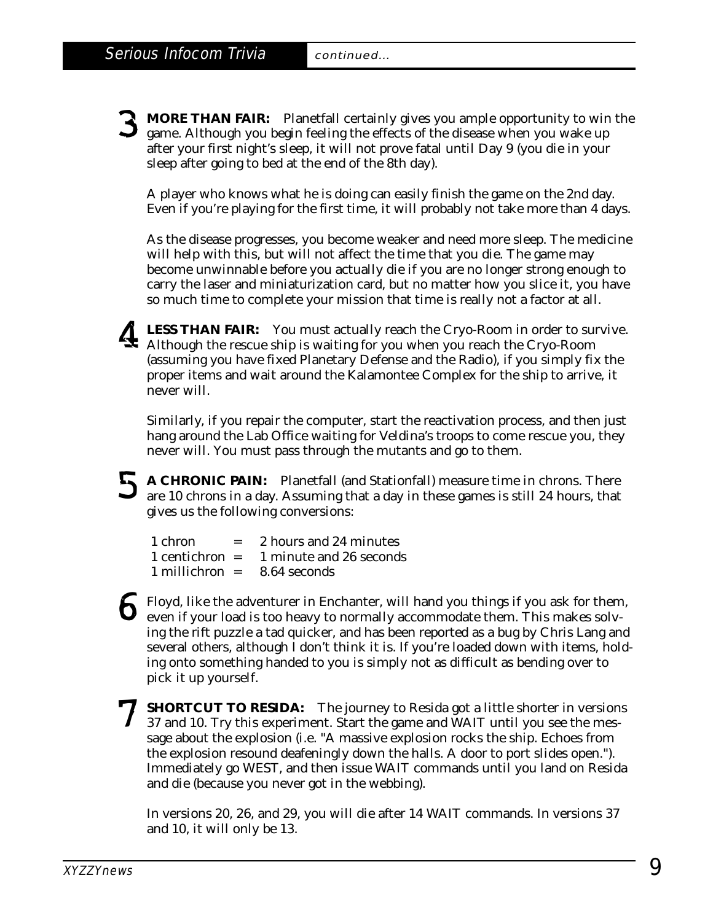3 **MORE THAN FAIR:** Planetfall certainly gives you ample opportunity to win the game. Although you begin feeling the effects of the disease when you wake up after your first night's sleep, it will not prove fatal until Day 9 (you die in your sleep after going to bed at the end of the 8th day).

A player who knows what he is doing can easily finish the game on the 2nd day. Even if you're playing for the first time, it will probably not take more than 4 days.

As the disease progresses, you become weaker and need more sleep. The medicine will help with this, but will not affect the time that you die. The game may become unwinnable before you actually die if you are no longer strong enough to carry the laser and miniaturization card, but no matter how you slice it, you have so much time to complete your mission that time is really not a factor at all.

LESS THAN FAIR: You must actually reach the Cryo-Room in order to survive.<br>Although the rescue ship is waiting for you when you reach the Cryo-Room<br>(equivalent you have fixed Planetary Defense and the Pedia) if you simply (assuming you have fixed Planetary Defense and the Radio), if you simply fix the proper items and wait around the Kalamontee Complex for the ship to arrive, it never will.

Similarly, if you repair the computer, start the reactivation process, and then just hang around the Lab Office waiting for Veldina's troops to come rescue you, they never will. You must pass through the mutants and go to them.

5 **A CHRONIC PAIN:** Planetfall (and Stationfall) measure time in chrons. There are 10 chrons in a day. Assuming that a day in these games is still 24 hours, that gives us the following conversions:

| 1 chron            | $=$ | 2 hours and 24 minutes  |
|--------------------|-----|-------------------------|
| $1$ centichron $=$ |     | 1 minute and 26 seconds |
| $1$ millichron $=$ |     | 8.64 seconds            |

- 6 Floyd, like the adventurer in Enchanter, will hand you things if you ask for them, even if your load is too heavy to normally accommodate them. This makes solving the rift puzzle a tad quicker, and has been reported as a bug by Chris Lang and several others, although I don't think it is. If you're loaded down with items, holding onto something handed to you is simply not as difficult as bending over to pick it up yourself.
- 7 **SHORTCUT TO RESIDA:** The journey to Resida got a little shorter in versions 37 and 10. Try this experiment. Start the game and WAIT until you see the message about the explosion (i.e. "A massive explosion rocks the ship. Echoes from the explosion resound deafeningly down the halls. A door to port slides open."). Immediately go WEST, and then issue WAIT commands until you land on Resida and die (because you never got in the webbing).

In versions 20, 26, and 29, you will die after 14 WAIT commands. In versions 37 and 10, it will only be 13.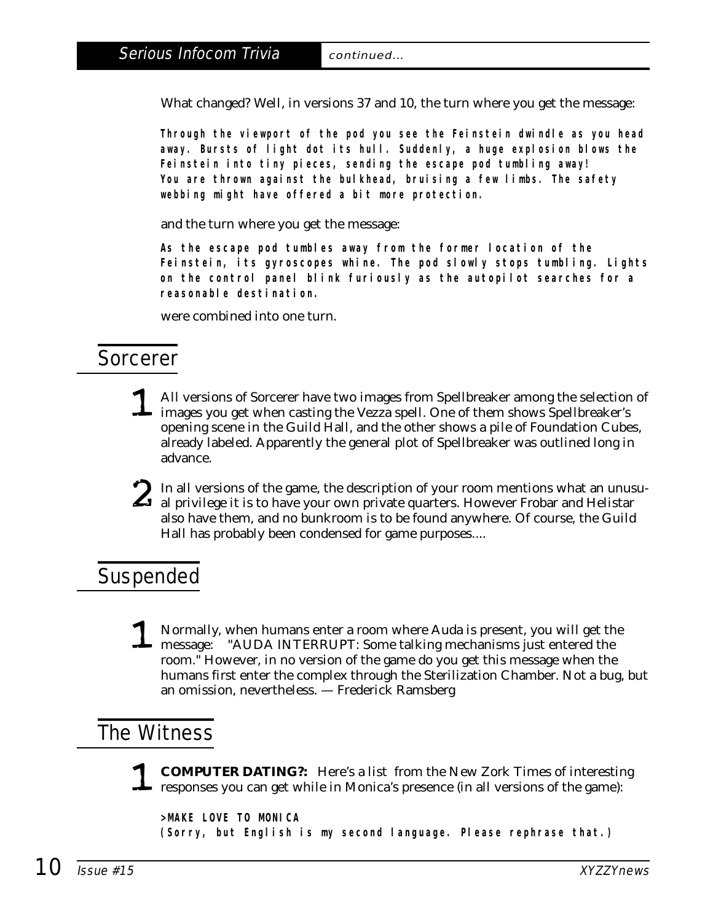What changed? Well, in versions 37 and 10, the turn where you get the message:

**Through the viewport of the pod you see the Feinstein dwindle as you head away. Bursts of light dot its hull. Suddenly, a huge explosion blows the Feinstein into tiny pieces, sending the escape pod tumbling away! You are thrown against the bulkhead, bruising a few limbs. The safety webbing might have offered a bit more protection.**

and the turn where you get the message:

**As the escape pod tumbles away from the former location of the Feinstein, its gyroscopes whine. The pod slowly stops tumbling. Lights on the control panel blink furiously as the autopilot searches for a reasonable destination.**

were combined into one turn.

## Sorcerer

- 1 All versions of Sorcerer have two images from Spellbreaker among the selection of images you get when casting the Vezza spell. One of them shows Spellbreaker's opening scene in the Guild Hall, and the other shows a pile of Foundation Cubes, already labeled. Apparently the general plot of Spellbreaker was outlined long in advance.
- In all versions of the game, the description of your room mentions what an unusu-<br>al privilege it is to have your own private quarters. However Frobar and Helistar<br>also have them, and no hunknown is to be found anywhere. O also have them, and no bunkroom is to be found anywhere. Of course, the Guild Hall has probably been condensed for game purposes....

## Suspended

1 Normally, when humans enter a room where Auda is present, you will get the<br>message: "AUDA INTERRUPT: Some talking mechanisms just entered the<br>meson "Houwyer in no version of the game do you get this message when the room." However, in no version of the game do you get this message when the humans first enter the complex through the Sterilization Chamber. Not a bug, but an omission, nevertheless. — Frederick Ramsberg

## The Witness

1 **COMPUTER DATING?:** Here's a list from the New Zork Times of interesting responses you can get while in Monica's presence (in all versions of the game):

**>MAKE LOVE TO MONICA (Sorry, but English is my second language. Please rephrase that.)**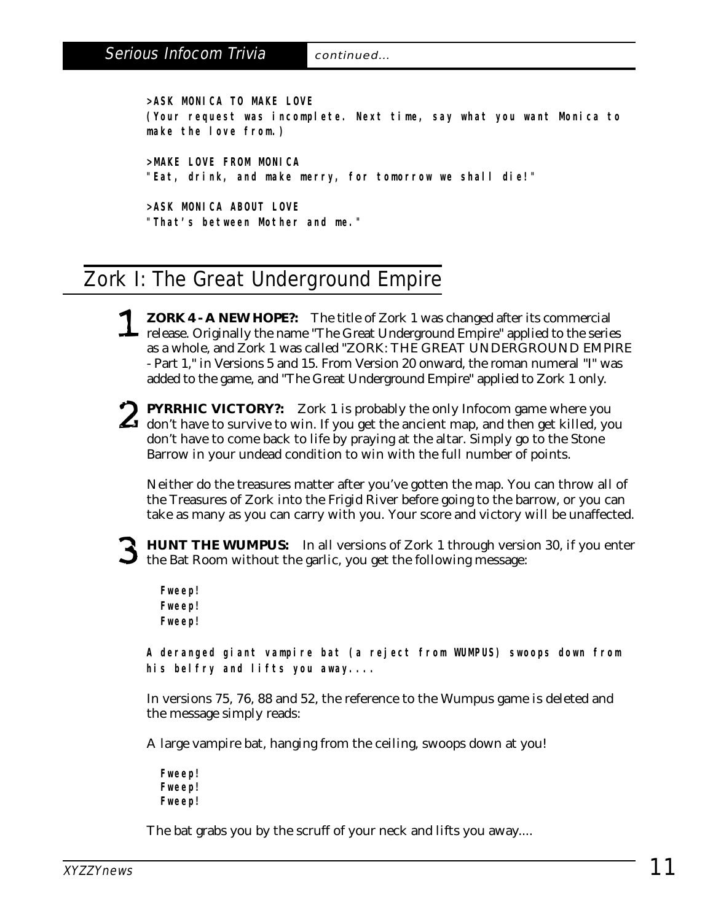**>ASK MONICA TO MAKE LOVE (Your request was incomplete. Next time, say what you want Monica to make the love from.)**

**>MAKE LOVE FROM MONICA "Eat, drink, and make merry, for tomorrow we shall die!"**

**>ASK MONICA ABOUT LOVE "That's between Mother and me."**

## Zork I: The Great Underground Empire

- 1 **ZORK 4 A NEW HOPE?:** The title of Zork 1 was changed after its commercial release. Originally the name "The Great Underground Empire" applied to the series as a whole, and Zork 1 was called "ZORK: THE GREAT UNDERGROUND EMPIRE - Part 1," in Versions 5 and 15. From Version 20 onward, the roman numeral "I" was added to the game, and "The Great Underground Empire" applied to Zork 1 only.
- **2** PYRRHIC VICTORY?: Zork 1 is probably the only Infocom game where you don't have to survive to win. If you get the ancient map, and then get killed, you don't have to some book to life by proving at the elter Simply ge don't have to come back to life by praying at the altar. Simply go to the Stone Barrow in your undead condition to win with the full number of points.

Neither do the treasures matter after you've gotten the map. You can throw all of the Treasures of Zork into the Frigid River before going to the barrow, or you can take as many as you can carry with you. Your score and victory will be unaffected.

3 **HUNT THE WUMPUS:** In all versions of Zork 1 through version 30, if you enter the Bat Room without the garlic, you get the following message:

**Fweep! Fweep! Fweep!**

**A deranged giant vampire bat (a reject from WUMPUS) swoops down from his belfry and lifts you away....**

In versions 75, 76, 88 and 52, the reference to the Wumpus game is deleted and the message simply reads:

A large vampire bat, hanging from the ceiling, swoops down at you!

**Fweep! Fweep! Fweep!**

The bat grabs you by the scruff of your neck and lifts you away....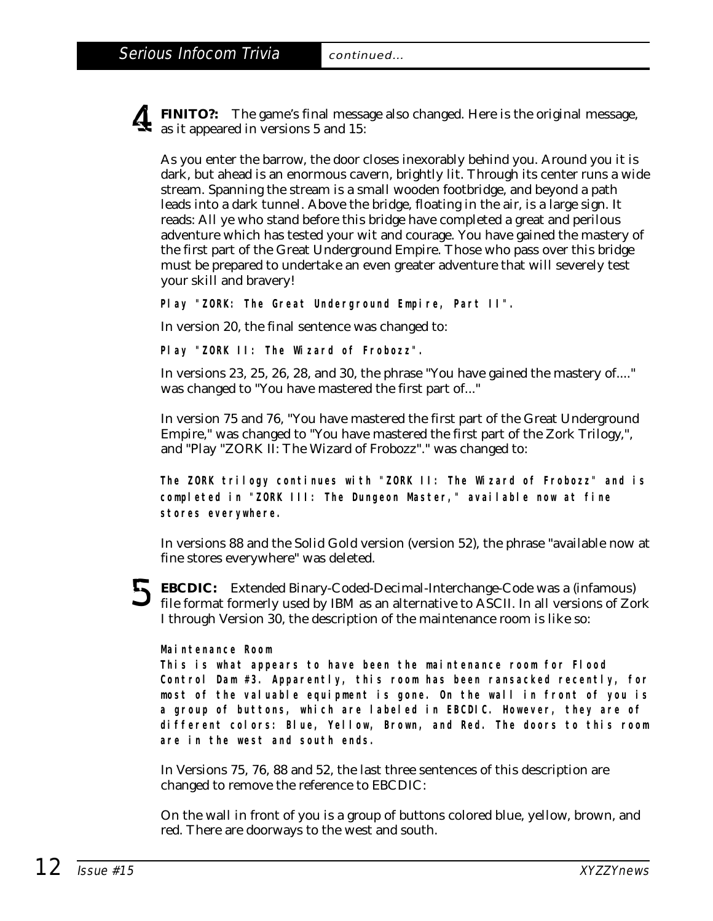4 **FINITO?:** The game's final message also changed. Here is the original message, as it appeared in versions 5 and 15:

As you enter the barrow, the door closes inexorably behind you. Around you it is dark, but ahead is an enormous cavern, brightly lit. Through its center runs a wide stream. Spanning the stream is a small wooden footbridge, and beyond a path leads into a dark tunnel. Above the bridge, floating in the air, is a large sign. It reads: All ye who stand before this bridge have completed a great and perilous adventure which has tested your wit and courage. You have gained the mastery of the first part of the Great Underground Empire. Those who pass over this bridge must be prepared to undertake an even greater adventure that will severely test your skill and bravery!

**Play "ZORK: The Great Underground Empire, Part II".**

In version 20, the final sentence was changed to:

**Play "ZORK II: The Wizard of Frobozz".**

In versions 23, 25, 26, 28, and 30, the phrase "You have gained the mastery of...." was changed to "You have mastered the first part of..."

In version 75 and 76, "You have mastered the first part of the Great Underground Empire," was changed to "You have mastered the first part of the Zork Trilogy,", and "Play "ZORK II: The Wizard of Frobozz"." was changed to:

**The ZORK trilogy continues with "ZORK II: The Wizard of Frobozz" and is completed in "ZORK III: The Dungeon Master," available now at fine stores everywhere.**

In versions 88 and the Solid Gold version (version 52), the phrase "available now at fine stores everywhere" was deleted.

EBCDIC: Extended Binary-Coded-Decimal-Interchange-Code was a (infamous)<br>
file format formerly used by IBM as an alternative to ASCII. In all versions of Zor file format formerly used by IBM as an alternative to ASCII. In all versions of Zork I through Version 30, the description of the maintenance room is like so:

#### **Maintenance Room**

**This is what appears to have been the maintenance room for Flood Control Dam #3. Apparently, this room has been ransacked recently, for most of the valuable equipment is gone. On the wall in front of you is a group of buttons, which are labeled in EBCDIC. However, they are of different colors: Blue, Yellow, Brown, and Red. The doors to this room are in the west and south ends.**

In Versions 75, 76, 88 and 52, the last three sentences of this description are changed to remove the reference to EBCDIC:

On the wall in front of you is a group of buttons colored blue, yellow, brown, and red. There are doorways to the west and south.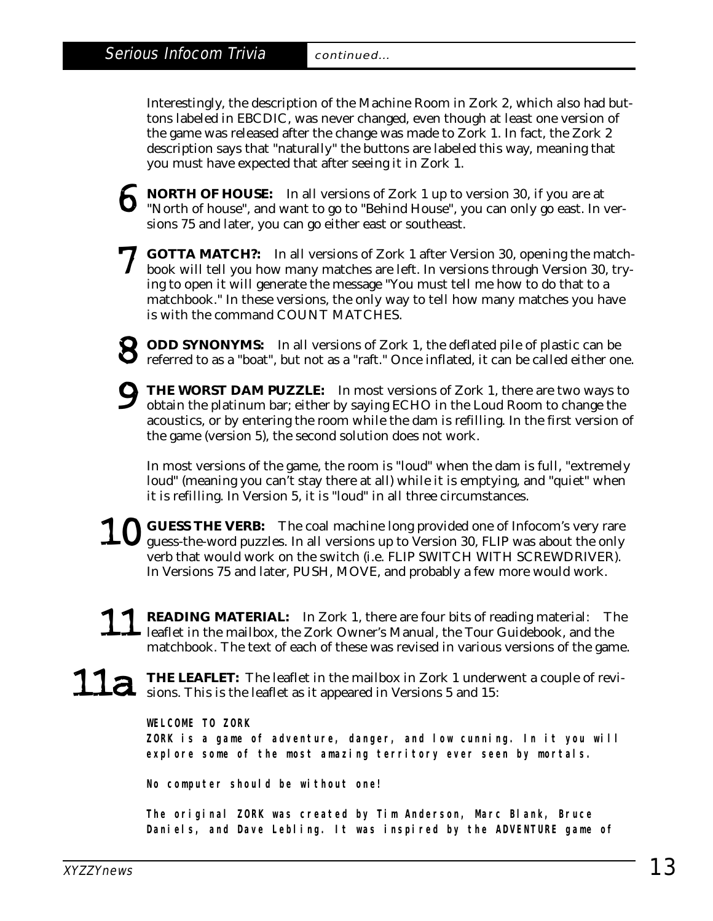Interestingly, the description of the Machine Room in Zork 2, which also had buttons labeled in EBCDIC, was never changed, even though at least one version of the game was released after the change was made to Zork 1. In fact, the Zork 2 description says that "naturally" the buttons are labeled this way, meaning that you must have expected that after seeing it in Zork 1.

- **6** NORTH OF HOUSE: In all versions of Zork 1 up to version 30, if you are at "North of house", and want to go to "Behind House", you can only go east. In versions 75 and later, you can go either east or southeast.
- 7 **GOTTA MATCH?:** In all versions of Zork 1 after Version 30, opening the matchbook will tell you how many matches are left. In versions through Version 30, trying to open it will generate the message "You must tell me how to do that to a matchbook." In these versions, the only way to tell how many matches you have is with the command COUNT MATCHES.
- 8 **ODD SYNONYMS:** In all versions of Zork 1, the deflated pile of plastic can be **P** referred to as a "boat", but not as a "raft." Once inflated, it can be called either one.
- 9 **THE WORST DAM PUZZLE:** In most versions of Zork 1, there are two ways to obtain the platinum bar; either by saying ECHO in the Loud Room to change the acoustics, or by entering the room while the dam is refilling. In the first version of the game (version 5), the second solution does not work.

In most versions of the game, the room is "loud" when the dam is full, "extremely loud" (meaning you can't stay there at all) while it is emptying, and "quiet" when it is refilling. In Version 5, it is "loud" in all three circumstances.

- 10 **GUESS THE VERB:** The coal machine long provided one of Infocom's very rare guess-the-word puzzles. In all versions up to Version 30, FLIP was about the only verb that would work on the switch (i.e. FLIP SWITCH WITH SCREWDRIVER). In Versions 75 and later, PUSH, MOVE, and probably a few more would work.
- READING MATERIAL: In Zork 1, there are four bits of reading material: The leaflet in the mailbox, the Zork Owner's Manual, the Tour Guidebook, and the matchbook. The text of each of these was revised in various versions of the game.
- THE LEAFLET: The leaflet in the mailbox in Zork 1 underwent a couple of revisions. This is the leaflet as it appeared in Versions 5 and 15:

#### **WELCOME TO ZORK**

**ZORK is a game of adventure, danger, and low cunning. In it you will explore some of the most amazing territory ever seen by mortals.**

**No computer should be without one!**

**The original ZORK was created by Tim Anderson, Marc Blank, Bruce Daniels, and Dave Lebling. It was inspired by the ADVENTURE game of**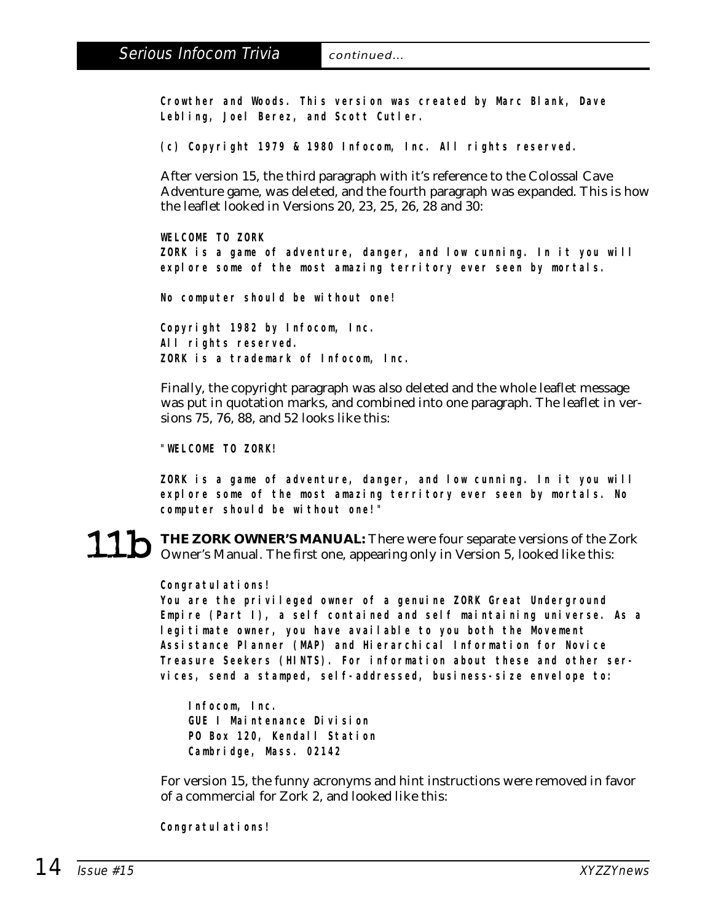**Crowther and Woods. This version was created by Marc Blank, Dave Lebling, Joel Berez, and Scott Cutler.**

**(c) Copyright 1979 & 1980 Infocom, Inc. All rights reserved.**

After version 15, the third paragraph with it's reference to the Colossal Cave Adventure game, was deleted, and the fourth paragraph was expanded. This is how the leaflet looked in Versions 20, 23, 25, 26, 28 and 30:

**WELCOME TO ZORK ZORK is a game of adventure, danger, and low cunning. In it you will explore some of the most amazing territory ever seen by mortals.**

**No computer should be without one!**

**Copyright 1982 by Infocom, Inc. All rights reserved. ZORK is a trademark of Infocom, Inc.**

Finally, the copyright paragraph was also deleted and the whole leaflet message was put in quotation marks, and combined into one paragraph. The leaflet in versions 75, 76, 88, and 52 looks like this:

**"WELCOME TO ZORK!**

**ZORK is a game of adventure, danger, and low cunning. In it you will explore some of the most amazing territory ever seen by mortals. No computer should be without one!"**

11b **THE ZORK OWNER'S MANUAL:** There were four separate versions of the Zork Owner's Manual. The first one, appearing only in Version 5, looked like this:

#### **Congratulations!**

**You are the privileged owner of a genuine ZORK Great Underground Empire (Part I), a self contained and self maintaining universe. As a legitimate owner, you have available to you both the Movement Assistance Planner (MAP) and Hierarchical Information for Novice Treasure Seekers (HINTS). For information about these and other services, send a stamped, self-addressed, business-size envelope to:**

**Infocom, Inc. GUE I Maintenance Division PO Box 120, Kendall Station Cambridge, Mass. 02142**

For version 15, the funny acronyms and hint instructions were removed in favor of a commercial for Zork 2, and looked like this:

**Congratulations!**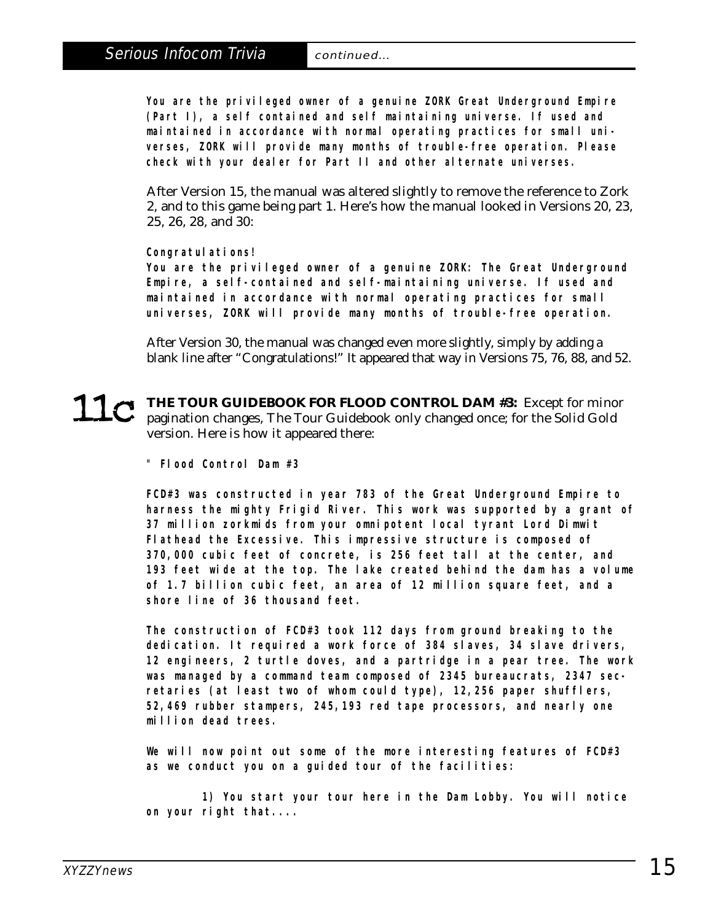**You are the privileged owner of a genuine ZORK Great Underground Empire (Part I), a self contained and self maintaining universe. If used and maintained in accordance with normal operating practices for small universes, ZORK will provide many months of trouble-free operation. Please check with your dealer for Part II and other alternate universes.**

After Version 15, the manual was altered slightly to remove the reference to Zork 2, and to this game being part 1. Here's how the manual looked in Versions 20, 23, 25, 26, 28, and 30:

#### **Congratulations!**

**You are the privileged owner of a genuine ZORK: The Great Underground Empire, a self-contained and self-maintaining universe. If used and maintained in accordance with normal operating practices for small universes, ZORK will provide many months of trouble-free operation.**

After Version 30, the manual was changed even more slightly, simply by adding a blank line after "Congratulations!" It appeared that way in Versions 75, 76, 88, and 52.

THE TOUR GUIDEBOOK FOR FLOOD CONTROL DAM #3: Except for minor pagination changes, The Tour Guidebook only changed once; for the Solid Gold version. Here is how it appeared there:

**" Flood Control Dam #3**

**FCD#3 was constructed in year 783 of the Great Underground Empire to harness the mighty Frigid River. This work was supported by a grant of 37 million zorkmids from your omnipotent local tyrant Lord Dimwit Flathead the Excessive. This impressive structure is composed of 370,000 cubic feet of concrete, is 256 feet tall at the center, and 193 feet wide at the top. The lake created behind the dam has a volume of 1.7 billion cubic feet, an area of 12 million square feet, and a shore line of 36 thousand feet.**

**The construction of FCD#3 took 112 days from ground breaking to the dedication. It required a work force of 384 slaves, 34 slave drivers, 12 engineers, 2 turtle doves, and a partridge in a pear tree. The work was managed by a command team composed of 2345 bureaucrats, 2347 secretaries (at least two of whom could type), 12,256 paper shufflers, 52,469 rubber stampers, 245,193 red tape processors, and nearly one million dead trees.**

**We will now point out some of the more interesting features of FCD#3 as we conduct you on a guided tour of the facilities:**

**1) You start your tour here in the Dam Lobby. You will notice on your right that....**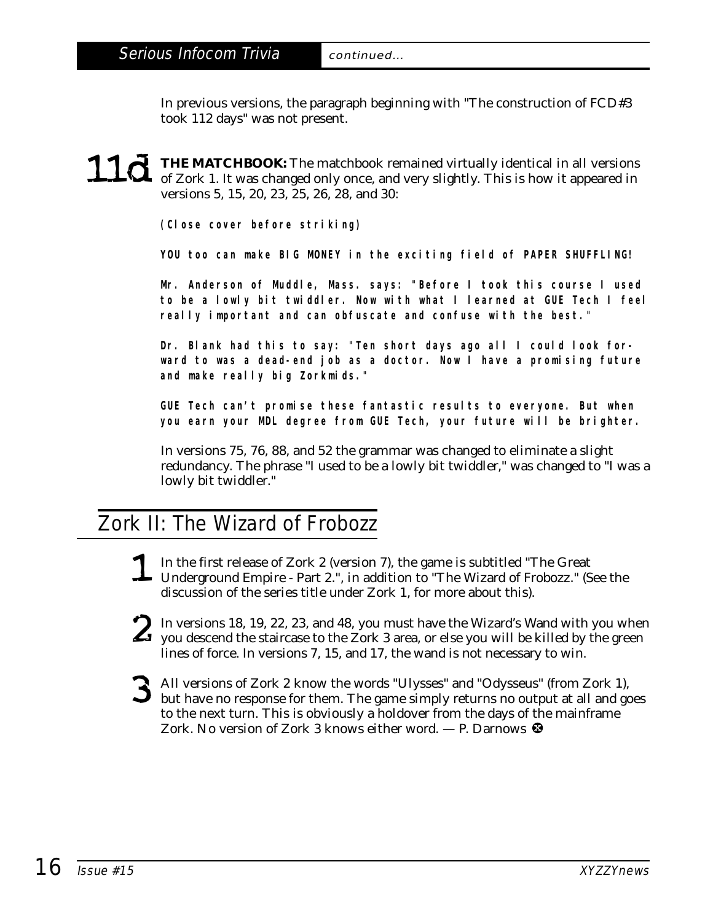In previous versions, the paragraph beginning with "The construction of FCD#3 took 112 days" was not present.

## **11d** THE MATCHBOOK: The matchbook remained virtually identical in all versions of Zork 1. It was changed only once, and very slightly. This is how it appeared in versions 5, 15, 20, 23, 25, 26, 28, and 30:

**(Close cover before striking)**

**YOU too can make BIG MONEY in the exciting field of PAPER SHUFFLING!**

**Mr. Anderson of Muddle, Mass. says: "Before I took this course I used to be a lowly bit twiddler. Now with what I learned at GUE Tech I feel really important and can obfuscate and confuse with the best."**

**Dr. Blank had this to say: "Ten short days ago all I could look forward to was a dead-end job as a doctor. Now I have a promising future and make really big Zorkmids."**

**GUE Tech can't promise these fantastic results to everyone. But when you earn your MDL degree from GUE Tech, your future will be brighter.**

In versions 75, 76, 88, and 52 the grammar was changed to eliminate a slight redundancy. The phrase "I used to be a lowly bit twiddler," was changed to "I was a lowly bit twiddler."

## Zork II: The Wizard of Frobozz

- 1 In the first release of Zork 2 (version 7), the game is subtitled "The Great Underground Empire - Part 2.", in addition to "The Wizard of Frobozz." (See the discussion of the series title under Zork 1, for more about this).
- In versions 18, 19, 22, 23, and 48, you must have the Wizard's Wand with you when<br>you descend the staircase to the Zork 3 area, or else you will be killed by the green<br>lines of force. In versions  $7, 15,$  and  $17,$  the wo lines of force. In versions 7, 15, and 17, the wand is not necessary to win.
- 3 All versions of Zork 2 know the words "Ulysses" and "Odysseus" (from Zork 1), but have no response for them. The game simply returns no output at all and goes to the next turn. This is obviously a holdover from the days of the mainframe Zork. No version of Zork 3 knows either word.  $-$  P. Darnows  $\bullet$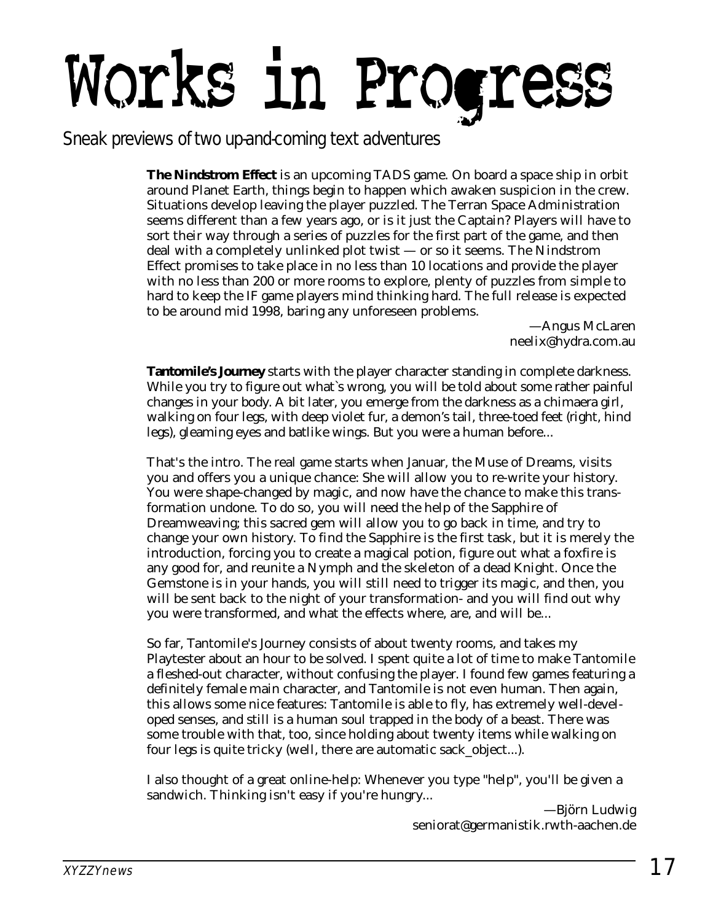# Works in Progress

Sneak previews of two up-and-coming text adventures

**The Nindstrom Effect** is an upcoming TADS game. On board a space ship in orbit around Planet Earth, things begin to happen which awaken suspicion in the crew. Situations develop leaving the player puzzled. The Terran Space Administration seems different than a few years ago, or is it just the Captain? Players will have to sort their way through a series of puzzles for the first part of the game, and then deal with a completely unlinked plot twist — or so it seems. The Nindstrom Effect promises to take place in no less than 10 locations and provide the player with no less than 200 or more rooms to explore, plenty of puzzles from simple to hard to keep the IF game players mind thinking hard. The full release is expected to be around mid 1998, baring any unforeseen problems.

—Angus McLaren neelix@hydra.com.au

**Tantomile's Journey** starts with the player character standing in complete darkness. While you try to figure out what`s wrong, you will be told about some rather painful changes in your body. A bit later, you emerge from the darkness as a chimaera girl, walking on four legs, with deep violet fur, a demon's tail, three-toed feet (right, hind legs), gleaming eyes and batlike wings. But you were a human before...

That's the intro. The real game starts when Januar, the Muse of Dreams, visits you and offers you a unique chance: She will allow you to re-write your history. You were shape-changed by magic, and now have the chance to make this transformation undone. To do so, you will need the help of the Sapphire of Dreamweaving; this sacred gem will allow you to go back in time, and try to change your own history. To find the Sapphire is the first task, but it is merely the introduction, forcing you to create a magical potion, figure out what a foxfire is any good for, and reunite a Nymph and the skeleton of a dead Knight. Once the Gemstone is in your hands, you will still need to trigger its magic, and then, you will be sent back to the night of your transformation- and you will find out why you were transformed, and what the effects where, are, and will be...

So far, Tantomile's Journey consists of about twenty rooms, and takes my Playtester about an hour to be solved. I spent quite a lot of time to make Tantomile a fleshed-out character, without confusing the player. I found few games featuring a definitely female main character, and Tantomile is not even human. Then again, this allows some nice features: Tantomile is able to fly, has extremely well-developed senses, and still is a human soul trapped in the body of a beast. There was some trouble with that, too, since holding about twenty items while walking on four legs is quite tricky (well, there are automatic sack\_object...).

I also thought of a great online-help: Whenever you type "help", you'll be given a sandwich. Thinking isn't easy if you're hungry...

—Björn Ludwig seniorat@germanistik.rwth-aachen.de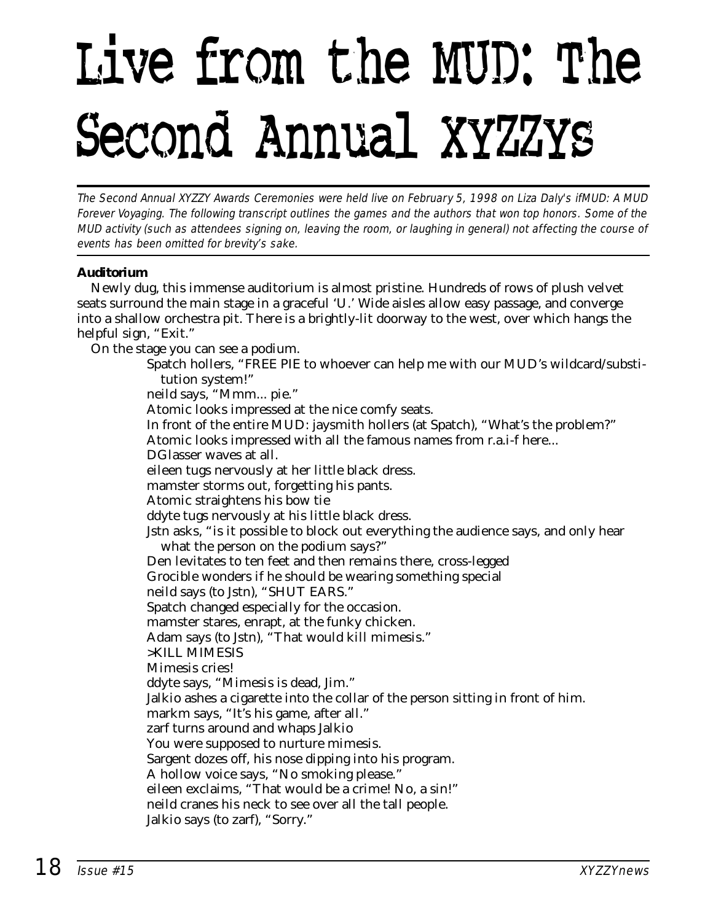## Live from the MUD: The Second Annual XYZZYs

The Second Annual XYZZY Awards Ceremonies were held live on February 5, 1998 on Liza Daly's ifMUD: A MUD Forever Voyaging. The following transcript outlines the games and the authors that won top honors. Some of the MUD activity (such as attendees signing on, leaving the room, or laughing in general) not affecting the course of events has been omitted for brevity's sake.

#### **Auditorium**

Newly dug, this immense auditorium is almost pristine. Hundreds of rows of plush velvet seats surround the main stage in a graceful 'U.' Wide aisles allow easy passage, and converge into a shallow orchestra pit. There is a brightly-lit doorway to the west, over which hangs the helpful sign, "Exit."

On the stage you can see a podium.

Spatch hollers, "FREE PIE to whoever can help me with our MUD's wildcard/substitution system!" neild says, "Mmm... pie." Atomic looks impressed at the nice comfy seats. In front of the entire MUD: jaysmith hollers (at Spatch), "What's the problem?" Atomic looks impressed with all the famous names from r.a.i-f here... DGlasser waves at all. eileen tugs nervously at her little black dress. mamster storms out, forgetting his pants. Atomic straightens his bow tie ddyte tugs nervously at his little black dress. Jstn asks, "is it possible to block out everything the audience says, and only hear what the person on the podium says?" Den levitates to ten feet and then remains there, cross-legged Grocible wonders if he should be wearing something special neild says (to Jstn), "SHUT EARS." Spatch changed especially for the occasion. mamster stares, enrapt, at the funky chicken. Adam says (to Jstn), "That would kill mimesis." >KILL MIMESIS Mimesis cries! ddyte says, "Mimesis is dead, Jim." Jalkio ashes a cigarette into the collar of the person sitting in front of him. markm says, "It's his game, after all." zarf turns around and whaps Jalkio You were supposed to nurture mimesis. Sargent dozes off, his nose dipping into his program. A hollow voice says, "No smoking please." eileen exclaims, "That would be a crime! No, a sin!" neild cranes his neck to see over all the tall people. Jalkio says (to zarf), "Sorry."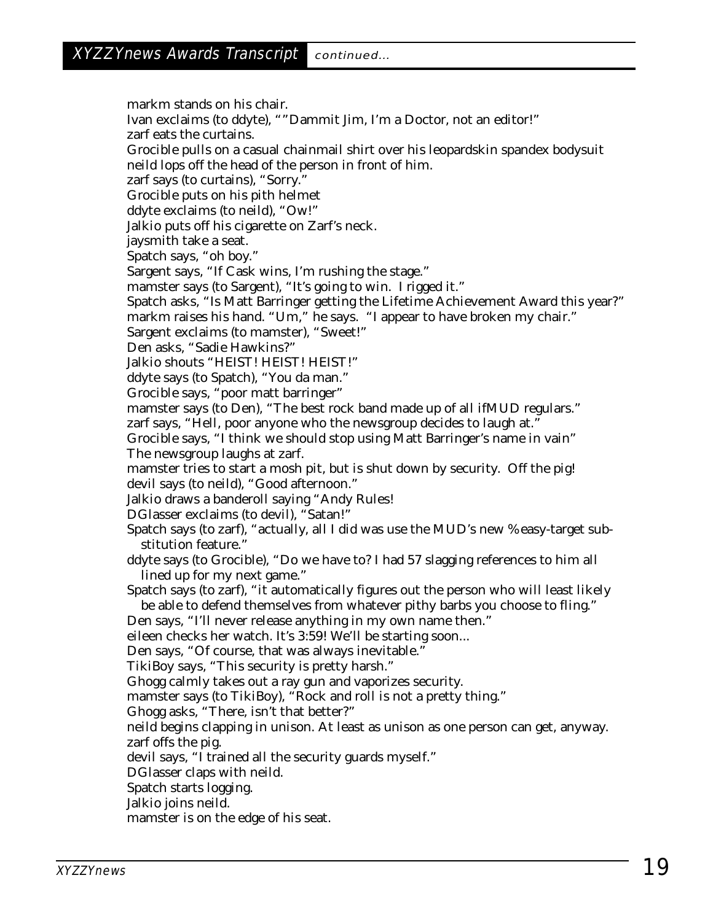markm stands on his chair. Ivan exclaims (to ddyte), ""Dammit Jim, I'm a Doctor, not an editor!" zarf eats the curtains. Grocible pulls on a casual chainmail shirt over his leopardskin spandex bodysuit neild lops off the head of the person in front of him. zarf says (to curtains), "Sorry." Grocible puts on his pith helmet ddyte exclaims (to neild), "Ow!" Jalkio puts off his cigarette on Zarf's neck. jaysmith take a seat. Spatch says, "oh boy." Sargent says, "If Cask wins, I'm rushing the stage." mamster says (to Sargent), "It's going to win. I rigged it." Spatch asks, "Is Matt Barringer getting the Lifetime Achievement Award this year?" markm raises his hand. "Um," he says. "I appear to have broken my chair." Sargent exclaims (to mamster), "Sweet!" Den asks, "Sadie Hawkins?" Jalkio shouts "HEIST! HEIST! HEIST!" ddyte says (to Spatch), "You da man." Grocible says, "poor matt barringer" mamster says (to Den), "The best rock band made up of all ifMUD regulars." zarf says, "Hell, poor anyone who the newsgroup decides to laugh at." Grocible says, "I think we should stop using Matt Barringer's name in vain" The newsgroup laughs at zarf. mamster tries to start a mosh pit, but is shut down by security. Off the pig! devil says (to neild), "Good afternoon." Jalkio draws a banderoll saying "Andy Rules! DGlasser exclaims (to devil), "Satan!" Spatch says (to zarf), "actually, all I did was use the MUD's new %easy-target substitution feature." ddyte says (to Grocible), "Do we have to? I had 57 slagging references to him all lined up for my next game." Spatch says (to zarf), "it automatically figures out the person who will least likely be able to defend themselves from whatever pithy barbs you choose to fling." Den says, "I'll never release anything in my own name then." eileen checks her watch. It's 3:59! We'll be starting soon... Den says, "Of course, that was always inevitable." TikiBoy says, "This security is pretty harsh." Ghogg calmly takes out a ray gun and vaporizes security. mamster says (to TikiBoy), "Rock and roll is not a pretty thing." Ghogg asks, "There, isn't that better?" neild begins clapping in unison. At least as unison as one person can get, anyway. zarf offs the pig. devil says, "I trained all the security guards myself." DGlasser claps with neild. Spatch starts logging. Jalkio joins neild. mamster is on the edge of his seat.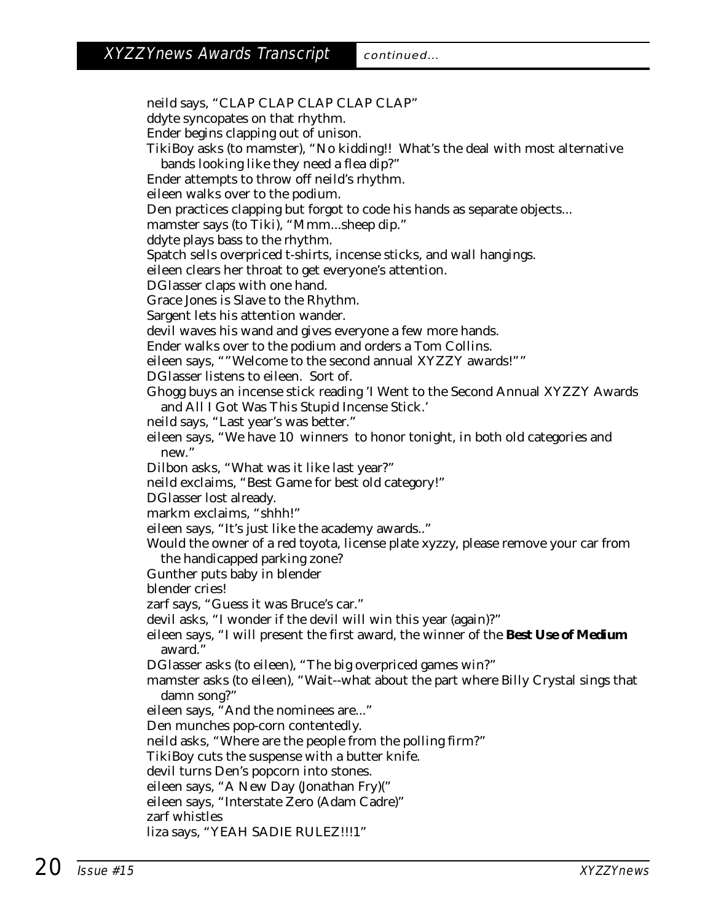neild says, "CLAP CLAP CLAP CLAP CLAP" ddyte syncopates on that rhythm. Ender begins clapping out of unison. TikiBoy asks (to mamster), "No kidding!! What's the deal with most alternative bands looking like they need a flea dip?" Ender attempts to throw off neild's rhythm. eileen walks over to the podium. Den practices clapping but forgot to code his hands as separate objects... mamster says (to Tiki), "Mmm...sheep dip." ddyte plays bass to the rhythm. Spatch sells overpriced t-shirts, incense sticks, and wall hangings. eileen clears her throat to get everyone's attention. DGlasser claps with one hand. Grace Jones is Slave to the Rhythm. Sargent lets his attention wander. devil waves his wand and gives everyone a few more hands. Ender walks over to the podium and orders a Tom Collins. eileen says, ""Welcome to the second annual XYZZY awards!"" DGlasser listens to eileen. Sort of. Ghogg buys an incense stick reading 'I Went to the Second Annual XYZZY Awards and All I Got Was This Stupid Incense Stick.' neild says, "Last year's was better." eileen says, "We have 10 winners to honor tonight, in both old categories and new." Dilbon asks, "What was it like last year?" neild exclaims, "Best Game for best old category!" DGlasser lost already. markm exclaims, "shhh!" eileen says, "It's just like the academy awards.." Would the owner of a red toyota, license plate xyzzy, please remove your car from the handicapped parking zone? Gunther puts baby in blender blender cries! zarf says, "Guess it was Bruce's car." devil asks, "I wonder if the devil will win this year (again)?" eileen says, "I will present the first award, the winner of the **Best Use of Medium** award." DGlasser asks (to eileen), "The big overpriced games win?" mamster asks (to eileen), "Wait--what about the part where Billy Crystal sings that damn song?" eileen says, "And the nominees are..." Den munches pop-corn contentedly. neild asks, "Where are the people from the polling firm?" TikiBoy cuts the suspense with a butter knife. devil turns Den's popcorn into stones. eileen says, "A New Day (Jonathan Fry)(" eileen says, "Interstate Zero (Adam Cadre)" zarf whistles liza says, "YEAH SADIE RULEZ!!!1"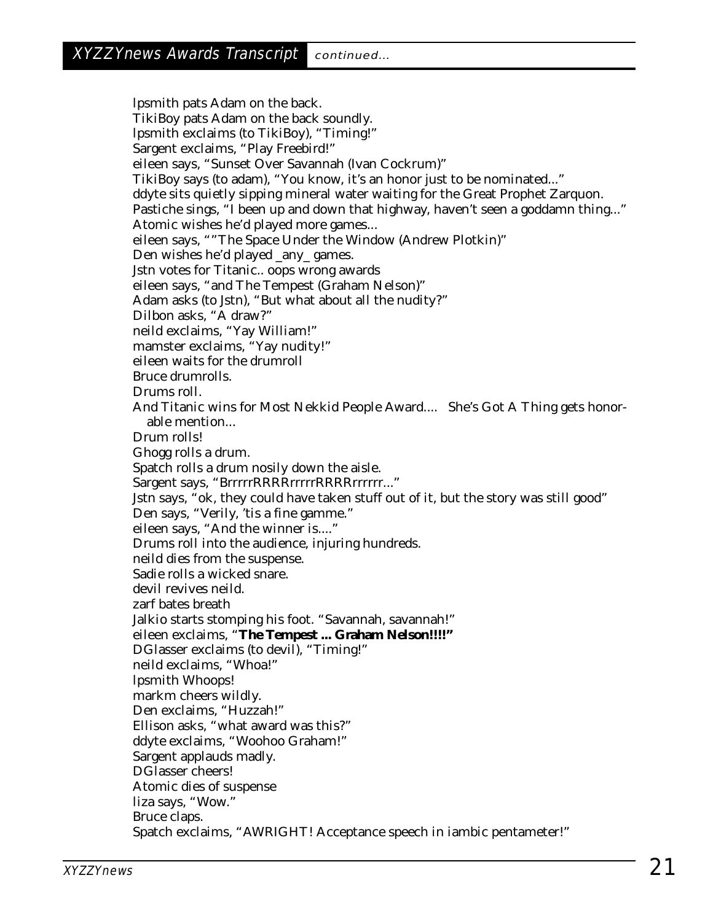lpsmith pats Adam on the back. TikiBoy pats Adam on the back soundly. lpsmith exclaims (to TikiBoy), "Timing!" Sargent exclaims, "Play Freebird!" eileen says, "Sunset Over Savannah (Ivan Cockrum)" TikiBoy says (to adam), "You know, it's an honor just to be nominated..." ddyte sits quietly sipping mineral water waiting for the Great Prophet Zarquon. Pastiche sings, "I been up and down that highway, haven't seen a goddamn thing..." Atomic wishes he'd played more games... eileen says, ""The Space Under the Window (Andrew Plotkin)" Den wishes he'd played \_any\_ games. Jstn votes for Titanic.. oops wrong awards eileen says, "and The Tempest (Graham Nelson)" Adam asks (to Jstn), "But what about all the nudity?" Dilbon asks, "A draw?" neild exclaims, "Yay William!" mamster exclaims, "Yay nudity!" eileen waits for the drumroll Bruce drumrolls. Drums roll. And Titanic wins for Most Nekkid People Award.... She's Got A Thing gets honorable mention... Drum rolls! Ghogg rolls a drum. Spatch rolls a drum nosily down the aisle. Sargent says, "BrrrrrRRRRrrrrrRRRRrrrrrr..." Jstn says, "ok, they could have taken stuff out of it, but the story was still good" Den says, "Verily, 'tis a fine gamme." eileen says, "And the winner is...." Drums roll into the audience, injuring hundreds. neild dies from the suspense. Sadie rolls a wicked snare. devil revives neild. zarf bates breath Jalkio starts stomping his foot. "Savannah, savannah!" eileen exclaims, "**The Tempest ... Graham Nelson!!!!"** DGlasser exclaims (to devil), "Timing!" neild exclaims, "Whoa!" lpsmith Whoops! markm cheers wildly. Den exclaims, "Huzzah!" Ellison asks, "what award was this?" ddyte exclaims, "Woohoo Graham!" Sargent applauds madly. DGlasser cheers! Atomic dies of suspense liza says, "Wow." Bruce claps. Spatch exclaims, "AWRIGHT! Acceptance speech in iambic pentameter!"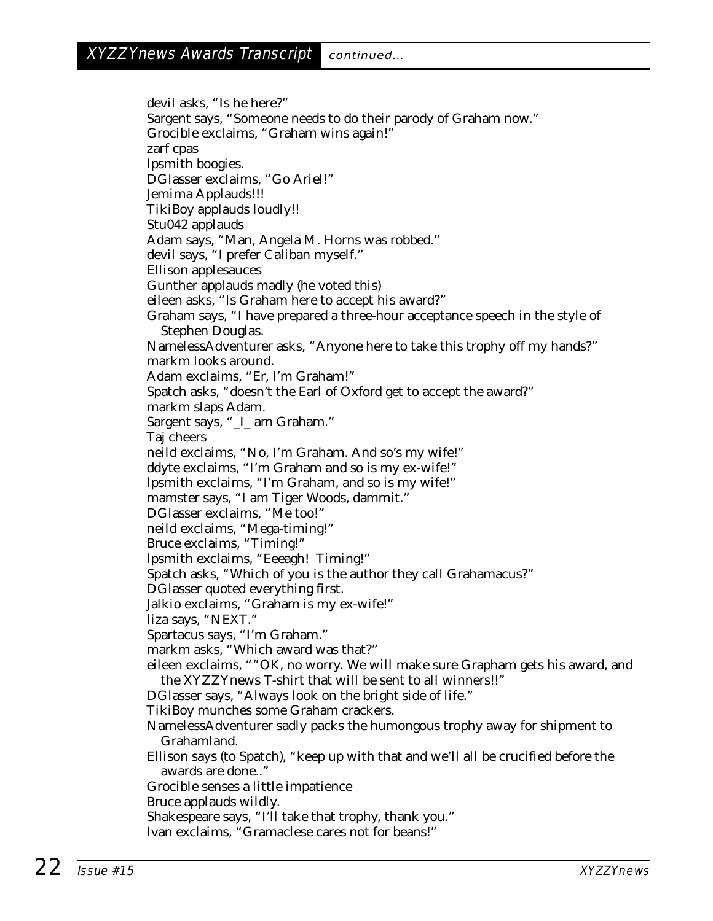devil asks, "Is he here?" Sargent says, "Someone needs to do their parody of Graham now." Grocible exclaims, "Graham wins again!" zarf cpas lpsmith boogies. DGlasser exclaims, "Go Ariel!" Jemima Applauds!!! TikiBoy applauds loudly!! Stu042 applauds Adam says, "Man, Angela M. Horns was robbed." devil says, "I prefer Caliban myself." Ellison applesauces Gunther applauds madly (he voted this) eileen asks, "Is Graham here to accept his award?" Graham says, "I have prepared a three-hour acceptance speech in the style of Stephen Douglas. NamelessAdventurer asks, "Anyone here to take this trophy off my hands?" markm looks around. Adam exclaims, "Er, I'm Graham!" Spatch asks, "doesn't the Earl of Oxford get to accept the award?" markm slaps Adam. Sargent says, "\_I\_ am Graham." Taj cheers neild exclaims, "No, I'm Graham. And so's my wife!" ddyte exclaims, "I'm Graham and so is my ex-wife!" lpsmith exclaims, "I'm Graham, and so is my wife!" mamster says, "I am Tiger Woods, dammit." DGlasser exclaims, "Me too!" neild exclaims, "Mega-timing!" Bruce exclaims, "Timing!" lpsmith exclaims, "Eeeagh! Timing!" Spatch asks, "Which of you is the author they call Grahamacus?" DGlasser quoted everything first. Jalkio exclaims, "Graham is my ex-wife!" liza says, "NEXT." Spartacus says, "I'm Graham." markm asks, "Which award was that?" eileen exclaims, ""OK, no worry. We will make sure Grapham gets his award, and the XYZZYnews T-shirt that will be sent to all winners!!" DGlasser says, "Always look on the bright side of life." TikiBoy munches some Graham crackers. NamelessAdventurer sadly packs the humongous trophy away for shipment to Grahamland. Ellison says (to Spatch), "keep up with that and we'll all be crucified before the awards are done.." Grocible senses a little impatience Bruce applauds wildly. Shakespeare says, "I'll take that trophy, thank you."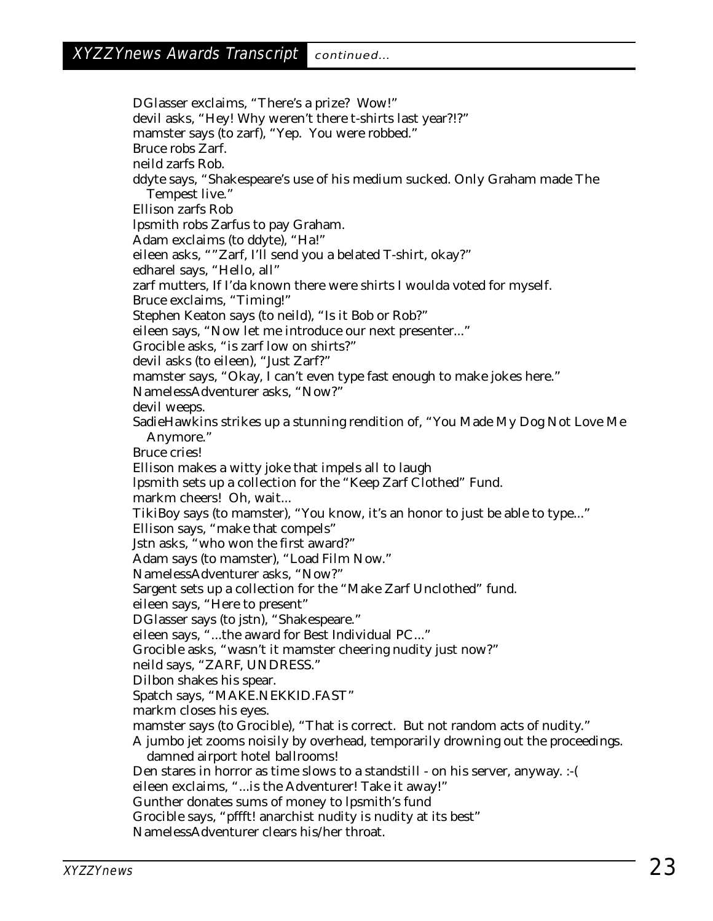DGlasser exclaims, "There's a prize? Wow!" devil asks, "Hey! Why weren't there t-shirts last year?!?" mamster says (to zarf), "Yep. You were robbed." Bruce robs Zarf. neild zarfs Rob. ddyte says, "Shakespeare's use of his medium sucked. Only Graham made The Tempest live." Ellison zarfs Rob lpsmith robs Zarfus to pay Graham. Adam exclaims (to ddyte), "Ha!" eileen asks, ""Zarf, I'll send you a belated T-shirt, okay?" edharel says, "Hello, all" zarf mutters, If I'da known there were shirts I woulda voted for myself. Bruce exclaims, "Timing!" Stephen Keaton says (to neild), "Is it Bob or Rob?" eileen says, "Now let me introduce our next presenter..." Grocible asks, "is zarf low on shirts?" devil asks (to eileen), "Just Zarf?" mamster says, "Okay, I can't even type fast enough to make jokes here." NamelessAdventurer asks, "Now?" devil weeps. SadieHawkins strikes up a stunning rendition of, "You Made My Dog Not Love Me Anymore." Bruce cries! Ellison makes a witty joke that impels all to laugh lpsmith sets up a collection for the "Keep Zarf Clothed" Fund. markm cheers! Oh, wait... TikiBoy says (to mamster), "You know, it's an honor to just be able to type..." Ellison says, "make that compels" Jstn asks, "who won the first award?" Adam says (to mamster), "Load Film Now." NamelessAdventurer asks, "Now?" Sargent sets up a collection for the "Make Zarf Unclothed" fund. eileen says, "Here to present" DGlasser says (to jstn), "Shakespeare." eileen says, "...the award for Best Individual PC..." Grocible asks, "wasn't it mamster cheering nudity just now?" neild says, "ZARF, UNDRESS." Dilbon shakes his spear. Spatch says, "MAKE.NEKKID.FAST" markm closes his eyes. mamster says (to Grocible), "That is correct. But not random acts of nudity." A jumbo jet zooms noisily by overhead, temporarily drowning out the proceedings. damned airport hotel ballrooms! Den stares in horror as time slows to a standstill - on his server, anyway. :-( eileen exclaims, "...is the Adventurer! Take it away!" Gunther donates sums of money to lpsmith's fund Grocible says, "pffft! anarchist nudity is nudity at its best" NamelessAdventurer clears his/her throat.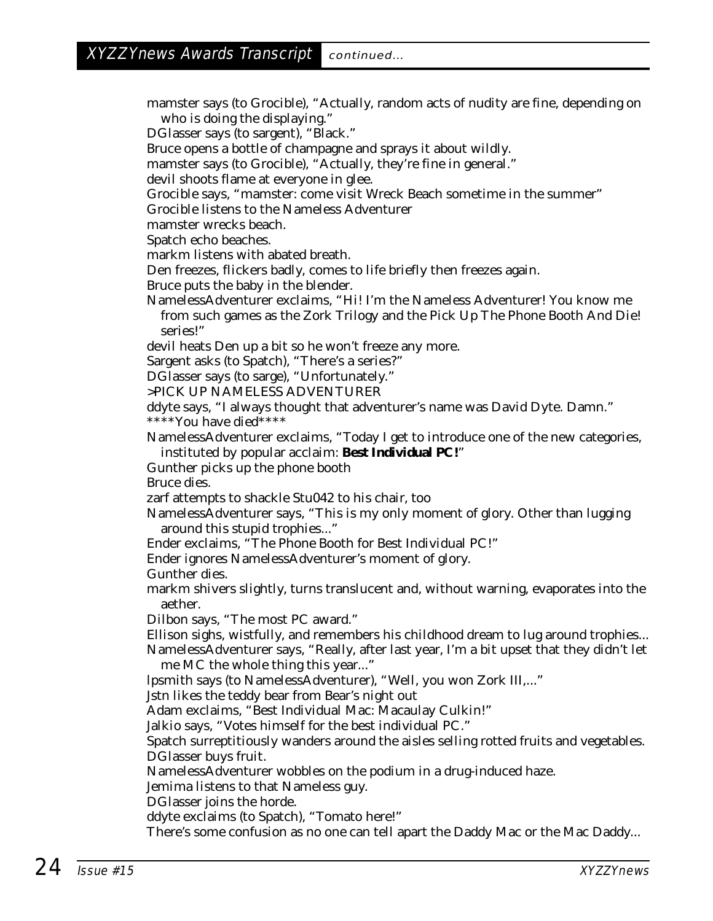mamster says (to Grocible), "Actually, random acts of nudity are fine, depending on who is doing the displaying."

DGlasser says (to sargent), "Black."

Bruce opens a bottle of champagne and sprays it about wildly.

mamster says (to Grocible), "Actually, they're fine in general."

devil shoots flame at everyone in glee.

Grocible says, "mamster: come visit Wreck Beach sometime in the summer"

Grocible listens to the Nameless Adventurer

mamster wrecks beach.

Spatch echo beaches.

markm listens with abated breath.

Den freezes, flickers badly, comes to life briefly then freezes again.

Bruce puts the baby in the blender.

NamelessAdventurer exclaims, "Hi! I'm the Nameless Adventurer! You know me from such games as the Zork Trilogy and the Pick Up The Phone Booth And Die! series!"

devil heats Den up a bit so he won't freeze any more.

Sargent asks (to Spatch), "There's a series?"

DGlasser says (to sarge), "Unfortunately."

>PICK UP NAMELESS ADVENTURER

ddyte says, "I always thought that adventurer's name was David Dyte. Damn." \*\*\*\*You have died\*\*\*\*

NamelessAdventurer exclaims, "Today I get to introduce one of the new categories, instituted by popular acclaim: **Best Individual PC!**"

Gunther picks up the phone booth

Bruce dies.

zarf attempts to shackle Stu042 to his chair, too

NamelessAdventurer says, "This is my only moment of glory. Other than lugging around this stupid trophies..."

Ender exclaims, "The Phone Booth for Best Individual PC!"

Ender ignores NamelessAdventurer's moment of glory.

Gunther dies.

markm shivers slightly, turns translucent and, without warning, evaporates into the aether.

Dilbon says, "The most PC award."

Ellison sighs, wistfully, and remembers his childhood dream to lug around trophies... NamelessAdventurer says, "Really, after last year, I'm a bit upset that they didn't let

me MC the whole thing this year..."

lpsmith says (to NamelessAdventurer), "Well, you won Zork III,..."

Jstn likes the teddy bear from Bear's night out

Adam exclaims, "Best Individual Mac: Macaulay Culkin!"

Jalkio says, "Votes himself for the best individual PC."

Spatch surreptitiously wanders around the aisles selling rotted fruits and vegetables. DGlasser buys fruit.

NamelessAdventurer wobbles on the podium in a drug-induced haze.

Jemima listens to that Nameless guy.

DGlasser joins the horde.

ddyte exclaims (to Spatch), "Tomato here!"

There's some confusion as no one can tell apart the Daddy Mac or the Mac Daddy...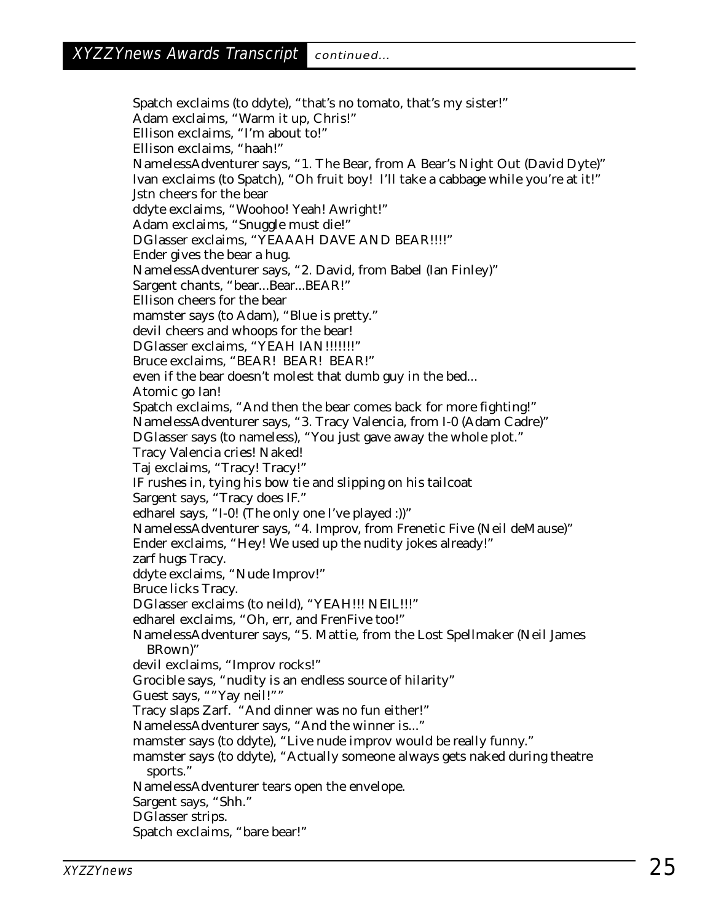Spatch exclaims (to ddyte), "that's no tomato, that's my sister!" Adam exclaims, "Warm it up, Chris!" Ellison exclaims, "I'm about to!" Ellison exclaims, "haah!" NamelessAdventurer says, "1. The Bear, from A Bear's Night Out (David Dyte)" Ivan exclaims (to Spatch), "Oh fruit boy! I'll take a cabbage while you're at it!" Jstn cheers for the bear ddyte exclaims, "Woohoo! Yeah! Awright!" Adam exclaims, "Snuggle must die!" DGlasser exclaims, "YEAAAH DAVE AND BEAR!!!!" Ender gives the bear a hug. NamelessAdventurer says, "2. David, from Babel (Ian Finley)" Sargent chants, "bear...Bear...BEAR!" Ellison cheers for the bear mamster says (to Adam), "Blue is pretty." devil cheers and whoops for the bear! DGlasser exclaims, "YEAH IAN!!!!!!!!" Bruce exclaims, "BEAR! BEAR! BEAR!" even if the bear doesn't molest that dumb guy in the bed... Atomic go Ian! Spatch exclaims, "And then the bear comes back for more fighting!" NamelessAdventurer says, "3. Tracy Valencia, from I-0 (Adam Cadre)" DGlasser says (to nameless), "You just gave away the whole plot." Tracy Valencia cries! Naked! Taj exclaims, "Tracy! Tracy!" IF rushes in, tying his bow tie and slipping on his tailcoat Sargent says, "Tracy does IF." edharel says, "I-0! (The only one I've played :))" NamelessAdventurer says, "4. Improv, from Frenetic Five (Neil deMause)" Ender exclaims, "Hey! We used up the nudity jokes already!" zarf hugs Tracy. ddyte exclaims, "Nude Improv!" Bruce licks Tracy. DGlasser exclaims (to neild), "YEAH!!! NEIL!!!" edharel exclaims, "Oh, err, and FrenFive too!" NamelessAdventurer says, "5. Mattie, from the Lost Spellmaker (Neil James BRown)" devil exclaims, "Improv rocks!" Grocible says, "nudity is an endless source of hilarity" Guest says, ""Yay neil!"" Tracy slaps Zarf. "And dinner was no fun either!" NamelessAdventurer says, "And the winner is..." mamster says (to ddyte), "Live nude improv would be really funny." mamster says (to ddyte), "Actually someone always gets naked during theatre sports." NamelessAdventurer tears open the envelope. Sargent says, "Shh." DGlasser strips. Spatch exclaims, "bare bear!"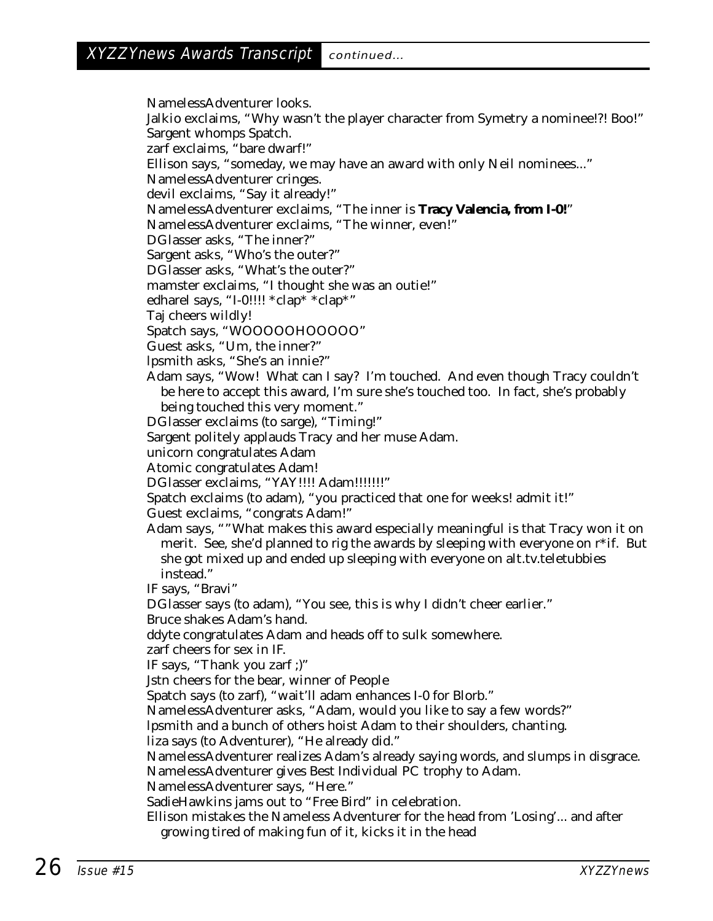NamelessAdventurer looks. Jalkio exclaims, "Why wasn't the player character from Symetry a nominee!?! Boo!" Sargent whomps Spatch. zarf exclaims, "bare dwarf!" Ellison says, "someday, we may have an award with only Neil nominees..." NamelessAdventurer cringes. devil exclaims, "Say it already!" NamelessAdventurer exclaims, "The inner is **Tracy Valencia, from I-0!**" NamelessAdventurer exclaims, "The winner, even!" DGlasser asks, "The inner?" Sargent asks, "Who's the outer?" DGlasser asks, "What's the outer?" mamster exclaims, "I thought she was an outie!" edharel says, "I-0!!!! \*clap\* \*clap\*" Taj cheers wildly! Spatch says, "WOOOOOHOOOOO" Guest asks, "Um, the inner?" lpsmith asks, "She's an innie?" Adam says, "Wow! What can I say? I'm touched. And even though Tracy couldn't be here to accept this award, I'm sure she's touched too. In fact, she's probably being touched this very moment." DGlasser exclaims (to sarge), "Timing!" Sargent politely applauds Tracy and her muse Adam. unicorn congratulates Adam Atomic congratulates Adam! DGlasser exclaims, "YAY!!!! Adam!!!!!!!" Spatch exclaims (to adam), "you practiced that one for weeks! admit it!" Guest exclaims, "congrats Adam!" Adam says, ""What makes this award especially meaningful is that Tracy won it on merit. See, she'd planned to rig the awards by sleeping with everyone on r\*if. But she got mixed up and ended up sleeping with everyone on alt.tv.teletubbies instead." IF says, "Bravi" DGlasser says (to adam), "You see, this is why I didn't cheer earlier." Bruce shakes Adam's hand. ddyte congratulates Adam and heads off to sulk somewhere. zarf cheers for sex in IF. IF says, "Thank you zarf ;)" Jstn cheers for the bear, winner of People Spatch says (to zarf), "wait'll adam enhances I-0 for Blorb." NamelessAdventurer asks, "Adam, would you like to say a few words?" lpsmith and a bunch of others hoist Adam to their shoulders, chanting. liza says (to Adventurer), "He already did." NamelessAdventurer realizes Adam's already saying words, and slumps in disgrace. NamelessAdventurer gives Best Individual PC trophy to Adam. NamelessAdventurer says, "Here." SadieHawkins jams out to "Free Bird" in celebration. Ellison mistakes the Nameless Adventurer for the head from 'Losing'... and after growing tired of making fun of it, kicks it in the head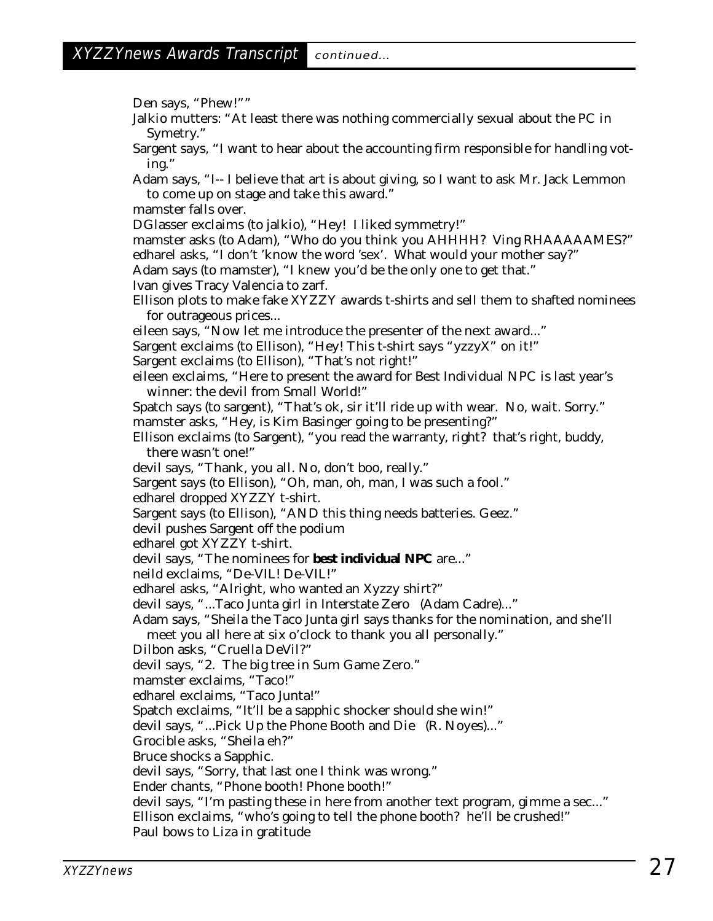Den says, "Phew!"" Jalkio mutters: "At least there was nothing commercially sexual about the PC in Symetry." Sargent says, "I want to hear about the accounting firm responsible for handling voting." Adam says, "I-- I believe that art is about giving, so I want to ask Mr. Jack Lemmon to come up on stage and take this award." mamster falls over. DGlasser exclaims (to jalkio), "Hey! I liked symmetry!" mamster asks (to Adam), "Who do you think you AHHHH? Ving RHAAAAAMES?" edharel asks, "I don't 'know the word 'sex'. What would your mother say?" Adam says (to mamster), "I knew you'd be the only one to get that." Ivan gives Tracy Valencia to zarf. Ellison plots to make fake XYZZY awards t-shirts and sell them to shafted nominees for outrageous prices... eileen says, "Now let me introduce the presenter of the next award..." Sargent exclaims (to Ellison), "Hey! This t-shirt says "yzzyX" on it!" Sargent exclaims (to Ellison), "That's not right!" eileen exclaims, "Here to present the award for Best Individual NPC is last year's winner: the devil from Small World!" Spatch says (to sargent), "That's ok, sir it'll ride up with wear. No, wait. Sorry." mamster asks, "Hey, is Kim Basinger going to be presenting?" Ellison exclaims (to Sargent), "you read the warranty, right? that's right, buddy, there wasn't one!" devil says, "Thank, you all. No, don't boo, really." Sargent says (to Ellison), "Oh, man, oh, man, I was such a fool." edharel dropped XYZZY t-shirt. Sargent says (to Ellison), "AND this thing needs batteries. Geez." devil pushes Sargent off the podium edharel got XYZZY t-shirt. devil says, "The nominees for **best individual NPC** are..." neild exclaims, "De-VIL! De-VIL!" edharel asks, "Alright, who wanted an Xyzzy shirt?" devil says, "...Taco Junta girl in Interstate Zero (Adam Cadre)..." Adam says, "Sheila the Taco Junta girl says thanks for the nomination, and she'll meet you all here at six o'clock to thank you all personally." Dilbon asks, "Cruella DeVil?" devil says, "2. The big tree in Sum Game Zero." mamster exclaims, "Taco!" edharel exclaims, "Taco Junta!" Spatch exclaims, "It'll be a sapphic shocker should she win!" devil says, "...Pick Up the Phone Booth and Die (R. Noyes)..." Grocible asks, "Sheila eh?" Bruce shocks a Sapphic. devil says, "Sorry, that last one I think was wrong." Ender chants, "Phone booth! Phone booth!" devil says, "I'm pasting these in here from another text program, gimme a sec..." Ellison exclaims, "who's going to tell the phone booth? he'll be crushed!" Paul bows to Liza in gratitude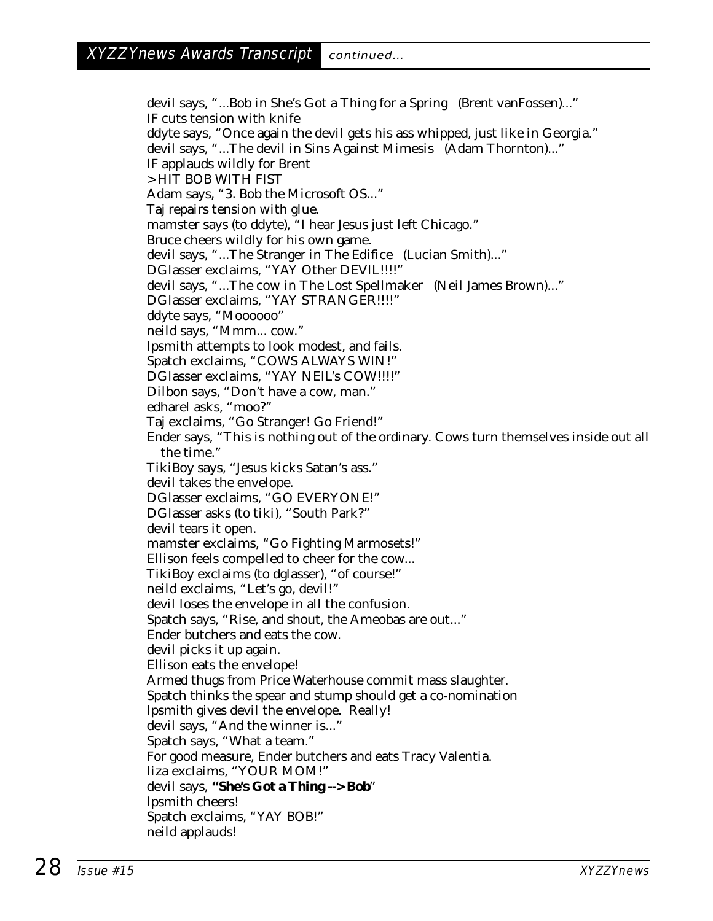devil says, "...Bob in She's Got a Thing for a Spring (Brent vanFossen)..." IF cuts tension with knife ddyte says, "Once again the devil gets his ass whipped, just like in Georgia." devil says, "...The devil in Sins Against Mimesis (Adam Thornton)..." IF applauds wildly for Brent > HIT BOB WITH FIST Adam says, "3. Bob the Microsoft OS..." Taj repairs tension with glue. mamster says (to ddyte), "I hear Jesus just left Chicago." Bruce cheers wildly for his own game. devil says, "...The Stranger in The Edifice (Lucian Smith)..." DGlasser exclaims, "YAY Other DEVIL!!!!" devil says, "...The cow in The Lost Spellmaker (Neil James Brown)..." DGlasser exclaims, "YAY STRANGER!!!!" ddyte says, "Moooooo" neild says, "Mmm... cow." lpsmith attempts to look modest, and fails. Spatch exclaims, "COWS ALWAYS WIN!" DGlasser exclaims, "YAY NEIL's COW!!!!" Dilbon says, "Don't have a cow, man." edharel asks, "moo?" Taj exclaims, "Go Stranger! Go Friend!" Ender says, "This is nothing out of the ordinary. Cows turn themselves inside out all the time." TikiBoy says, "Jesus kicks Satan's ass." devil takes the envelope. DGlasser exclaims, "GO EVERYONE!" DGlasser asks (to tiki), "South Park?" devil tears it open. mamster exclaims, "Go Fighting Marmosets!" Ellison feels compelled to cheer for the cow... TikiBoy exclaims (to dglasser), "of course!" neild exclaims, "Let's go, devil!" devil loses the envelope in all the confusion. Spatch says, "Rise, and shout, the Ameobas are out..." Ender butchers and eats the cow. devil picks it up again. Ellison eats the envelope! Armed thugs from Price Waterhouse commit mass slaughter. Spatch thinks the spear and stump should get a co-nomination lpsmith gives devil the envelope. Really! devil says, "And the winner is..." Spatch says, "What a team." For good measure, Ender butchers and eats Tracy Valentia. liza exclaims, "YOUR MOM!" devil says, **"She's Got a Thing --> Bob**" lpsmith cheers! Spatch exclaims, "YAY BOB!" neild applauds!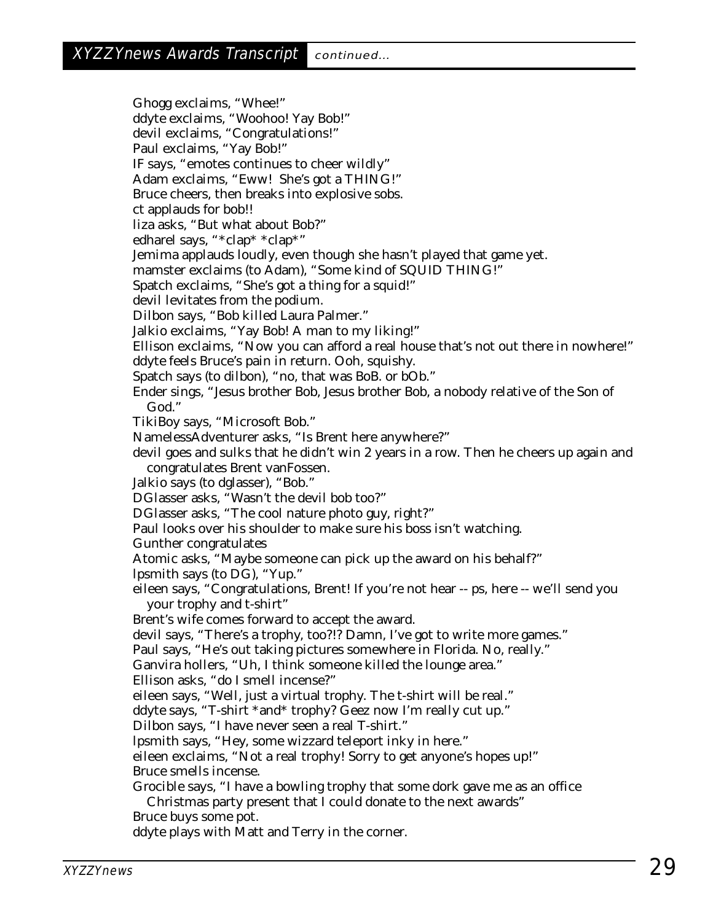Ghogg exclaims, "Whee!" ddyte exclaims, "Woohoo! Yay Bob!" devil exclaims, "Congratulations!" Paul exclaims, "Yay Bob!" IF says, "emotes continues to cheer wildly" Adam exclaims, "Eww! She's got a THING!" Bruce cheers, then breaks into explosive sobs. ct applauds for bob!! liza asks, "But what about Bob?" edharel says, "\*clap\* \*clap\*" Jemima applauds loudly, even though she hasn't played that game yet. mamster exclaims (to Adam), "Some kind of SQUID THING!" Spatch exclaims, "She's got a thing for a squid!" devil levitates from the podium. Dilbon says, "Bob killed Laura Palmer." Jalkio exclaims, "Yay Bob! A man to my liking!" Ellison exclaims, "Now you can afford a real house that's not out there in nowhere!" ddyte feels Bruce's pain in return. Ooh, squishy. Spatch says (to dilbon), "no, that was BoB. or bOb." Ender sings, "Jesus brother Bob, Jesus brother Bob, a nobody relative of the Son of God." TikiBoy says, "Microsoft Bob." NamelessAdventurer asks, "Is Brent here anywhere?" devil goes and sulks that he didn't win 2 years in a row. Then he cheers up again and congratulates Brent vanFossen. Jalkio says (to dglasser), "Bob." DGlasser asks, "Wasn't the devil bob too?" DGlasser asks, "The cool nature photo guy, right?" Paul looks over his shoulder to make sure his boss isn't watching. Gunther congratulates Atomic asks, "Maybe someone can pick up the award on his behalf?" lpsmith says (to DG), "Yup." eileen says, "Congratulations, Brent! If you're not hear -- ps, here -- we'll send you your trophy and t-shirt" Brent's wife comes forward to accept the award. devil says, "There's a trophy, too?!? Damn, I've got to write more games." Paul says, "He's out taking pictures somewhere in Florida. No, really." Ganvira hollers, "Uh, I think someone killed the lounge area." Ellison asks, "do I smell incense?" eileen says, "Well, just a virtual trophy. The t-shirt will be real." ddyte says, "T-shirt \*and\* trophy? Geez now I'm really cut up." Dilbon says, "I have never seen a real T-shirt." lpsmith says, "Hey, some wizzard teleport inky in here." eileen exclaims, "Not a real trophy! Sorry to get anyone's hopes up!" Bruce smells incense. Grocible says, "I have a bowling trophy that some dork gave me as an office Christmas party present that I could donate to the next awards" Bruce buys some pot.

ddyte plays with Matt and Terry in the corner.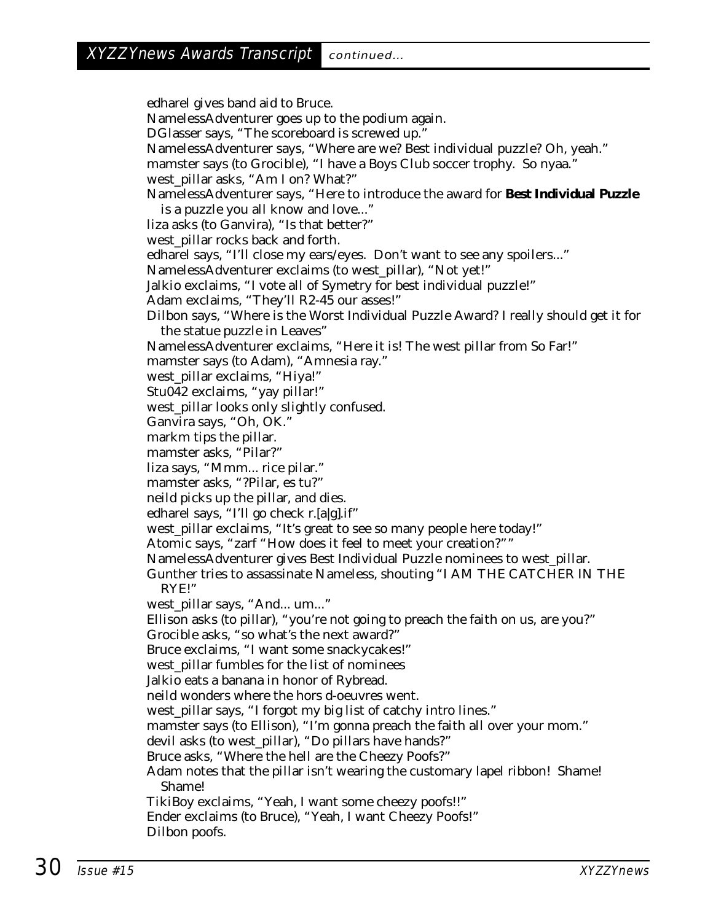edharel gives band aid to Bruce. NamelessAdventurer goes up to the podium again. DGlasser says, "The scoreboard is screwed up." NamelessAdventurer says, "Where are we? Best individual puzzle? Oh, yeah." mamster says (to Grocible), "I have a Boys Club soccer trophy. So nyaa. west\_pillar asks, "Am I on? What?" NamelessAdventurer says, "Here to introduce the award for **Best Individual Puzzle** is a puzzle you all know and love..." liza asks (to Ganvira), "Is that better?" west\_pillar rocks back and forth. edharel says, "I'll close my ears/eyes. Don't want to see any spoilers..." NamelessAdventurer exclaims (to west\_pillar), "Not yet!" Jalkio exclaims, "I vote all of Symetry for best individual puzzle!" Adam exclaims, "They'll R2-45 our asses!" Dilbon says, "Where is the Worst Individual Puzzle Award? I really should get it for the statue puzzle in Leaves" NamelessAdventurer exclaims, "Here it is! The west pillar from So Far!" mamster says (to Adam), "Amnesia ray." west\_pillar exclaims, "Hiya!" Stu042 exclaims, "yay pillar!" west\_pillar looks only slightly confused. Ganvira says, "Oh, OK." markm tips the pillar. mamster asks, "Pilar?" liza says, "Mmm... rice pilar." mamster asks, "?Pilar, es tu?" neild picks up the pillar, and dies. edharel says, "I'll go check r.[a|g].if" west\_pillar exclaims, "It's great to see so many people here today!" Atomic says, "zarf "How does it feel to meet your creation?"" NamelessAdventurer gives Best Individual Puzzle nominees to west\_pillar. Gunther tries to assassinate Nameless, shouting "I AM THE CATCHER IN THE RYE!" west\_pillar says, "And... um..." Ellison asks (to pillar), "you're not going to preach the faith on us, are you?" Grocible asks, "so what's the next award?" Bruce exclaims, "I want some snackycakes!" west\_pillar fumbles for the list of nominees Jalkio eats a banana in honor of Rybread. neild wonders where the hors d-oeuvres went. west\_pillar says, "I forgot my big list of catchy intro lines." mamster says (to Ellison), "I'm gonna preach the faith all over your mom." devil asks (to west\_pillar), "Do pillars have hands?" Bruce asks, "Where the hell are the Cheezy Poofs?" Adam notes that the pillar isn't wearing the customary lapel ribbon! Shame! Shame! TikiBoy exclaims, "Yeah, I want some cheezy poofs!!" Ender exclaims (to Bruce), "Yeah, I want Cheezy Poofs!" Dilbon poofs.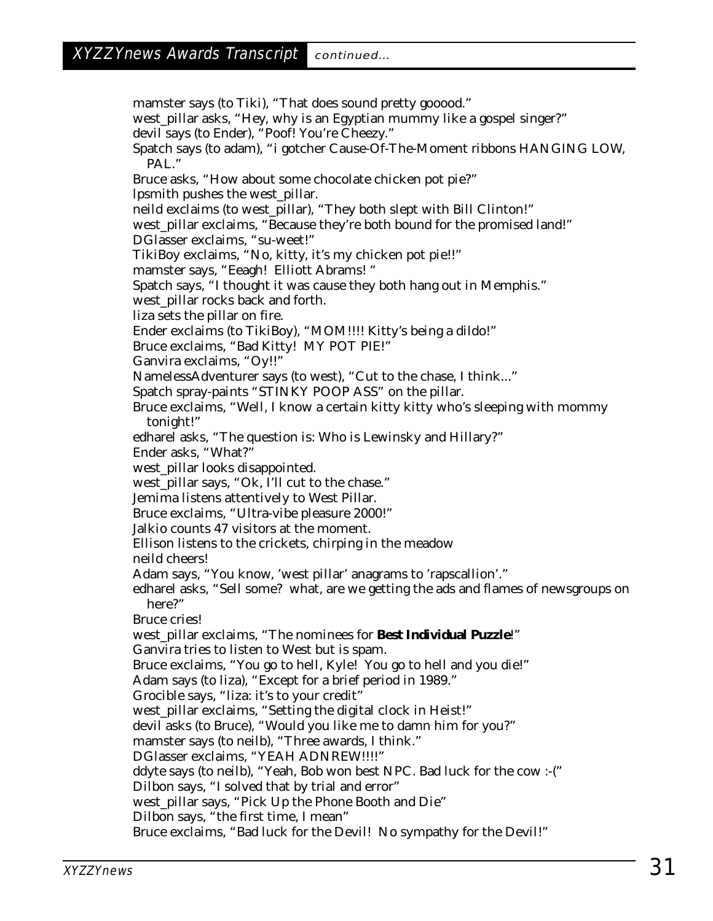mamster says (to Tiki), "That does sound pretty gooood." west\_pillar asks, "Hey, why is an Egyptian mummy like a gospel singer?" devil says (to Ender), "Poof! You're Cheezy." Spatch says (to adam), "i gotcher Cause-Of-The-Moment ribbons HANGING LOW, PAL." Bruce asks, "How about some chocolate chicken pot pie?" lpsmith pushes the west\_pillar. neild exclaims (to west\_pillar), "They both slept with Bill Clinton!" west\_pillar exclaims, "Because they're both bound for the promised land!" DGlasser exclaims, "su-weet!" TikiBoy exclaims, "No, kitty, it's my chicken pot pie!!" mamster says, "Eeagh! Elliott Abrams! " Spatch says, "I thought it was cause they both hang out in Memphis." west\_pillar rocks back and forth. liza sets the pillar on fire. Ender exclaims (to TikiBoy), "MOM!!!! Kitty's being a dildo!" Bruce exclaims, "Bad Kitty! MY POT PIE!" Ganvira exclaims, "Oy!!" NamelessAdventurer says (to west), "Cut to the chase, I think..." Spatch spray-paints "STINKY POOP ASS" on the pillar. Bruce exclaims, "Well, I know a certain kitty kitty who's sleeping with mommy tonight!" edharel asks, "The question is: Who is Lewinsky and Hillary?" Ender asks, "What?" west\_pillar looks disappointed. west\_pillar says, "Ok, I'll cut to the chase." Jemima listens attentively to West Pillar. Bruce exclaims, "Ultra-vibe pleasure 2000!" Jalkio counts 47 visitors at the moment. Ellison listens to the crickets, chirping in the meadow neild cheers! Adam says, "You know, 'west pillar' anagrams to 'rapscallion'." edharel asks, "Sell some? what, are we getting the ads and flames of newsgroups on here?" Bruce cries! west\_pillar exclaims, "The nominees for **Best Individual Puzzle**!" Ganvira tries to listen to West but is spam. Bruce exclaims, "You go to hell, Kyle! You go to hell and you die!" Adam says (to liza), "Except for a brief period in 1989." Grocible says, "liza: it's to your credit" west\_pillar exclaims, "Setting the digital clock in Heist!" devil asks (to Bruce), "Would you like me to damn him for you?" mamster says (to neilb), "Three awards, I think." DGlasser exclaims, "YEAH ADNREW!!!!" ddyte says (to neilb), "Yeah, Bob won best NPC. Bad luck for the cow :-(" Dilbon says, "I solved that by trial and error" west\_pillar says, "Pick Up the Phone Booth and Die" Dilbon says, "the first time, I mean" Bruce exclaims, "Bad luck for the Devil! No sympathy for the Devil!"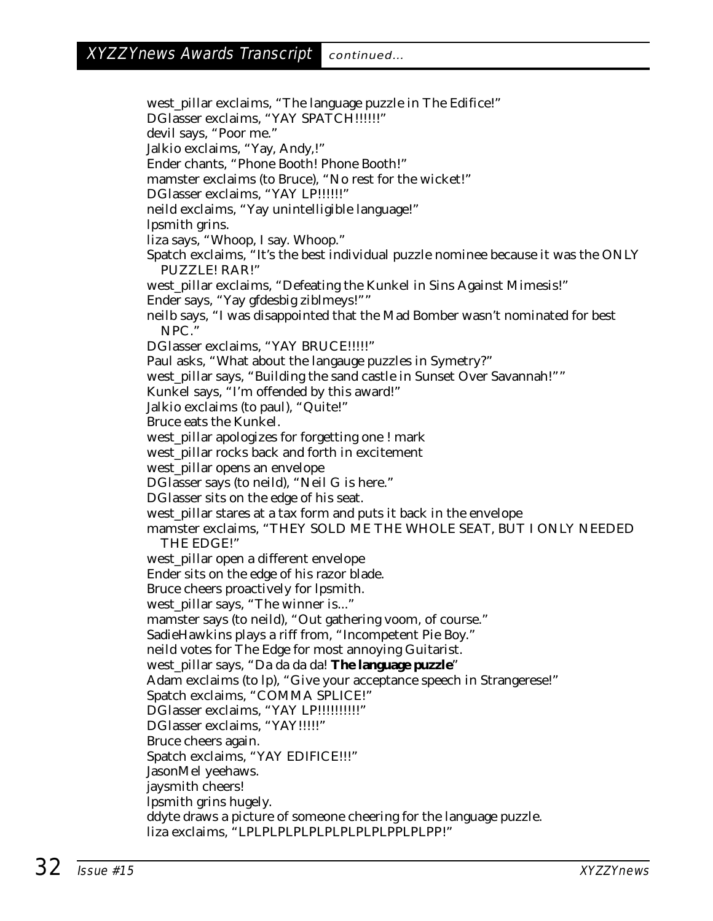west\_pillar exclaims, "The language puzzle in The Edifice!" DGlasser exclaims, "YAY SPATCH!!!!!!" devil says, "Poor me." Jalkio exclaims, "Yay, Andy,!" Ender chants, "Phone Booth! Phone Booth!" mamster exclaims (to Bruce), "No rest for the wicket!" DGlasser exclaims, "YAY LP!!!!!!" neild exclaims, "Yay unintelligible language!" lpsmith grins. liza says, "Whoop, I say. Whoop." Spatch exclaims, "It's the best individual puzzle nominee because it was the ONLY PUZZLE! RAR!" west\_pillar exclaims, "Defeating the Kunkel in Sins Against Mimesis!" Ender says, "Yay gfdesbig ziblmeys!"" neilb says, "I was disappointed that the Mad Bomber wasn't nominated for best NPC." DGlasser exclaims, "YAY BRUCE!!!!!" Paul asks, "What about the langauge puzzles in Symetry?" west\_pillar says, "Building the sand castle in Sunset Over Savannah!"" Kunkel says, "I'm offended by this award!" Jalkio exclaims (to paul), "Quite!" Bruce eats the Kunkel. west\_pillar apologizes for forgetting one ! mark west\_pillar rocks back and forth in excitement west\_pillar opens an envelope DGlasser says (to neild), "Neil G is here." DGlasser sits on the edge of his seat. west\_pillar stares at a tax form and puts it back in the envelope mamster exclaims, "THEY SOLD ME THE WHOLE SEAT, BUT I ONLY NEEDED THE EDGE!" west\_pillar open a different envelope Ender sits on the edge of his razor blade. Bruce cheers proactively for lpsmith. west\_pillar says, "The winner is..." mamster says (to neild), "Out gathering voom, of course." SadieHawkins plays a riff from, "Incompetent Pie Boy." neild votes for The Edge for most annoying Guitarist. west\_pillar says, "Da da da da! **The language puzzle**" Adam exclaims (to lp), "Give your acceptance speech in Strangerese!" Spatch exclaims, "COMMA SPLICE!" DGlasser exclaims, "YAY LP !!!!!!!!!!!!!!! DGlasser exclaims, "YAY!!!!!" Bruce cheers again. Spatch exclaims, "YAY EDIFICE!!!" JasonMel yeehaws. jaysmith cheers! lpsmith grins hugely. ddyte draws a picture of someone cheering for the language puzzle. liza exclaims, "LPLPLPLPLPLPLPLPLPLPPLPLPP!"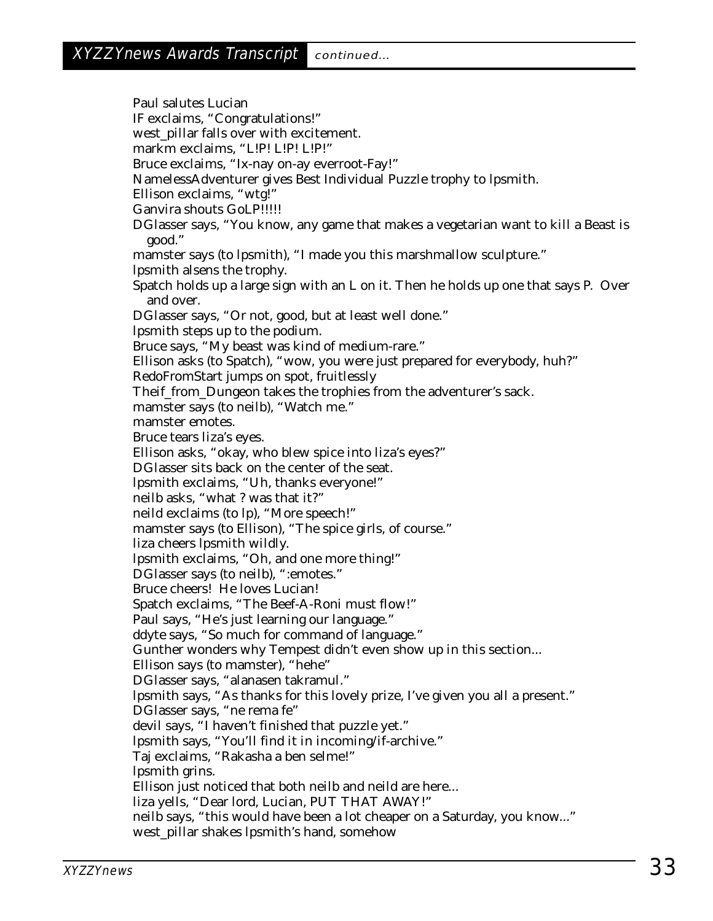Paul salutes Lucian IF exclaims, "Congratulations!" west\_pillar falls over with excitement. markm exclaims, "L!P! L!P! L!P!" Bruce exclaims, "Ix-nay on-ay everroot-Fay!" NamelessAdventurer gives Best Individual Puzzle trophy to lpsmith. Ellison exclaims, "wtg!" Ganvira shouts GoLP!!!!! DGlasser says, "You know, any game that makes a vegetarian want to kill a Beast is good." mamster says (to lpsmith), "I made you this marshmallow sculpture." lpsmith alsens the trophy. Spatch holds up a large sign with an L on it. Then he holds up one that says P. Over and over. DGlasser says, "Or not, good, but at least well done." lpsmith steps up to the podium. Bruce says, "My beast was kind of medium-rare." Ellison asks (to Spatch), "wow, you were just prepared for everybody, huh?" RedoFromStart jumps on spot, fruitlessly Theif\_from\_Dungeon takes the trophies from the adventurer's sack. mamster says (to neilb), "Watch me." mamster emotes. Bruce tears liza's eyes. Ellison asks, "okay, who blew spice into liza's eyes?" DGlasser sits back on the center of the seat. lpsmith exclaims, "Uh, thanks everyone!" neilb asks, "what ? was that it?" neild exclaims (to lp), "More speech!" mamster says (to Ellison), "The spice girls, of course." liza cheers lpsmith wildly. lpsmith exclaims, "Oh, and one more thing!" DGlasser says (to neilb), ":emotes." Bruce cheers! He loves Lucian! Spatch exclaims, "The Beef-A-Roni must flow!" Paul says, "He's just learning our language." ddyte says, "So much for command of language." Gunther wonders why Tempest didn't even show up in this section... Ellison says (to mamster), "hehe" DGlasser says, "alanasen takramul." lpsmith says, "As thanks for this lovely prize, I've given you all a present." DGlasser says, "ne rema fe" devil says, "I haven't finished that puzzle yet." lpsmith says, "You'll find it in incoming/if-archive." Taj exclaims, "Rakasha a ben selme!" lpsmith grins. Ellison just noticed that both neilb and neild are here... liza yells, "Dear lord, Lucian, PUT THAT AWAY!" neilb says, "this would have been a lot cheaper on a Saturday, you know..." west\_pillar shakes lpsmith's hand, somehow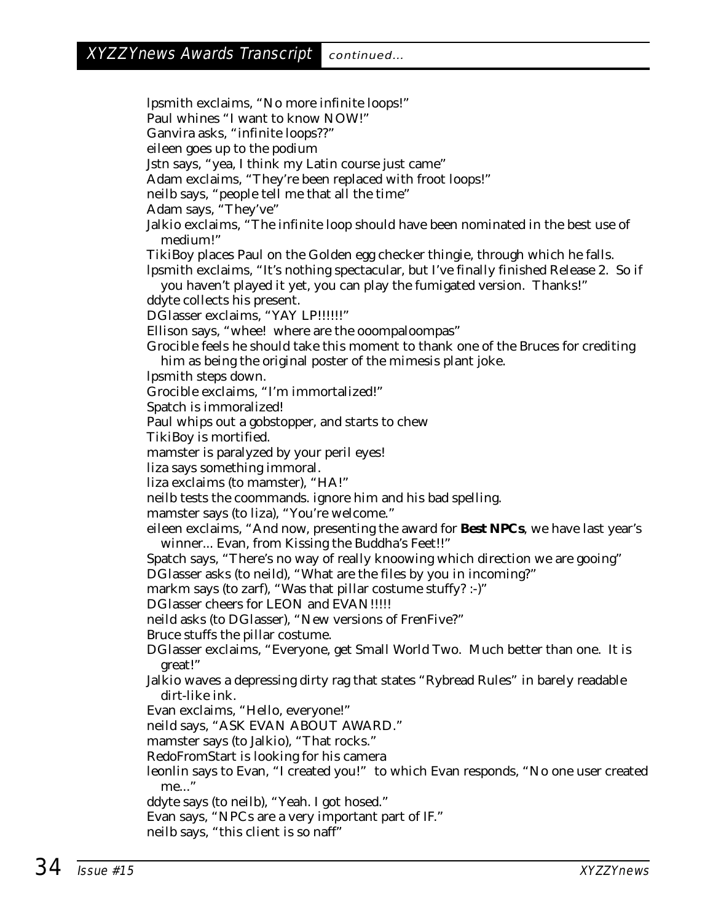lpsmith exclaims, "No more infinite loops!" Paul whines "I want to know NOW!" Ganvira asks, "infinite loops??" eileen goes up to the podium Jstn says, "yea, I think my Latin course just came" Adam exclaims, "They're been replaced with froot loops!" neilb says, "people tell me that all the time" Adam says, "They've" Jalkio exclaims, "The infinite loop should have been nominated in the best use of medium!" TikiBoy places Paul on the Golden egg checker thingie, through which he falls. lpsmith exclaims, "It's nothing spectacular, but I've finally finished Release 2. So if you haven't played it yet, you can play the fumigated version. Thanks!" ddyte collects his present. DGlasser exclaims, "YAY LP!!!!!!" Ellison says, "whee! where are the ooompaloompas" Grocible feels he should take this moment to thank one of the Bruces for crediting him as being the original poster of the mimesis plant joke. lpsmith steps down. Grocible exclaims, "I'm immortalized!" Spatch is immoralized! Paul whips out a gobstopper, and starts to chew TikiBoy is mortified. mamster is paralyzed by your peril eyes! liza says something immoral. liza exclaims (to mamster), "HA!" neilb tests the coommands. ignore him and his bad spelling. mamster says (to liza), "You're welcome." eileen exclaims, "And now, presenting the award for **Best NPCs**, we have last year's winner... Evan, from Kissing the Buddha's Feet!!" Spatch says, "There's no way of really knoowing which direction we are gooing" DGlasser asks (to neild), "What are the files by you in incoming?" markm says (to zarf), "Was that pillar costume stuffy? :-)" DGlasser cheers for LEON and EVAN!!!!! neild asks (to DGlasser), "New versions of FrenFive?" Bruce stuffs the pillar costume. DGlasser exclaims, "Everyone, get Small World Two. Much better than one. It is great!" Jalkio waves a depressing dirty rag that states "Rybread Rules" in barely readable dirt-like ink. Evan exclaims, "Hello, everyone!" neild says, "ASK EVAN ABOUT AWARD." mamster says (to Jalkio), "That rocks." RedoFromStart is looking for his camera leonlin says to Evan, "I created you!" to which Evan responds, "No one user created me..." ddyte says (to neilb), "Yeah. I got hosed." Evan says, "NPCs are a very important part of IF." neilb says, "this client is so naff"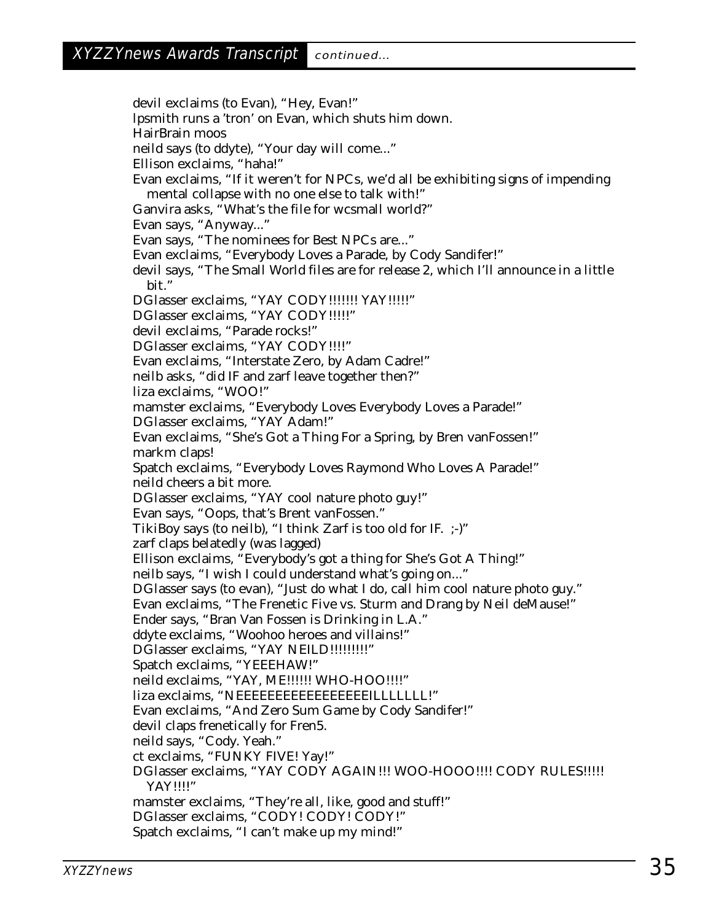devil exclaims (to Evan), "Hey, Evan!" lpsmith runs a 'tron' on Evan, which shuts him down. HairBrain moos neild says (to ddyte), "Your day will come..." Ellison exclaims, "haha!" Evan exclaims, "If it weren't for NPCs, we'd all be exhibiting signs of impending mental collapse with no one else to talk with!" Ganvira asks, "What's the file for wcsmall world?" Evan says, "Anyway..." Evan says, "The nominees for Best NPCs are..." Evan exclaims, "Everybody Loves a Parade, by Cody Sandifer!" devil says, "The Small World files are for release 2, which I'll announce in a little bit." DGlasser exclaims, "YAY CODY!!!!!!! YAY!!!!!" DGlasser exclaims, "YAY CODY!!!!!" devil exclaims, "Parade rocks!" DGlasser exclaims, "YAY CODY!!!!" Evan exclaims, "Interstate Zero, by Adam Cadre!" neilb asks, "did IF and zarf leave together then?" liza exclaims, "WOO!" mamster exclaims, "Everybody Loves Everybody Loves a Parade!" DGlasser exclaims, "YAY Adam!" Evan exclaims, "She's Got a Thing For a Spring, by Bren vanFossen!" markm claps! Spatch exclaims, "Everybody Loves Raymond Who Loves A Parade!" neild cheers a bit more. DGlasser exclaims, "YAY cool nature photo guy!" Evan says, "Oops, that's Brent vanFossen." TikiBoy says (to neilb), "I think Zarf is too old for IF. ;-)" zarf claps belatedly (was lagged) Ellison exclaims, "Everybody's got a thing for She's Got A Thing!" neilb says, "I wish I could understand what's going on..." DGlasser says (to evan), "Just do what I do, call him cool nature photo guy." Evan exclaims, "The Frenetic Five vs. Sturm and Drang by Neil deMause!" Ender says, "Bran Van Fossen is Drinking in L.A." ddyte exclaims, "Woohoo heroes and villains!" DGlasser exclaims, "YAY NEILD!!!!!!!!!" Spatch exclaims, "YEEEHAW!" neild exclaims, "YAY, ME!!!!!! WHO-HOO!!!!" liza exclaims, "NEEEEEEEEEEEEEEEEEILLLLLLL!" Evan exclaims, "And Zero Sum Game by Cody Sandifer!" devil claps frenetically for Fren5. neild says, "Cody. Yeah." ct exclaims, "FUNKY FIVE! Yay!" DGlasser exclaims, "YAY CODY AGAIN!!! WOO-HOOO!!!! CODY RULES!!!!! YAY!!!!" mamster exclaims, "They're all, like, good and stuff!" DGlasser exclaims, "CODY! CODY! CODY!" Spatch exclaims, "I can't make up my mind!"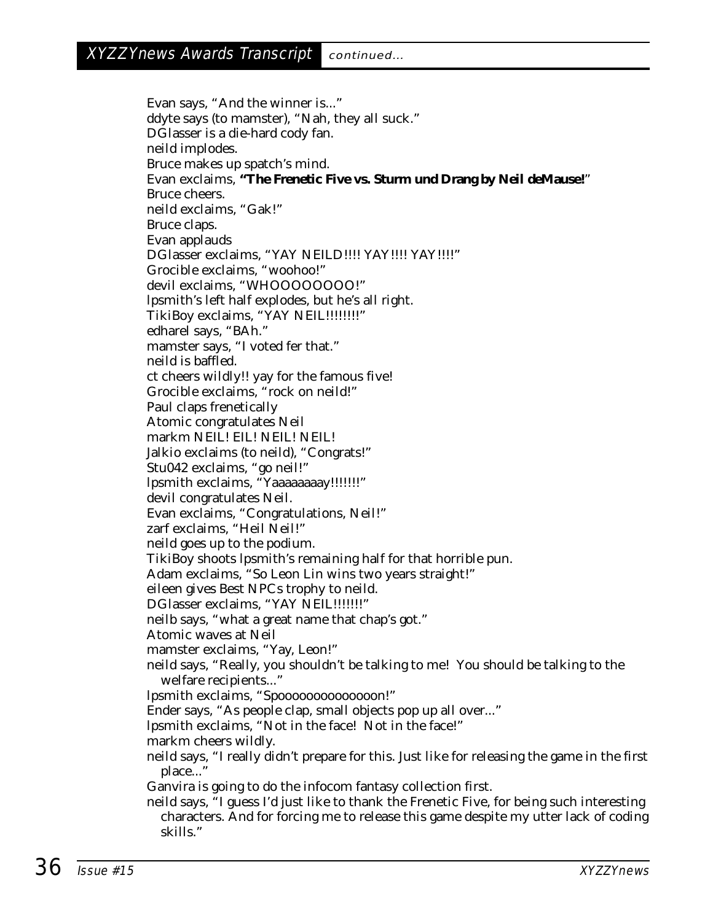Evan says, "And the winner is..." ddyte says (to mamster), "Nah, they all suck." DGlasser is a die-hard cody fan. neild implodes. Bruce makes up spatch's mind. Evan exclaims, **"The Frenetic Five vs. Sturm und Drang by Neil deMause!**" Bruce cheers. neild exclaims, "Gak!" Bruce claps. Evan applauds DGlasser exclaims, "YAY NEILD!!!! YAY!!!! YAY!!!!" Grocible exclaims, "woohoo!" devil exclaims. "WHOOOOOOO!" lpsmith's left half explodes, but he's all right. TikiBoy exclaims, "YAY NEIL!!!!!!!!!" edharel says, "BAh." mamster says, "I voted fer that." neild is baffled. ct cheers wildly!! yay for the famous five! Grocible exclaims, "rock on neild!" Paul claps frenetically Atomic congratulates Neil markm NEIL! EIL! NEIL! NEIL! Jalkio exclaims (to neild), "Congrats!" Stu042 exclaims, "go neil!" lpsmith exclaims, "Yaaaaaaaay!!!!!!!" devil congratulates Neil. Evan exclaims, "Congratulations, Neil!" zarf exclaims, "Heil Neil!" neild goes up to the podium. TikiBoy shoots lpsmith's remaining half for that horrible pun. Adam exclaims, "So Leon Lin wins two years straight!" eileen gives Best NPCs trophy to neild. DGlasser exclaims, "YAY NEIL!!!!!!!!" neilb says, "what a great name that chap's got." Atomic waves at Neil mamster exclaims, "Yay, Leon!" neild says, "Really, you shouldn't be talking to me! You should be talking to the welfare recipients..." lpsmith exclaims, "Spoooooooooooooon!" Ender says, "As people clap, small objects pop up all over..." lpsmith exclaims, "Not in the face! Not in the face!" markm cheers wildly. neild says, "I really didn't prepare for this. Just like for releasing the game in the first place..." Ganvira is going to do the infocom fantasy collection first. neild says, "I guess I'd just like to thank the Frenetic Five, for being such interesting characters. And for forcing me to release this game despite my utter lack of coding skills."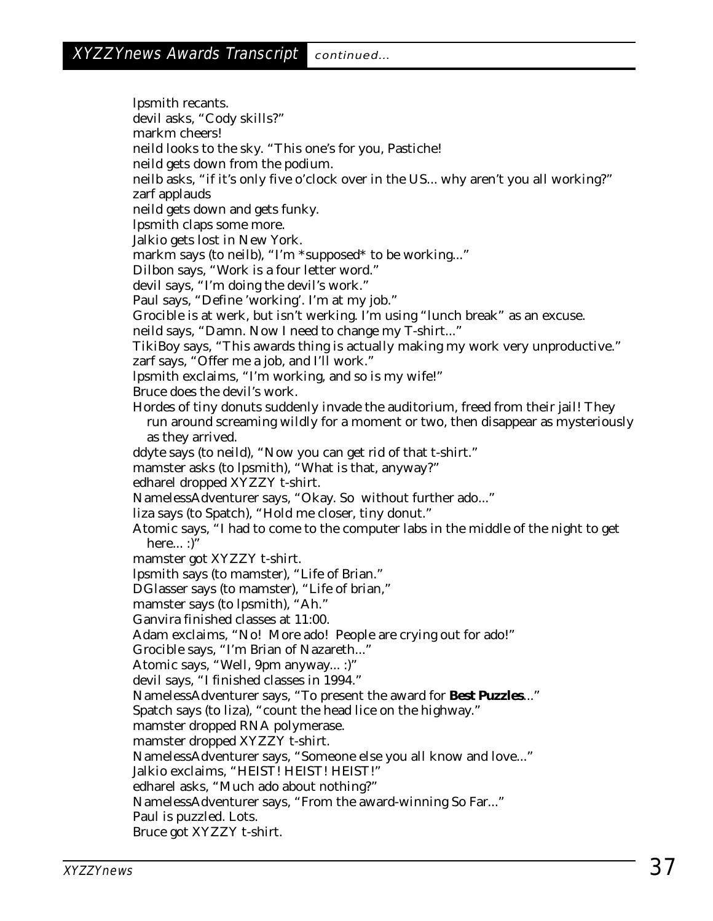lpsmith recants. devil asks, "Cody skills?" markm cheers! neild looks to the sky. "This one's for you, Pastiche! neild gets down from the podium. neilb asks, "if it's only five o'clock over in the US... why aren't you all working?" zarf applauds neild gets down and gets funky. lpsmith claps some more. Jalkio gets lost in New York. markm says (to neilb), "I'm \*supposed\* to be working..." Dilbon says, "Work is a four letter word." devil says, "I'm doing the devil's work." Paul says, "Define 'working'. I'm at my job." Grocible is at werk, but isn't werking. I'm using "lunch break" as an excuse. neild says, "Damn. Now I need to change my T-shirt..." TikiBoy says, "This awards thing is actually making my work very unproductive." zarf says, "Offer me a job, and I'll work." lpsmith exclaims, "I'm working, and so is my wife!" Bruce does the devil's work. Hordes of tiny donuts suddenly invade the auditorium, freed from their jail! They run around screaming wildly for a moment or two, then disappear as mysteriously as they arrived. ddyte says (to neild), "Now you can get rid of that t-shirt." mamster asks (to lpsmith), "What is that, anyway?" edharel dropped XYZZY t-shirt. NamelessAdventurer says, "Okay. So without further ado..." liza says (to Spatch), "Hold me closer, tiny donut." Atomic says, "I had to come to the computer labs in the middle of the night to get here... :)" mamster got XYZZY t-shirt. lpsmith says (to mamster), "Life of Brian." DGlasser says (to mamster), "Life of brian," mamster says (to lpsmith), "Ah." Ganvira finished classes at 11:00. Adam exclaims, "No! More ado! People are crying out for ado!" Grocible says, "I'm Brian of Nazareth..." Atomic says, "Well, 9pm anyway... :)" devil says, "I finished classes in 1994." NamelessAdventurer says, "To present the award for **Best Puzzles**..." Spatch says (to liza), "count the head lice on the highway." mamster dropped RNA polymerase. mamster dropped XYZZY t-shirt. NamelessAdventurer says, "Someone else you all know and love..." Jalkio exclaims, "HEIST! HEIST! HEIST!" edharel asks, "Much ado about nothing?" NamelessAdventurer says, "From the award-winning So Far..." Paul is puzzled. Lots. Bruce got XYZZY t-shirt.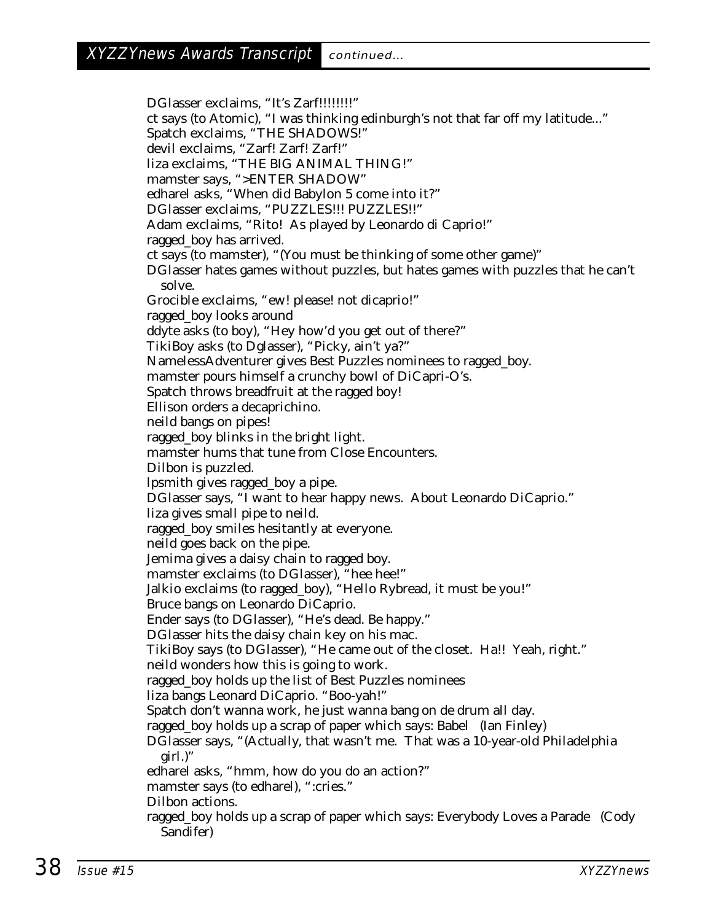DGlasser exclaims, "It's Zarf!!!!!!!!!" ct says (to Atomic), "I was thinking edinburgh's not that far off my latitude..." Spatch exclaims, "THE SHADOWS!" devil exclaims, "Zarf! Zarf! Zarf!" liza exclaims, "THE BIG ANIMAL THING!" mamster says, ">ENTER SHADOW" edharel asks, "When did Babylon 5 come into it?" DGlasser exclaims, "PUZZLES!!! PUZZLES!!" Adam exclaims, "Rito! As played by Leonardo di Caprio!" ragged\_boy has arrived. ct says (to mamster), "(You must be thinking of some other game)" DGlasser hates games without puzzles, but hates games with puzzles that he can't solve. Grocible exclaims, "ew! please! not dicaprio!" ragged\_boy looks around ddyte asks (to boy), "Hey how'd you get out of there?" TikiBoy asks (to Dglasser), "Picky, ain't ya?" NamelessAdventurer gives Best Puzzles nominees to ragged\_boy. mamster pours himself a crunchy bowl of DiCapri-O's. Spatch throws breadfruit at the ragged boy! Ellison orders a decaprichino. neild bangs on pipes! ragged\_boy blinks in the bright light. mamster hums that tune from Close Encounters. Dilbon is puzzled. lpsmith gives ragged\_boy a pipe. DGlasser says, "I want to hear happy news. About Leonardo DiCaprio." liza gives small pipe to neild. ragged\_boy smiles hesitantly at everyone. neild goes back on the pipe. Jemima gives a daisy chain to ragged boy. mamster exclaims (to DGlasser), "hee hee!" Jalkio exclaims (to ragged\_boy), "Hello Rybread, it must be you!" Bruce bangs on Leonardo DiCaprio. Ender says (to DGlasser), "He's dead. Be happy." DGlasser hits the daisy chain key on his mac. TikiBoy says (to DGlasser), "He came out of the closet. Ha!! Yeah, right." neild wonders how this is going to work. ragged\_boy holds up the list of Best Puzzles nominees liza bangs Leonard DiCaprio. "Boo-yah!" Spatch don't wanna work, he just wanna bang on de drum all day. ragged\_boy holds up a scrap of paper which says: Babel (Ian Finley) DGlasser says, "(Actually, that wasn't me. That was a 10-year-old Philadelphia girl.)" edharel asks, "hmm, how do you do an action?" mamster says (to edharel), ":cries." Dilbon actions. ragged\_boy holds up a scrap of paper which says: Everybody Loves a Parade (Cody Sandifer)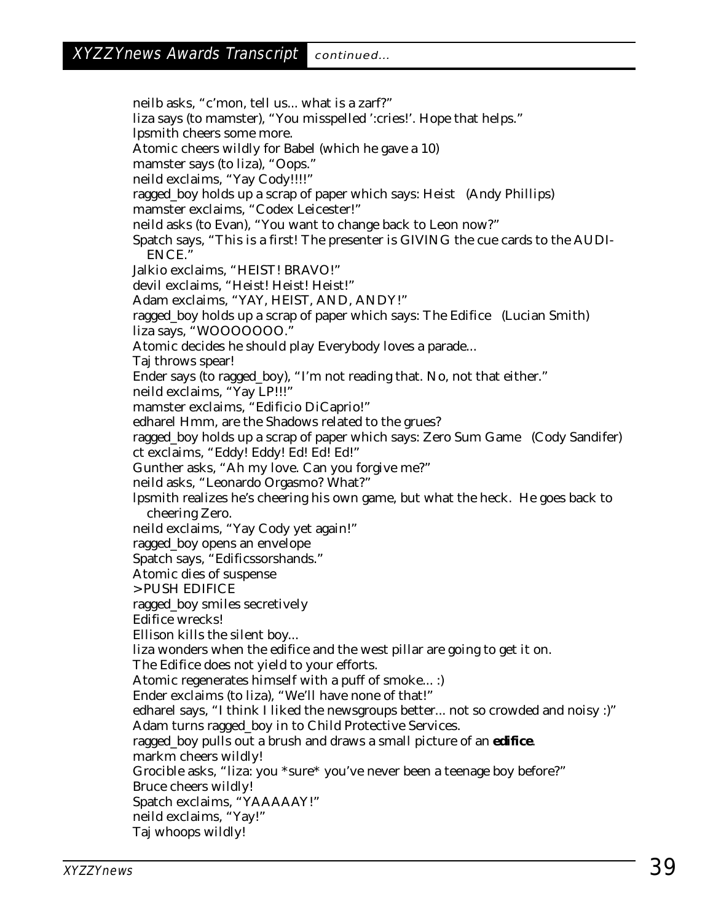neilb asks, "c'mon, tell us... what is a zarf?" liza says (to mamster), "You misspelled ':cries!'. Hope that helps." lpsmith cheers some more. Atomic cheers wildly for Babel (which he gave a 10) mamster says (to liza), "Oops." neild exclaims, "Yay Cody!!!!" ragged\_boy holds up a scrap of paper which says: Heist (Andy Phillips) mamster exclaims, "Codex Leicester!" neild asks (to Evan), "You want to change back to Leon now?" Spatch says, "This is a first! The presenter is GIVING the cue cards to the AUDI-ENCE." Jalkio exclaims, "HEIST! BRAVO!" devil exclaims, "Heist! Heist! Heist!" Adam exclaims, "YAY, HEIST, AND, ANDY!" ragged\_boy holds up a scrap of paper which says: The Edifice (Lucian Smith) liza says, "WOOOOOOO." Atomic decides he should play Everybody loves a parade... Taj throws spear! Ender says (to ragged\_boy), "I'm not reading that. No, not that either." neild exclaims, "Yay LP!!!" mamster exclaims, "Edificio DiCaprio!" edharel Hmm, are the Shadows related to the grues? ragged\_boy holds up a scrap of paper which says: Zero Sum Game (Cody Sandifer) ct exclaims, "Eddy! Eddy! Ed! Ed! Ed!" Gunther asks, "Ah my love. Can you forgive me?" neild asks, "Leonardo Orgasmo? What?" lpsmith realizes he's cheering his own game, but what the heck. He goes back to cheering Zero. neild exclaims, "Yay Cody yet again!" ragged\_boy opens an envelope Spatch says, "Edificssorshands." Atomic dies of suspense > PUSH EDIFICE ragged\_boy smiles secretively Edifice wrecks! Ellison kills the silent boy... liza wonders when the edifice and the west pillar are going to get it on. The Edifice does not yield to your efforts. Atomic regenerates himself with a puff of smoke... :) Ender exclaims (to liza), "We'll have none of that!" edharel says, "I think I liked the newsgroups better... not so crowded and noisy :)" Adam turns ragged\_boy in to Child Protective Services. ragged\_boy pulls out a brush and draws a small picture of an **edifice**. markm cheers wildly! Grocible asks, "liza: you \*sure\* you've never been a teenage boy before?" Bruce cheers wildly! Spatch exclaims, "YAAAAAY!" neild exclaims, "Yay!" Taj whoops wildly!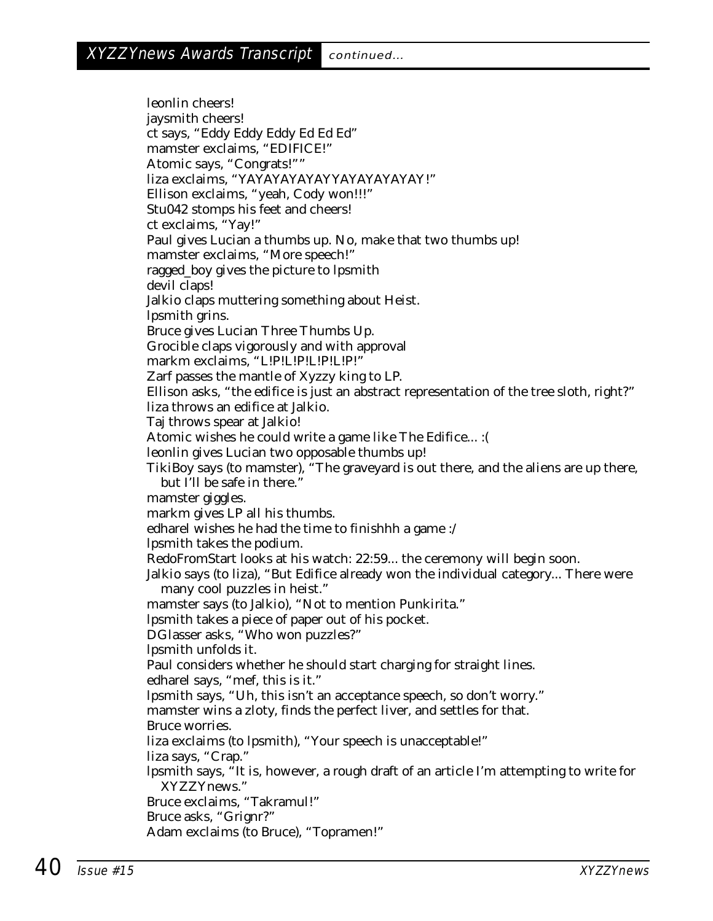leonlin cheers! jaysmith cheers! ct says, "Eddy Eddy Eddy Ed Ed Ed" mamster exclaims, "EDIFICE!" Atomic says, "Congrats!"" liza exclaims, "YAYAYAYAYAYYAYAYAYAYAY!" Ellison exclaims, "yeah, Cody won!!!" Stu042 stomps his feet and cheers! ct exclaims, "Yay!" Paul gives Lucian a thumbs up. No, make that two thumbs up! mamster exclaims, "More speech!" ragged\_boy gives the picture to lpsmith devil claps! Jalkio claps muttering something about Heist. lpsmith grins. Bruce gives Lucian Three Thumbs Up. Grocible claps vigorously and with approval markm exclaims, "L!P!L!P!L!P!L!P!" Zarf passes the mantle of Xyzzy king to LP. Ellison asks, "the edifice is just an abstract representation of the tree sloth, right?" liza throws an edifice at Jalkio. Taj throws spear at Jalkio! Atomic wishes he could write a game like The Edifice... :( leonlin gives Lucian two opposable thumbs up! TikiBoy says (to mamster), "The graveyard is out there, and the aliens are up there, but I'll be safe in there." mamster giggles. markm gives LP all his thumbs. edharel wishes he had the time to finishhh a game :/ lpsmith takes the podium. RedoFromStart looks at his watch: 22:59... the ceremony will begin soon. Jalkio says (to liza), "But Edifice already won the individual category... There were many cool puzzles in heist." mamster says (to Jalkio), "Not to mention Punkirita." lpsmith takes a piece of paper out of his pocket. DGlasser asks, "Who won puzzles?" lpsmith unfolds it. Paul considers whether he should start charging for straight lines. edharel says, "mef, this is it." lpsmith says, "Uh, this isn't an acceptance speech, so don't worry." mamster wins a zloty, finds the perfect liver, and settles for that. Bruce worries. liza exclaims (to lpsmith), "Your speech is unacceptable!" liza says, "Crap." lpsmith says, "It is, however, a rough draft of an article I'm attempting to write for XYZZYnews." Bruce exclaims, "Takramul!" Bruce asks, "Grignr?" Adam exclaims (to Bruce), "Topramen!"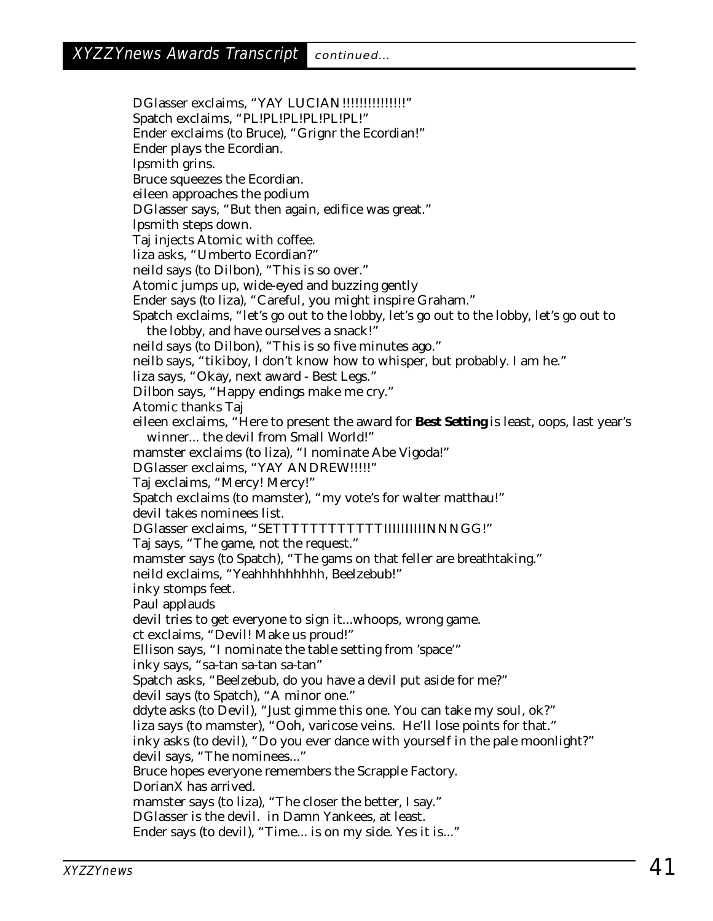DGlasser exclaims, "YAY LUCIAN!!!!!!!!!!!!!!!!!!!! Spatch exclaims, "PL!PL!PL!PL!PL!PL!" Ender exclaims (to Bruce), "Grignr the Ecordian!" Ender plays the Ecordian. lpsmith grins. Bruce squeezes the Ecordian. eileen approaches the podium DGlasser says, "But then again, edifice was great." lpsmith steps down. Taj injects Atomic with coffee. liza asks, "Umberto Ecordian?" neild says (to Dilbon), "This is so over." Atomic jumps up, wide-eyed and buzzing gently Ender says (to liza), "Careful, you might inspire Graham." Spatch exclaims, "let's go out to the lobby, let's go out to the lobby, let's go out to the lobby, and have ourselves a snack!" neild says (to Dilbon), "This is so five minutes ago." neilb says, "tikiboy, I don't know how to whisper, but probably. I am he." liza says, "Okay, next award - Best Legs." Dilbon says, "Happy endings make me cry." Atomic thanks Taj eileen exclaims, "Here to present the award for **Best Setting** is least, oops, last year's winner... the devil from Small World!" mamster exclaims (to liza), "I nominate Abe Vigoda!" DGlasser exclaims, "YAY ANDREW!!!!!" Taj exclaims, "Mercy! Mercy!" Spatch exclaims (to mamster), "my vote's for walter matthau!" devil takes nominees list. DGlasser exclaims, "SETTTTTTTTTTTTIIIIIIIIIINNNGG!" Taj says, "The game, not the request." mamster says (to Spatch), "The gams on that feller are breathtaking." neild exclaims, "Yeahhhhhhhhh, Beelzebub!" inky stomps feet. Paul applauds devil tries to get everyone to sign it...whoops, wrong game. ct exclaims, "Devil! Make us proud!" Ellison says, "I nominate the table setting from 'space'" inky says, "sa-tan sa-tan sa-tan" Spatch asks, "Beelzebub, do you have a devil put aside for me?" devil says (to Spatch), "A minor one." ddyte asks (to Devil), "Just gimme this one. You can take my soul, ok?" liza says (to mamster), "Ooh, varicose veins. He'll lose points for that." inky asks (to devil), "Do you ever dance with yourself in the pale moonlight?" devil says, "The nominees..." Bruce hopes everyone remembers the Scrapple Factory. DorianX has arrived. mamster says (to liza), "The closer the better, I say." DGlasser is the devil. in Damn Yankees, at least. Ender says (to devil), "Time... is on my side. Yes it is..."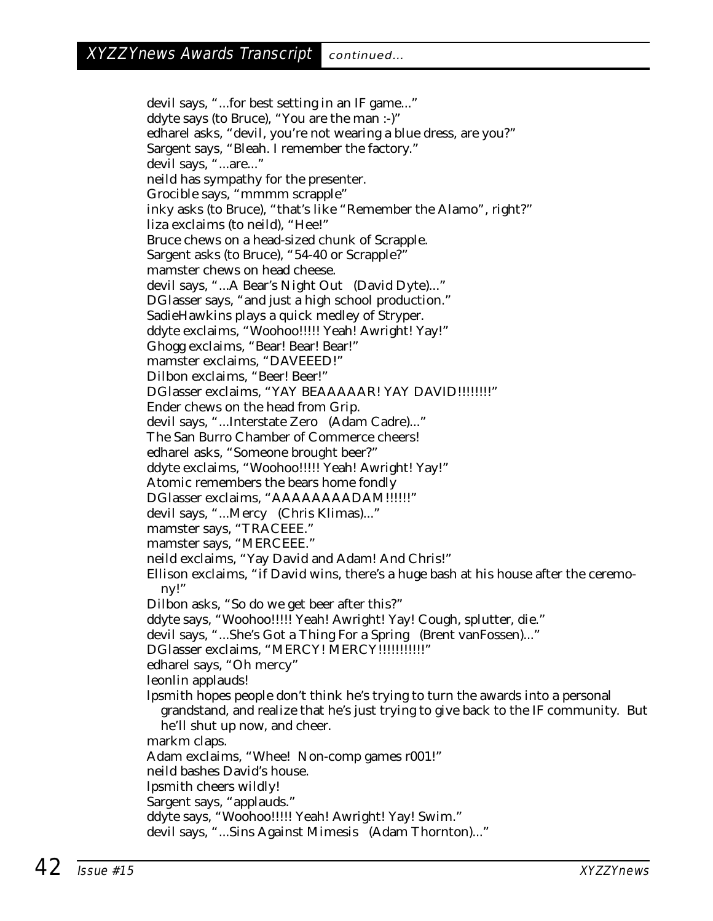devil says, "...for best setting in an IF game..." ddyte says (to Bruce), "You are the man :-)" edharel asks, "devil, you're not wearing a blue dress, are you?" Sargent says, "Bleah. I remember the factory." devil says, "...are..." neild has sympathy for the presenter. Grocible says, "mmmm scrapple" inky asks (to Bruce), "that's like "Remember the Alamo", right?" liza exclaims (to neild), "Hee!" Bruce chews on a head-sized chunk of Scrapple. Sargent asks (to Bruce), "54-40 or Scrapple?" mamster chews on head cheese. devil says, "...A Bear's Night Out (David Dyte)..." DGlasser says, "and just a high school production." SadieHawkins plays a quick medley of Stryper. ddyte exclaims, "Woohoo!!!!! Yeah! Awright! Yay!" Ghogg exclaims, "Bear! Bear! Bear!" mamster exclaims, "DAVEEED!" Dilbon exclaims, "Beer! Beer!" DGlasser exclaims, "YAY BEAAAAAR! YAY DAVID!!!!!!!!!" Ender chews on the head from Grip. devil says, "...Interstate Zero (Adam Cadre)..." The San Burro Chamber of Commerce cheers! edharel asks, "Someone brought beer?" ddyte exclaims, "Woohoo!!!!! Yeah! Awright! Yay!" Atomic remembers the bears home fondly DGlasser exclaims, "AAAAAAAADAM!!!!!!" devil says, "...Mercy (Chris Klimas)..." mamster says, "TRACEEE." mamster says, "MERCEEE." neild exclaims, "Yay David and Adam! And Chris!" Ellison exclaims, "if David wins, there's a huge bash at his house after the ceremony!" Dilbon asks, "So do we get beer after this?" ddyte says, "Woohoo!!!!! Yeah! Awright! Yay! Cough, splutter, die." devil says, "...She's Got a Thing For a Spring (Brent vanFossen)..." DGlasser exclaims, "MERCY! MERCY!!!!!!!!!!!!!" edharel says, "Oh mercy" leonlin applauds! lpsmith hopes people don't think he's trying to turn the awards into a personal grandstand, and realize that he's just trying to give back to the IF community. But he'll shut up now, and cheer. markm claps. Adam exclaims, "Whee! Non-comp games r001!" neild bashes David's house. lpsmith cheers wildly! Sargent says, "applauds." ddyte says, "Woohoo!!!!! Yeah! Awright! Yay! Swim." devil says, "...Sins Against Mimesis (Adam Thornton)..."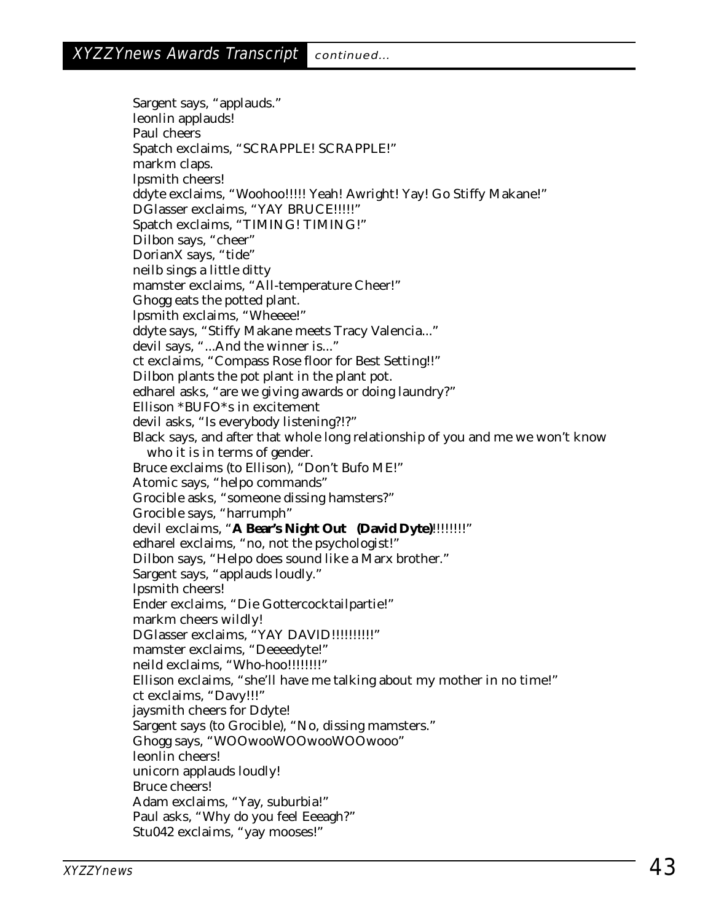Sargent says, "applauds." leonlin applauds! Paul cheers Spatch exclaims, "SCRAPPLE! SCRAPPLE!" markm claps. lpsmith cheers! ddyte exclaims, "Woohoo!!!!! Yeah! Awright! Yay! Go Stiffy Makane!" DGlasser exclaims, "YAY BRUCE!!!!!" Spatch exclaims, "TIMING! TIMING!" Dilbon says, "cheer" DorianX says, "tide" neilb sings a little ditty mamster exclaims, "All-temperature Cheer!" Ghogg eats the potted plant. lpsmith exclaims, "Wheeee!" ddyte says, "Stiffy Makane meets Tracy Valencia..." devil says, "...And the winner is..." ct exclaims, "Compass Rose floor for Best Setting!!" Dilbon plants the pot plant in the plant pot. edharel asks, "are we giving awards or doing laundry?" Ellison \*BUFO\*s in excitement devil asks, "Is everybody listening?!?" Black says, and after that whole long relationship of you and me we won't know who it is in terms of gender. Bruce exclaims (to Ellison), "Don't Bufo ME!" Atomic says, "helpo commands" Grocible asks, "someone dissing hamsters?" Grocible says, "harrumph" devil exclaims, "**A Bear's Night Out (David Dyte)**!!!!!!!!" edharel exclaims, "no, not the psychologist!" Dilbon says, "Helpo does sound like a Marx brother." Sargent says, "applauds loudly." lpsmith cheers! Ender exclaims, "Die Gottercocktailpartie!" markm cheers wildly! DGlasser exclaims, "YAY DAVID!!!!!!!!!!!" mamster exclaims, "Deeeedyte!" neild exclaims, "Who-hoo!!!!!!!!" Ellison exclaims, "she'll have me talking about my mother in no time!" ct exclaims, "Davy!!!" jaysmith cheers for Ddyte! Sargent says (to Grocible), "No, dissing mamsters." Ghogg says, "WOOwooWOOwooWOOwooo" leonlin cheers! unicorn applauds loudly! Bruce cheers! Adam exclaims, "Yay, suburbia!" Paul asks, "Why do you feel Eeeagh?" Stu042 exclaims, "yay mooses!"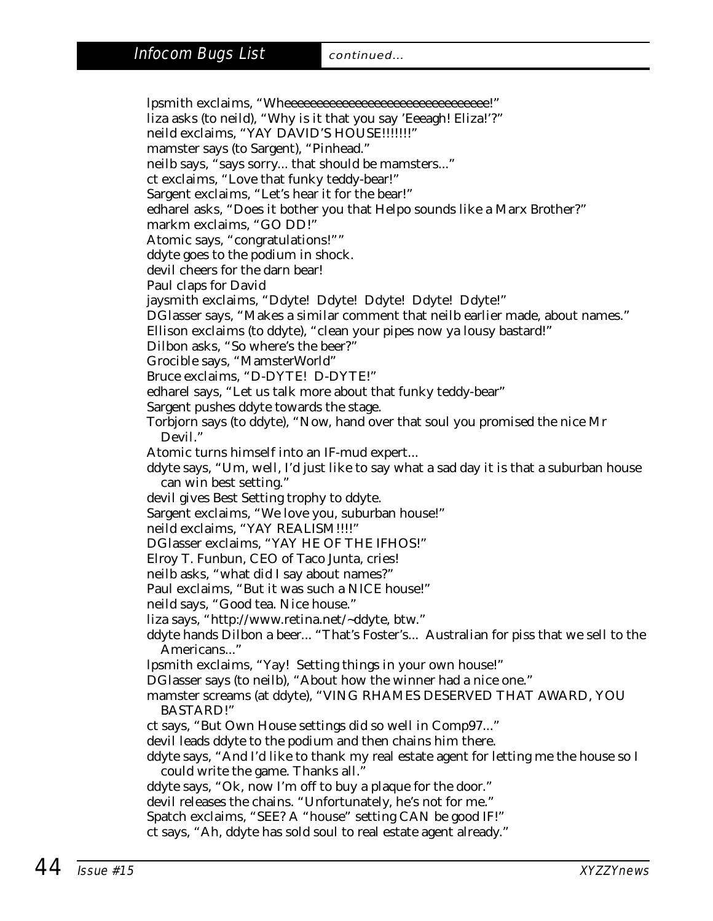lpsmith exclaims, "Wheeeeeeeeeeeeeeeeeeeeeeeeeeeeeeee!" liza asks (to neild), "Why is it that you say 'Eeeagh! Eliza!'?" neild exclaims, "YAY DAVID'S HOUSE!!!!!!!" mamster says (to Sargent), "Pinhead." neilb says, "says sorry... that should be mamsters..." ct exclaims, "Love that funky teddy-bear!" Sargent exclaims, "Let's hear it for the bear!" edharel asks, "Does it bother you that Helpo sounds like a Marx Brother?" markm exclaims, "GO DD!" Atomic says, "congratulations!"" ddyte goes to the podium in shock. devil cheers for the darn bear! Paul claps for David jaysmith exclaims, "Ddyte! Ddyte! Ddyte! Ddyte! Ddyte!" DGlasser says, "Makes a similar comment that neilb earlier made, about names." Ellison exclaims (to ddyte), "clean your pipes now ya lousy bastard!" Dilbon asks, "So where's the beer?" Grocible says, "MamsterWorld" Bruce exclaims, "D-DYTE! D-DYTE!" edharel says, "Let us talk more about that funky teddy-bear" Sargent pushes ddyte towards the stage. Torbjorn says (to ddyte), "Now, hand over that soul you promised the nice Mr Devil." Atomic turns himself into an IF-mud expert... ddyte says, "Um, well, I'd just like to say what a sad day it is that a suburban house can win best setting." devil gives Best Setting trophy to ddyte. Sargent exclaims, "We love you, suburban house!" neild exclaims, "YAY REALISM!!!!" DGlasser exclaims, "YAY HE OF THE IFHOS!" Elroy T. Funbun, CEO of Taco Junta, cries! neilb asks, "what did I say about names?" Paul exclaims, "But it was such a NICE house!" neild says, "Good tea. Nice house." liza says, "http://www.retina.net/~ddyte, btw." ddyte hands Dilbon a beer... "That's Foster's... Australian for piss that we sell to the Americans..." lpsmith exclaims, "Yay! Setting things in your own house!" DGlasser says (to neilb), "About how the winner had a nice one." mamster screams (at ddyte), "VING RHAMES DESERVED THAT AWARD, YOU BASTARD!" ct says, "But Own House settings did so well in Comp97..." devil leads ddyte to the podium and then chains him there. ddyte says, "And I'd like to thank my real estate agent for letting me the house so I could write the game. Thanks all." ddyte says, "Ok, now I'm off to buy a plaque for the door." devil releases the chains. "Unfortunately, he's not for me." Spatch exclaims, "SEE? A "house" setting CAN be good IF!" ct says, "Ah, ddyte has sold soul to real estate agent already."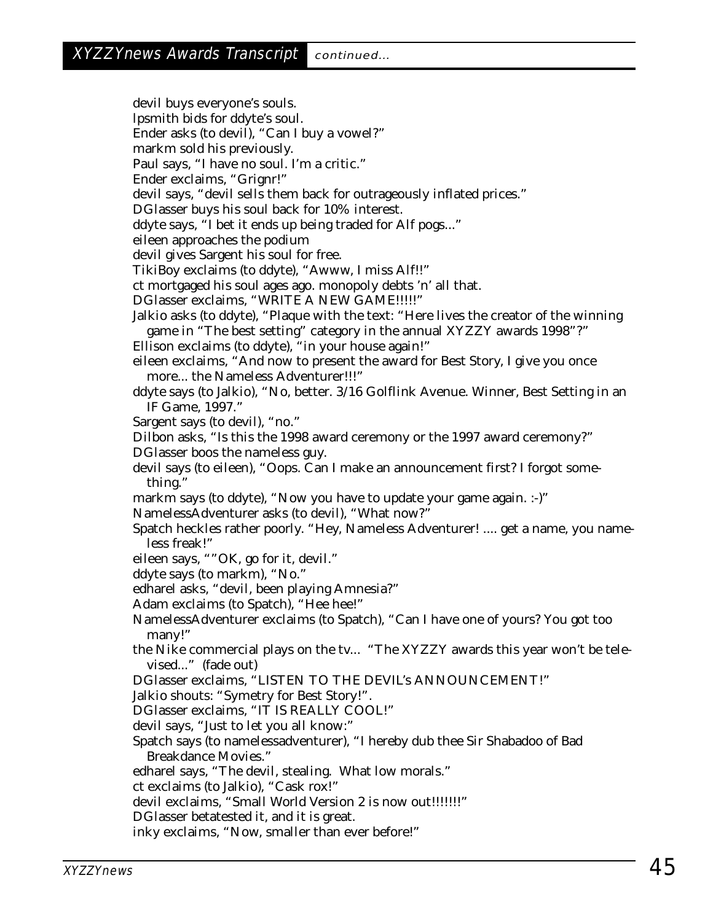devil buys everyone's souls. lpsmith bids for ddyte's soul. Ender asks (to devil), "Can I buy a vowel?" markm sold his previously. Paul says, "I have no soul. I'm a critic." Ender exclaims, "Grignr!" devil says, "devil sells them back for outrageously inflated prices." DGlasser buys his soul back for 10% interest. ddyte says, "I bet it ends up being traded for Alf pogs..." eileen approaches the podium devil gives Sargent his soul for free. TikiBoy exclaims (to ddyte), "Awww, I miss Alf!!" ct mortgaged his soul ages ago. monopoly debts 'n' all that. DGlasser exclaims, "WRITE A NEW GAME!!!!!" Jalkio asks (to ddyte), "Plaque with the text: "Here lives the creator of the winning game in "The best setting" category in the annual XYZZY awards 1998"?" Ellison exclaims (to ddyte), "in your house again!" eileen exclaims, "And now to present the award for Best Story, I give you once more... the Nameless Adventurer!!!" ddyte says (to Jalkio), "No, better. 3/16 Golflink Avenue. Winner, Best Setting in an IF Game, 1997." Sargent says (to devil), "no." Dilbon asks, "Is this the 1998 award ceremony or the 1997 award ceremony?" DGlasser boos the nameless guy. devil says (to eileen), "Oops. Can I make an announcement first? I forgot something." markm says (to ddyte), "Now you have to update your game again. :-)" NamelessAdventurer asks (to devil), "What now?" Spatch heckles rather poorly. "Hey, Nameless Adventurer! .... get a name, you nameless freak!" eileen says, ""OK, go for it, devil." ddyte says (to markm), "No." edharel asks, "devil, been playing Amnesia?" Adam exclaims (to Spatch), "Hee hee!" NamelessAdventurer exclaims (to Spatch), "Can I have one of yours? You got too many!" the Nike commercial plays on the tv... "The XYZZY awards this year won't be televised..." (fade out) DGlasser exclaims, "LISTEN TO THE DEVIL's ANNOUNCEMENT!" Jalkio shouts: "Symetry for Best Story!". DGlasser exclaims, "IT IS REALLY COOL!" devil says, "Just to let you all know:" Spatch says (to namelessadventurer), "I hereby dub thee Sir Shabadoo of Bad Breakdance Movies." edharel says, "The devil, stealing. What low morals." ct exclaims (to Jalkio), "Cask rox!" devil exclaims, "Small World Version 2 is now out!!!!!!!" DGlasser betatested it, and it is great. inky exclaims, "Now, smaller than ever before!"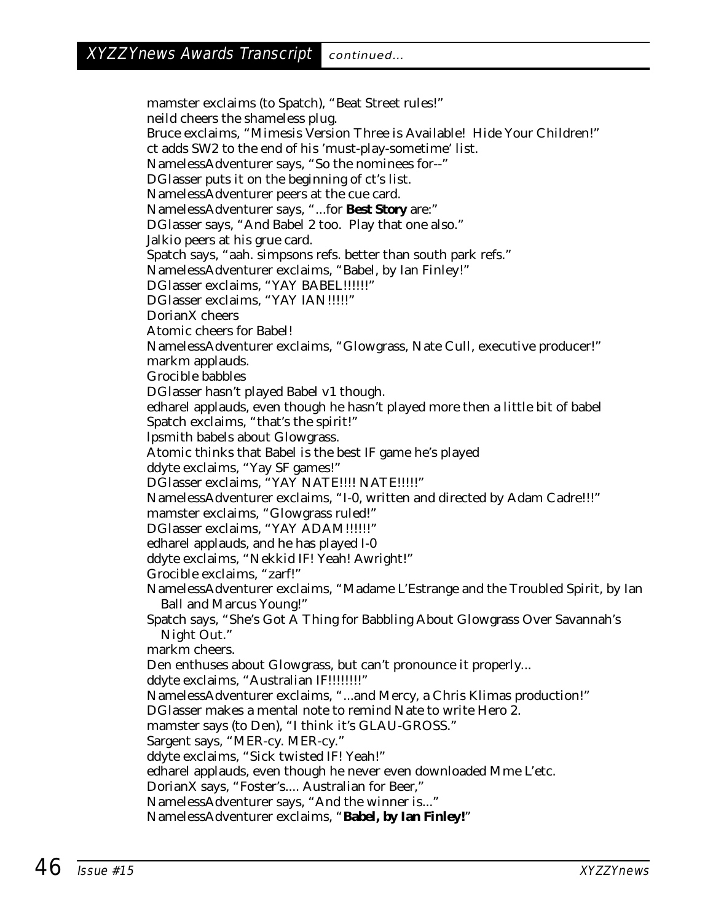mamster exclaims (to Spatch), "Beat Street rules!" neild cheers the shameless plug. Bruce exclaims, "Mimesis Version Three is Available! Hide Your Children!" ct adds SW2 to the end of his 'must-play-sometime' list. NamelessAdventurer says, "So the nominees for--" DGlasser puts it on the beginning of ct's list. NamelessAdventurer peers at the cue card. NamelessAdventurer says, "...for **Best Story** are:" DGlasser says, "And Babel 2 too. Play that one also." Jalkio peers at his grue card. Spatch says, "aah. simpsons refs. better than south park refs." NamelessAdventurer exclaims, "Babel, by Ian Finley!" DGlasser exclaims, "YAY BABEL!!!!!!" DGlasser exclaims, "YAY IAN!!!!!" DorianX cheers Atomic cheers for Babel! NamelessAdventurer exclaims, "Glowgrass, Nate Cull, executive producer!" markm applauds. Grocible babbles DGlasser hasn't played Babel v1 though. edharel applauds, even though he hasn't played more then a little bit of babel Spatch exclaims, "that's the spirit!" lpsmith babels about Glowgrass. Atomic thinks that Babel is the best IF game he's played ddyte exclaims, "Yay SF games!" DGlasser exclaims, "YAY NATE!!!! NATE!!!!!" NamelessAdventurer exclaims, "I-0, written and directed by Adam Cadre!!!" mamster exclaims, "Glowgrass ruled!" DGlasser exclaims, "YAY ADAM!!!!!!" edharel applauds, and he has played I-0 ddyte exclaims, "Nekkid IF! Yeah! Awright!" Grocible exclaims, "zarf!" NamelessAdventurer exclaims, "Madame L'Estrange and the Troubled Spirit, by Ian Ball and Marcus Young!" Spatch says, "She's Got A Thing for Babbling About Glowgrass Over Savannah's Night Out." markm cheers. Den enthuses about Glowgrass, but can't pronounce it properly... ddyte exclaims, "Australian IF!!!!!!!!!" NamelessAdventurer exclaims, "...and Mercy, a Chris Klimas production!" DGlasser makes a mental note to remind Nate to write Hero 2. mamster says (to Den), "I think it's GLAU-GROSS." Sargent says, "MER-cy. MER-cy." ddyte exclaims, "Sick twisted IF! Yeah!" edharel applauds, even though he never even downloaded Mme L'etc. DorianX says, "Foster's.... Australian for Beer," NamelessAdventurer says, "And the winner is..." NamelessAdventurer exclaims, "**Babel, by Ian Finley!**"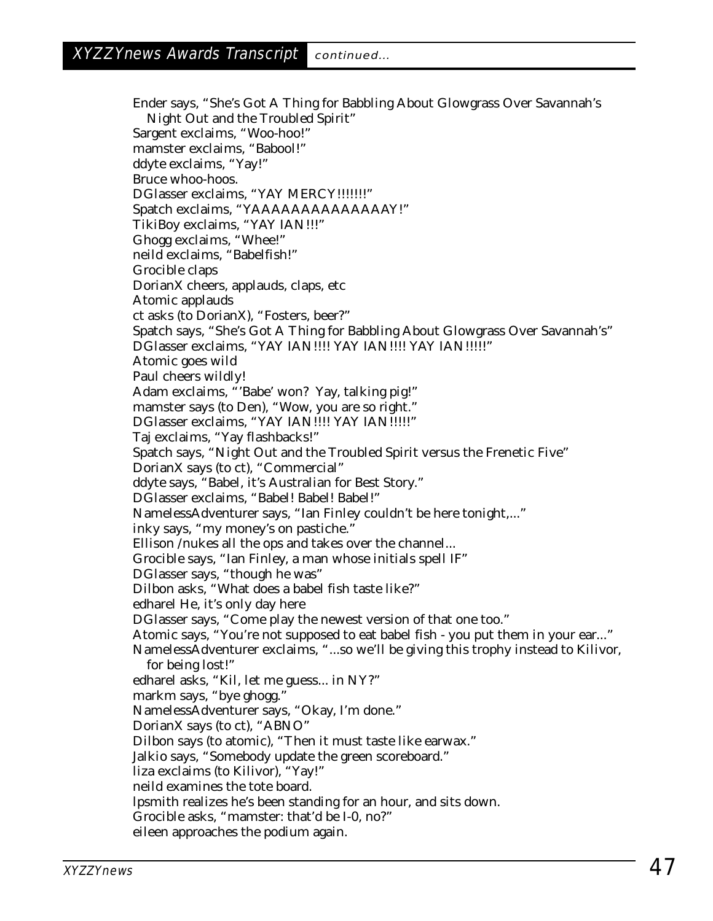Ender says, "She's Got A Thing for Babbling About Glowgrass Over Savannah's Night Out and the Troubled Spirit" Sargent exclaims, "Woo-hoo!" mamster exclaims, "Babool!" ddyte exclaims, "Yay!" Bruce whoo-hoos. DGlasser exclaims, "YAY MERCY!!!!!!!" Spatch exclaims, "YAAAAAAAAAAAAAAY!" TikiBoy exclaims, "YAY IAN!!!" Ghogg exclaims, "Whee!" neild exclaims, "Babelfish!" Grocible claps DorianX cheers, applauds, claps, etc Atomic applauds ct asks (to DorianX), "Fosters, beer?" Spatch says, "She's Got A Thing for Babbling About Glowgrass Over Savannah's" DGlasser exclaims, "YAY IAN!!!! YAY IAN!!!! YAY IAN!!!!!" Atomic goes wild Paul cheers wildly! Adam exclaims, "'Babe' won? Yay, talking pig!" mamster says (to Den), "Wow, you are so right." DGlasser exclaims, "YAY IAN!!!! YAY IAN!!!!!" Taj exclaims, "Yay flashbacks!" Spatch says, "Night Out and the Troubled Spirit versus the Frenetic Five" DorianX says (to ct), "Commercial" ddyte says, "Babel, it's Australian for Best Story." DGlasser exclaims, "Babel! Babel! Babel!" NamelessAdventurer says, "Ian Finley couldn't be here tonight,..." inky says, "my money's on pastiche." Ellison /nukes all the ops and takes over the channel... Grocible says, "Ian Finley, a man whose initials spell IF" DGlasser says, "though he was" Dilbon asks, "What does a babel fish taste like?" edharel He, it's only day here DGlasser says, "Come play the newest version of that one too." Atomic says, "You're not supposed to eat babel fish - you put them in your ear..." NamelessAdventurer exclaims, "...so we'll be giving this trophy instead to Kilivor, for being lost!" edharel asks, "Kil, let me guess... in NY?" markm says, "bye ghogg." NamelessAdventurer says, "Okay, I'm done." DorianX says (to ct), "ABNO" Dilbon says (to atomic), "Then it must taste like earwax." Jalkio says, "Somebody update the green scoreboard." liza exclaims (to Kilivor), "Yay!" neild examines the tote board. lpsmith realizes he's been standing for an hour, and sits down. Grocible asks, "mamster: that'd be I-0, no?" eileen approaches the podium again.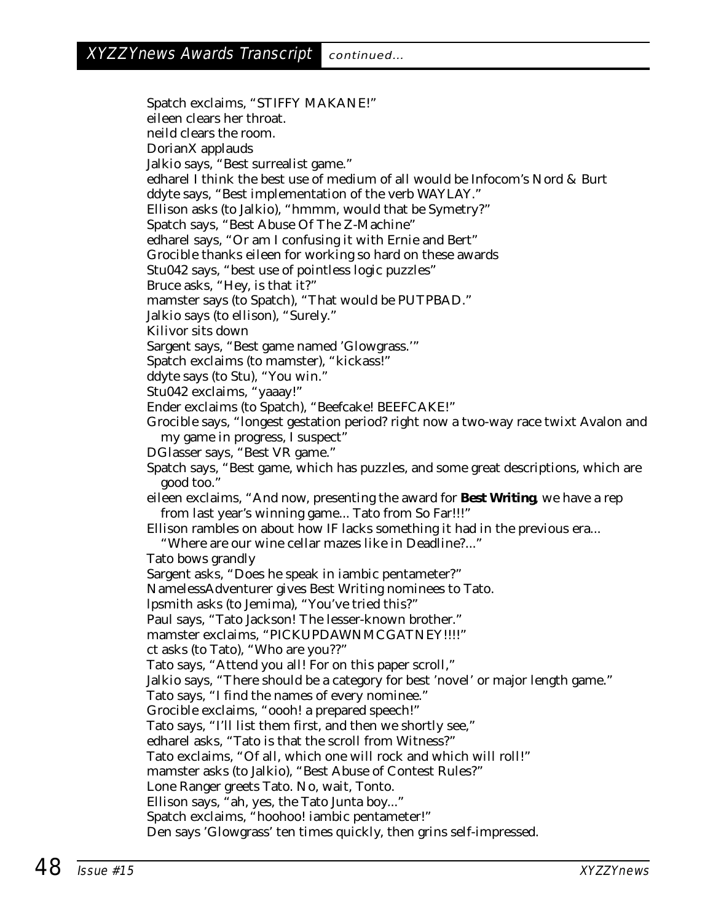Spatch exclaims, "STIFFY MAKANE!" eileen clears her throat. neild clears the room. DorianX applauds Jalkio says, "Best surrealist game." edharel I think the best use of medium of all would be Infocom's Nord & Burt ddyte says, "Best implementation of the verb WAYLAY." Ellison asks (to Jalkio), "hmmm, would that be Symetry?" Spatch says, "Best Abuse Of The Z-Machine" edharel says, "Or am I confusing it with Ernie and Bert" Grocible thanks eileen for working so hard on these awards Stu042 says, "best use of pointless logic puzzles" Bruce asks, "Hey, is that it?" mamster says (to Spatch), "That would be PUTPBAD." Jalkio says (to ellison), "Surely." Kilivor sits down Sargent says, "Best game named 'Glowgrass.'" Spatch exclaims (to mamster), "kickass!" ddyte says (to Stu), "You win." Stu042 exclaims, "yaaay!" Ender exclaims (to Spatch), "Beefcake! BEEFCAKE!" Grocible says, "longest gestation period? right now a two-way race twixt Avalon and my game in progress, I suspect" DGlasser says, "Best VR game." Spatch says, "Best game, which has puzzles, and some great descriptions, which are good too." eileen exclaims, "And now, presenting the award for **Best Writing**, we have a rep from last year's winning game... Tato from So Far!!!" Ellison rambles on about how IF lacks something it had in the previous era... "Where are our wine cellar mazes like in Deadline?..." Tato bows grandly Sargent asks, "Does he speak in iambic pentameter?" NamelessAdventurer gives Best Writing nominees to Tato. lpsmith asks (to Jemima), "You've tried this?" Paul says, "Tato Jackson! The lesser-known brother." mamster exclaims, "PICKUPDAWNMCGATNEY!!!!" ct asks (to Tato), "Who are you??" Tato says, "Attend you all! For on this paper scroll," Jalkio says, "There should be a category for best 'novel' or major length game." Tato says, "I find the names of every nominee." Grocible exclaims, "oooh! a prepared speech!" Tato says, "I'll list them first, and then we shortly see," edharel asks, "Tato is that the scroll from Witness?" Tato exclaims, "Of all, which one will rock and which will roll!" mamster asks (to Jalkio), "Best Abuse of Contest Rules?" Lone Ranger greets Tato. No, wait, Tonto. Ellison says, "ah, yes, the Tato Junta boy..." Spatch exclaims, "hoohoo! iambic pentameter!" Den says 'Glowgrass' ten times quickly, then grins self-impressed.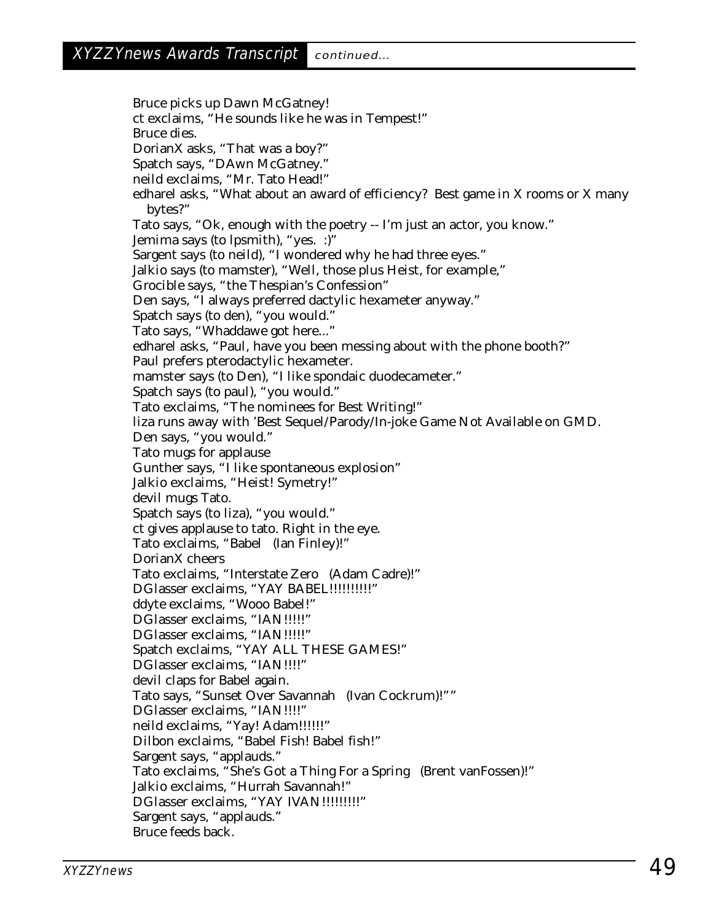Bruce picks up Dawn McGatney! ct exclaims, "He sounds like he was in Tempest!" Bruce dies. DorianX asks, "That was a boy?" Spatch says, "DAwn McGatney." neild exclaims, "Mr. Tato Head!" edharel asks, "What about an award of efficiency? Best game in X rooms or X many bytes?" Tato says, "Ok, enough with the poetry -- I'm just an actor, you know." Jemima says (to lpsmith), "yes. :)" Sargent says (to neild), "I wondered why he had three eyes." Jalkio says (to mamster), "Well, those plus Heist, for example," Grocible says, "the Thespian's Confession" Den says, "I always preferred dactylic hexameter anyway." Spatch says (to den), "you would." Tato says, "Whaddawe got here..." edharel asks, "Paul, have you been messing about with the phone booth?" Paul prefers pterodactylic hexameter. mamster says (to Den), "I like spondaic duodecameter." Spatch says (to paul), "you would." Tato exclaims, "The nominees for Best Writing!" liza runs away with 'Best Sequel/Parody/In-joke Game Not Available on GMD. Den says, "you would." Tato mugs for applause Gunther says, "I like spontaneous explosion" Jalkio exclaims, "Heist! Symetry!" devil mugs Tato. Spatch says (to liza), "you would." ct gives applause to tato. Right in the eye. Tato exclaims, "Babel (Ian Finley)!" DorianX cheers Tato exclaims, "Interstate Zero (Adam Cadre)!" DGlasser exclaims, "YAY BABEL!!!!!!!!!!!" ddyte exclaims, "Wooo Babel!" DGlasser exclaims, "IAN!!!!!" DGlasser exclaims, "IAN!!!!!" Spatch exclaims, "YAY ALL THESE GAMES!" DGlasser exclaims, "IAN!!!!" devil claps for Babel again. Tato says, "Sunset Over Savannah (Ivan Cockrum)!"" DGlasser exclaims, "IAN!!!!" neild exclaims, "Yay! Adam!!!!!!" Dilbon exclaims, "Babel Fish! Babel fish!" Sargent says, "applauds." Tato exclaims, "She's Got a Thing For a Spring (Brent vanFossen)!" Jalkio exclaims, "Hurrah Savannah!" DGlasser exclaims, "YAY IVAN!!!!!!!!!!" Sargent says, "applauds." Bruce feeds back.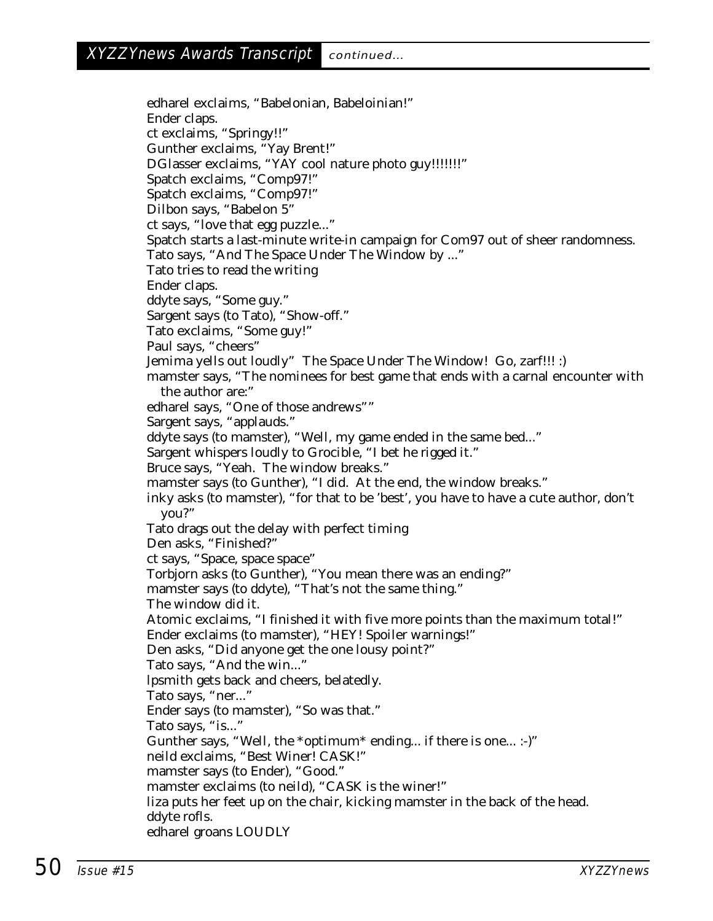edharel exclaims, "Babelonian, Babeloinian!" Ender claps. ct exclaims, "Springy!!" Gunther exclaims, "Yay Brent!" DGlasser exclaims, "YAY cool nature photo guy!!!!!!!!" Spatch exclaims, "Comp97!" Spatch exclaims, "Comp97!" Dilbon says, "Babelon 5" ct says, "love that egg puzzle..." Spatch starts a last-minute write-in campaign for Com97 out of sheer randomness. Tato says, "And The Space Under The Window by ..." Tato tries to read the writing Ender claps. ddyte says, "Some guy." Sargent says (to Tato), "Show-off." Tato exclaims, "Some guy!" Paul says, "cheers" Jemima yells out loudly" The Space Under The Window! Go, zarf!!! :) mamster says, "The nominees for best game that ends with a carnal encounter with the author are:" edharel says, "One of those andrews"" Sargent says, "applauds." ddyte says (to mamster), "Well, my game ended in the same bed..." Sargent whispers loudly to Grocible, "I bet he rigged it." Bruce says, "Yeah. The window breaks." mamster says (to Gunther), "I did. At the end, the window breaks." inky asks (to mamster), "for that to be 'best', you have to have a cute author, don't you?" Tato drags out the delay with perfect timing Den asks, "Finished?" ct says, "Space, space space" Torbjorn asks (to Gunther), "You mean there was an ending?" mamster says (to ddyte), "That's not the same thing." The window did it. Atomic exclaims, "I finished it with five more points than the maximum total!" Ender exclaims (to mamster), "HEY! Spoiler warnings!" Den asks, "Did anyone get the one lousy point?" Tato says, "And the win..." lpsmith gets back and cheers, belatedly. Tato says, "ner..." Ender says (to mamster), "So was that." Tato says, "is..." Gunther says, "Well, the \*optimum\* ending... if there is one... :-)" neild exclaims, "Best Winer! CASK!" mamster says (to Ender), "Good." mamster exclaims (to neild), "CASK is the winer!" liza puts her feet up on the chair, kicking mamster in the back of the head. ddyte rofls. edharel groans LOUDLY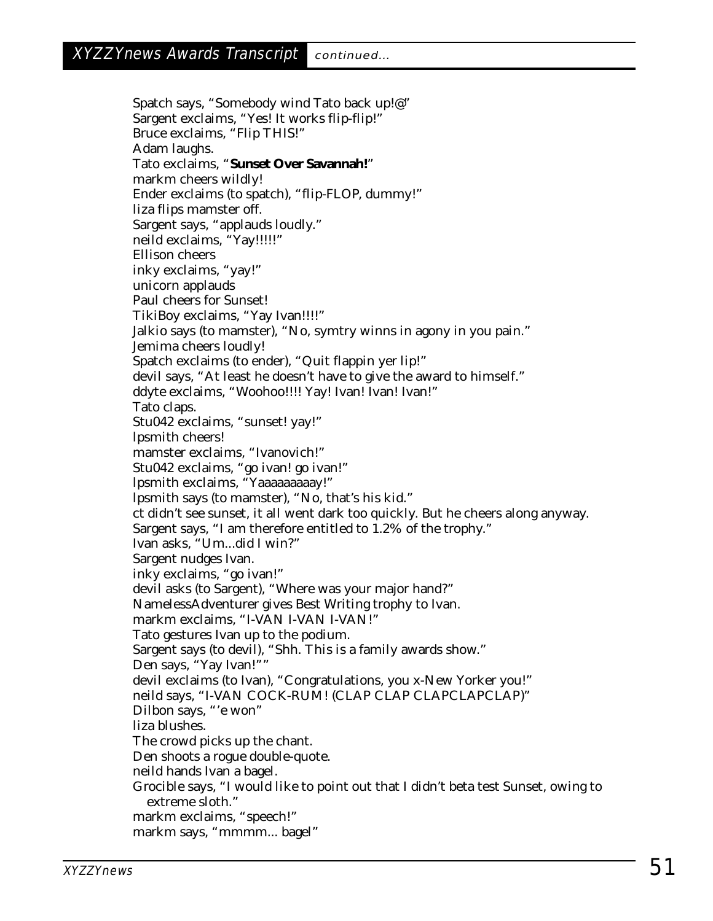Spatch says, "Somebody wind Tato back up!@" Sargent exclaims, "Yes! It works flip-flip!" Bruce exclaims, "Flip THIS!" Adam laughs. Tato exclaims, "**Sunset Over Savannah!**" markm cheers wildly! Ender exclaims (to spatch), "flip-FLOP, dummy!" liza flips mamster off. Sargent says, "applauds loudly." neild exclaims, "Yay!!!!!" Ellison cheers inky exclaims, "yay!" unicorn applauds Paul cheers for Sunset! TikiBoy exclaims, "Yay Ivan!!!!" Jalkio says (to mamster), "No, symtry winns in agony in you pain." Jemima cheers loudly! Spatch exclaims (to ender), "Quit flappin yer lip!" devil says, "At least he doesn't have to give the award to himself." ddyte exclaims, "Woohoo!!!! Yay! Ivan! Ivan! Ivan!" Tato claps. Stu042 exclaims, "sunset! yay!" lpsmith cheers! mamster exclaims, "Ivanovich!" Stu042 exclaims, "go ivan! go ivan!" lpsmith exclaims, "Yaaaaaaaaay!" lpsmith says (to mamster), "No, that's his kid." ct didn't see sunset, it all went dark too quickly. But he cheers along anyway. Sargent says, "I am therefore entitled to 1.2% of the trophy." Ivan asks, "Um...did I win?" Sargent nudges Ivan. inky exclaims, "go ivan!" devil asks (to Sargent), "Where was your major hand?" NamelessAdventurer gives Best Writing trophy to Ivan. markm exclaims, "I-VAN I-VAN I-VAN!" Tato gestures Ivan up to the podium. Sargent says (to devil), "Shh. This is a family awards show." Den says, "Yay Ivan!"" devil exclaims (to Ivan), "Congratulations, you x-New Yorker you!" neild says, "I-VAN COCK-RUM! (CLAP CLAP CLAPCLAPCLAP)" Dilbon says, "'e won" liza blushes. The crowd picks up the chant. Den shoots a rogue double-quote. neild hands Ivan a bagel. Grocible says, "I would like to point out that I didn't beta test Sunset, owing to extreme sloth." markm exclaims, "speech!" markm says, "mmmm... bagel"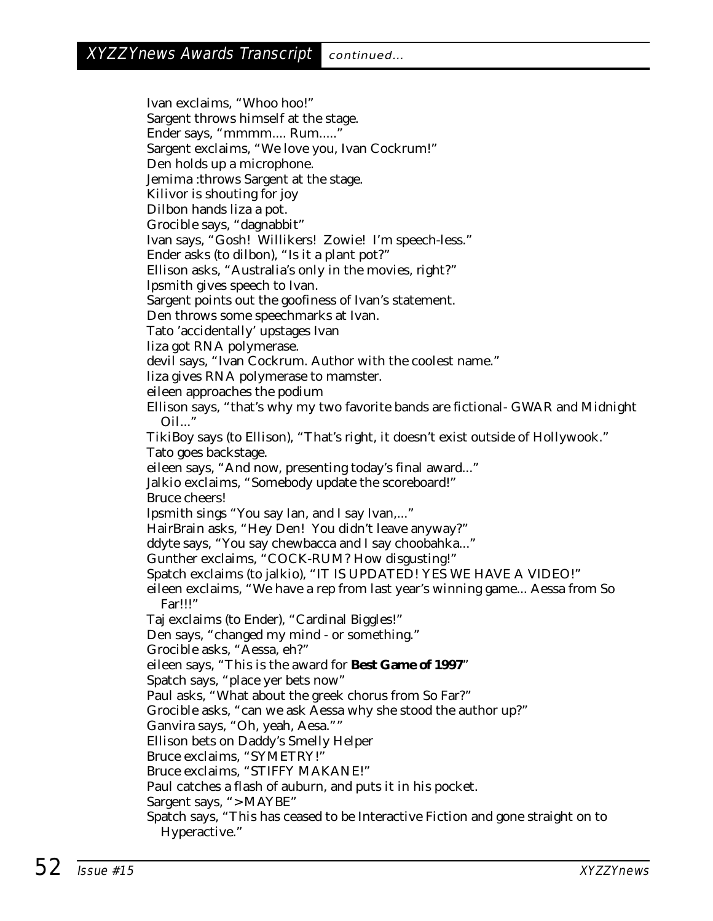Ivan exclaims, "Whoo hoo!" Sargent throws himself at the stage. Ender says, "mmmm.... Rum....." Sargent exclaims, "We love you, Ivan Cockrum!" Den holds up a microphone. Jemima :throws Sargent at the stage. Kilivor is shouting for joy Dilbon hands liza a pot. Grocible says, "dagnabbit" Ivan says, "Gosh! Willikers! Zowie! I'm speech-less." Ender asks (to dilbon), "Is it a plant pot?" Ellison asks, "Australia's only in the movies, right?" lpsmith gives speech to Ivan. Sargent points out the goofiness of Ivan's statement. Den throws some speechmarks at Ivan. Tato 'accidentally' upstages Ivan liza got RNA polymerase. devil says, "Ivan Cockrum. Author with the coolest name." liza gives RNA polymerase to mamster. eileen approaches the podium Ellison says, "that's why my two favorite bands are fictional- GWAR and Midnight Oil..." TikiBoy says (to Ellison), "That's right, it doesn't exist outside of Hollywook." Tato goes backstage. eileen says, "And now, presenting today's final award..." Jalkio exclaims, "Somebody update the scoreboard!" Bruce cheers! lpsmith sings "You say Ian, and I say Ivan,..." HairBrain asks, "Hey Den! You didn't leave anyway?" ddyte says, "You say chewbacca and I say choobahka..." Gunther exclaims, "COCK-RUM? How disgusting!" Spatch exclaims (to jalkio), "IT IS UPDATED! YES WE HAVE A VIDEO!" eileen exclaims, "We have a rep from last year's winning game... Aessa from So Far!!!" Taj exclaims (to Ender), "Cardinal Biggles!" Den says, "changed my mind - or something." Grocible asks, "Aessa, eh?" eileen says, "This is the award for **Best Game of 1997**" Spatch says, "place yer bets now" Paul asks, "What about the greek chorus from So Far?" Grocible asks, "can we ask Aessa why she stood the author up?" Ganvira says, "Oh, yeah, Aesa."" Ellison bets on Daddy's Smelly Helper Bruce exclaims, "SYMETRY!" Bruce exclaims, "STIFFY MAKANE!" Paul catches a flash of auburn, and puts it in his pocket. Sargent says, "> MAYBE" Spatch says, "This has ceased to be Interactive Fiction and gone straight on to Hyperactive."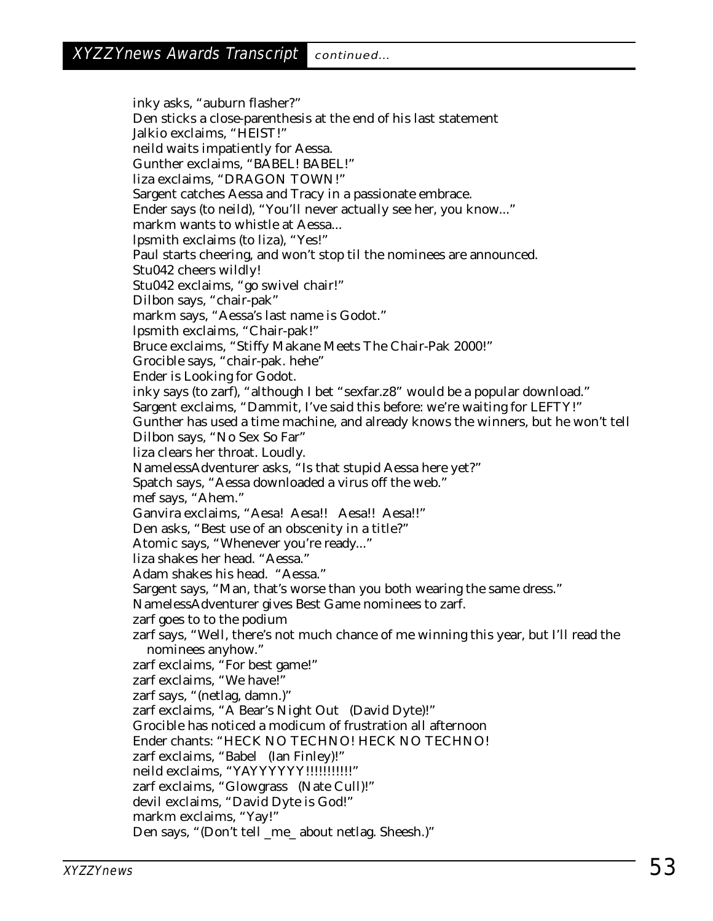inky asks, "auburn flasher?" Den sticks a close-parenthesis at the end of his last statement Jalkio exclaims, "HEIST!" neild waits impatiently for Aessa. Gunther exclaims, "BABEL! BABEL!" liza exclaims, "DRAGON TOWN!" Sargent catches Aessa and Tracy in a passionate embrace. Ender says (to neild), "You'll never actually see her, you know..." markm wants to whistle at Aessa... lpsmith exclaims (to liza), "Yes!" Paul starts cheering, and won't stop til the nominees are announced. Stu042 cheers wildly! Stu042 exclaims, "go swivel chair!" Dilbon says, "chair-pak" markm says, "Aessa's last name is Godot." lpsmith exclaims, "Chair-pak!" Bruce exclaims, "Stiffy Makane Meets The Chair-Pak 2000!" Grocible says, "chair-pak. hehe" Ender is Looking for Godot. inky says (to zarf), "although I bet "sexfar.z8" would be a popular download." Sargent exclaims, "Dammit, I've said this before: we're waiting for LEFTY!" Gunther has used a time machine, and already knows the winners, but he won't tell Dilbon says, "No Sex So Far" liza clears her throat. Loudly. NamelessAdventurer asks, "Is that stupid Aessa here yet?" Spatch says, "Aessa downloaded a virus off the web." mef says, "Ahem." Ganvira exclaims, "Aesa! Aesa!! Aesa!! Aesa!!" Den asks, "Best use of an obscenity in a title?" Atomic says, "Whenever you're ready..." liza shakes her head. "Aessa." Adam shakes his head. "Aessa." Sargent says, "Man, that's worse than you both wearing the same dress." NamelessAdventurer gives Best Game nominees to zarf. zarf goes to to the podium zarf says, "Well, there's not much chance of me winning this year, but I'll read the nominees anyhow." zarf exclaims, "For best game!" zarf exclaims, "We have!" zarf says, "(netlag, damn.)" zarf exclaims, "A Bear's Night Out (David Dyte)!" Grocible has noticed a modicum of frustration all afternoon Ender chants: "HECK NO TECHNO! HECK NO TECHNO! zarf exclaims, "Babel (Ian Finley)!" neild exclaims, "YAYYYYYY!!!!!!!!!!!" zarf exclaims, "Glowgrass (Nate Cull)!" devil exclaims, "David Dyte is God!" markm exclaims, "Yay!" Den says, "(Don't tell \_me\_ about netlag. Sheesh.)"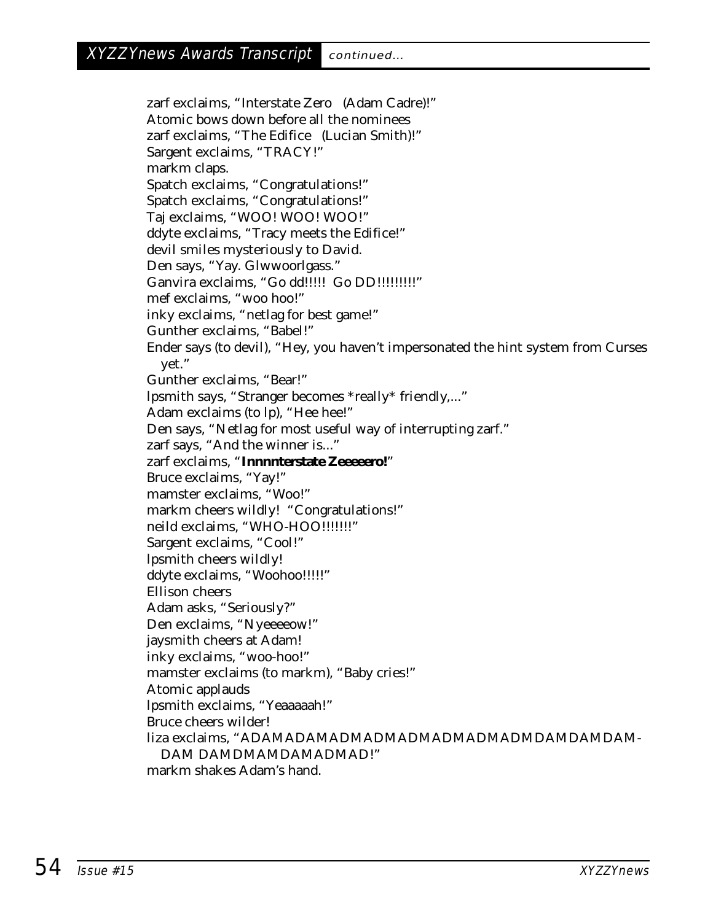zarf exclaims, "Interstate Zero (Adam Cadre)!" Atomic bows down before all the nominees zarf exclaims, "The Edifice (Lucian Smith)!" Sargent exclaims, "TRACY!" markm claps. Spatch exclaims, "Congratulations!" Spatch exclaims, "Congratulations!" Taj exclaims, "WOO! WOO! WOO!" ddyte exclaims, "Tracy meets the Edifice!" devil smiles mysteriously to David. Den says, "Yay. Glwwoorlgass." Ganvira exclaims, "Go dd!!!!! Go DD!!!!!!!!!" mef exclaims, "woo hoo!" inky exclaims, "netlag for best game!" Gunther exclaims, "Babel!" Ender says (to devil), "Hey, you haven't impersonated the hint system from Curses yet." Gunther exclaims, "Bear!" lpsmith says, "Stranger becomes \*really\* friendly,..." Adam exclaims (to lp), "Hee hee!" Den says, "Netlag for most useful way of interrupting zarf." zarf says, "And the winner is..." zarf exclaims, "**Innnnterstate Zeeeeero!**" Bruce exclaims, "Yay!" mamster exclaims, "Woo!" markm cheers wildly! "Congratulations!" neild exclaims, "WHO-HOO!!!!!!!" Sargent exclaims, "Cool!" lpsmith cheers wildly! ddyte exclaims, "Woohoo!!!!!" Ellison cheers Adam asks, "Seriously?" Den exclaims, "Nyeeeeow!" jaysmith cheers at Adam! inky exclaims, "woo-hoo!" mamster exclaims (to markm), "Baby cries!" Atomic applauds lpsmith exclaims, "Yeaaaaah!" Bruce cheers wilder! liza exclaims, "ADAMADAMADMADMADMADMADMADMDAMDAMDAM-DAM DAMDMAMDAMADMAD!" markm shakes Adam's hand.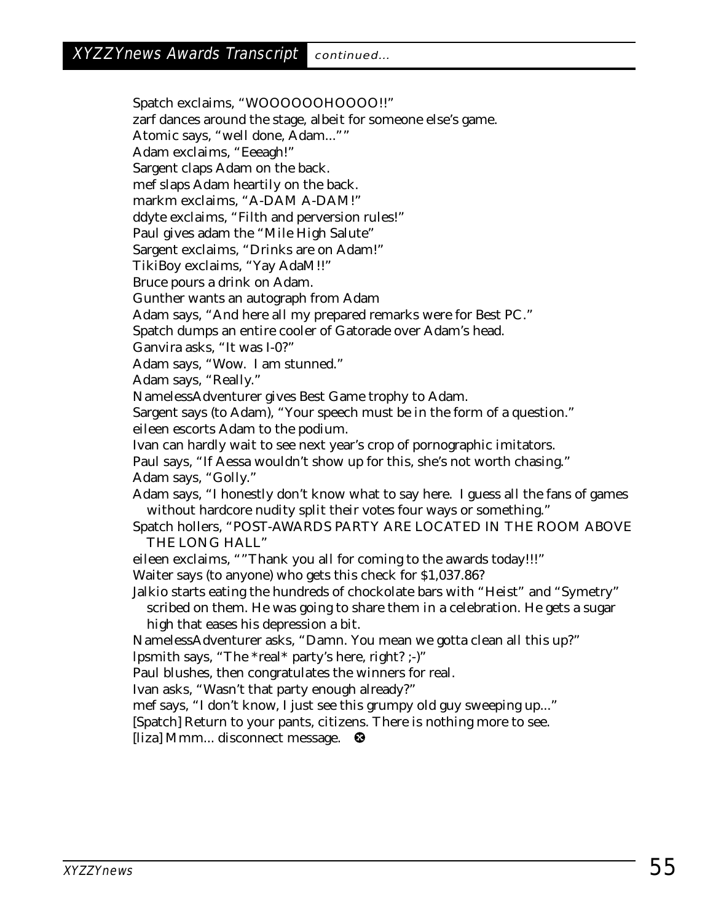Spatch exclaims, "WOOOOOOHOOOO!!" zarf dances around the stage, albeit for someone else's game. Atomic says, "well done, Adam..."" Adam exclaims, "Eeeagh!" Sargent claps Adam on the back. mef slaps Adam heartily on the back. markm exclaims, "A-DAM A-DAM!" ddyte exclaims, "Filth and perversion rules!" Paul gives adam the "Mile High Salute" Sargent exclaims, "Drinks are on Adam!" TikiBoy exclaims, "Yay AdaM!!" Bruce pours a drink on Adam. Gunther wants an autograph from Adam Adam says, "And here all my prepared remarks were for Best PC." Spatch dumps an entire cooler of Gatorade over Adam's head. Ganvira asks, "It was I-0?" Adam says, "Wow. I am stunned." Adam says, "Really." NamelessAdventurer gives Best Game trophy to Adam. Sargent says (to Adam), "Your speech must be in the form of a question." eileen escorts Adam to the podium. Ivan can hardly wait to see next year's crop of pornographic imitators. Paul says, "If Aessa wouldn't show up for this, she's not worth chasing." Adam says, "Golly." Adam says, "I honestly don't know what to say here. I guess all the fans of games without hardcore nudity split their votes four ways or something." Spatch hollers, "POST-AWARDS PARTY ARE LOCATED IN THE ROOM ABOVE THE LONG HALL" eileen exclaims, ""Thank you all for coming to the awards today!!!" Waiter says (to anyone) who gets this check for \$1,037.86? Jalkio starts eating the hundreds of chockolate bars with "Heist" and "Symetry" scribed on them. He was going to share them in a celebration. He gets a sugar high that eases his depression a bit. NamelessAdventurer asks, "Damn. You mean we gotta clean all this up?" lpsmith says, "The \*real\* party's here, right? ;-)" Paul blushes, then congratulates the winners for real. Ivan asks, "Wasn't that party enough already?" mef says, "I don't know, I just see this grumpy old guy sweeping up..." [Spatch] Return to your pants, citizens. There is nothing more to see. [liza] Mmm... disconnect message.  $\bullet$